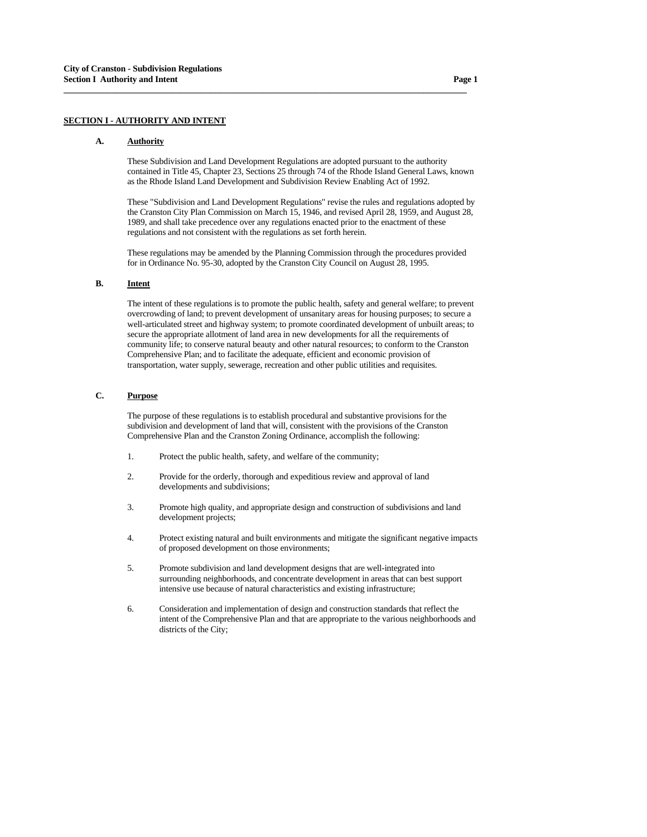# **SECTION I - AUTHORITY AND INTENT**

#### **A. Authority**

 These Subdivision and Land Development Regulations are adopted pursuant to the authority contained in Title 45, Chapter 23, Sections 25 through 74 of the Rhode Island General Laws, known as the Rhode Island Land Development and Subdivision Review Enabling Act of 1992.

**\_\_\_\_\_\_\_\_\_\_\_\_\_\_\_\_\_\_\_\_\_\_\_\_\_\_\_\_\_\_\_\_\_\_\_\_\_\_\_\_\_\_\_\_\_\_\_\_\_\_\_\_\_\_\_\_\_\_\_\_\_\_\_\_\_\_\_\_\_\_\_\_\_\_\_\_\_\_\_\_\_\_\_\_\_\_\_\_\_\_\_\_\_**

 These "Subdivision and Land Development Regulations" revise the rules and regulations adopted by the Cranston City Plan Commission on March 15, 1946, and revised April 28, 1959, and August 28, 1989, and shall take precedence over any regulations enacted prior to the enactment of these regulations and not consistent with the regulations as set forth herein.

 These regulations may be amended by the Planning Commission through the procedures provided for in Ordinance No. 95-30, adopted by the Cranston City Council on August 28, 1995.

# **B. Intent**

 The intent of these regulations is to promote the public health, safety and general welfare; to prevent overcrowding of land; to prevent development of unsanitary areas for housing purposes; to secure a well-articulated street and highway system; to promote coordinated development of unbuilt areas; to secure the appropriate allotment of land area in new developments for all the requirements of community life; to conserve natural beauty and other natural resources; to conform to the Cranston Comprehensive Plan; and to facilitate the adequate, efficient and economic provision of transportation, water supply, sewerage, recreation and other public utilities and requisites.

# **C. Purpose**

 The purpose of these regulations is to establish procedural and substantive provisions for the subdivision and development of land that will, consistent with the provisions of the Cranston Comprehensive Plan and the Cranston Zoning Ordinance, accomplish the following:

- 1. Protect the public health, safety, and welfare of the community;
- 2. Provide for the orderly, thorough and expeditious review and approval of land developments and subdivisions;
- 3. Promote high quality, and appropriate design and construction of subdivisions and land development projects;
- 4. Protect existing natural and built environments and mitigate the significant negative impacts of proposed development on those environments;
- 5. Promote subdivision and land development designs that are well-integrated into surrounding neighborhoods, and concentrate development in areas that can best support intensive use because of natural characteristics and existing infrastructure;
- 6. Consideration and implementation of design and construction standards that reflect the intent of the Comprehensive Plan and that are appropriate to the various neighborhoods and districts of the City;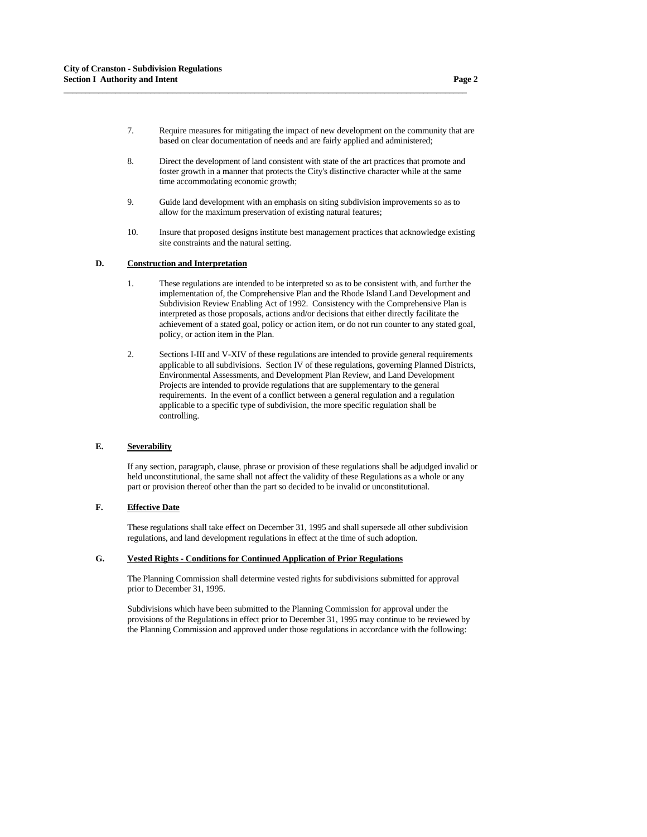7. Require measures for mitigating the impact of new development on the community that are based on clear documentation of needs and are fairly applied and administered;

**\_\_\_\_\_\_\_\_\_\_\_\_\_\_\_\_\_\_\_\_\_\_\_\_\_\_\_\_\_\_\_\_\_\_\_\_\_\_\_\_\_\_\_\_\_\_\_\_\_\_\_\_\_\_\_\_\_\_\_\_\_\_\_\_\_\_\_\_\_\_\_\_\_\_\_\_\_\_\_\_\_\_\_\_\_\_\_\_\_\_\_\_\_**

- 8. Direct the development of land consistent with state of the art practices that promote and foster growth in a manner that protects the City's distinctive character while at the same time accommodating economic growth;
- 9. Guide land development with an emphasis on siting subdivision improvements so as to allow for the maximum preservation of existing natural features;
- 10. Insure that proposed designs institute best management practices that acknowledge existing site constraints and the natural setting.

## **D. Construction and Interpretation**

- 1. These regulations are intended to be interpreted so as to be consistent with, and further the implementation of, the Comprehensive Plan and the Rhode Island Land Development and Subdivision Review Enabling Act of 1992. Consistency with the Comprehensive Plan is interpreted as those proposals, actions and/or decisions that either directly facilitate the achievement of a stated goal, policy or action item, or do not run counter to any stated goal, policy, or action item in the Plan.
- 2. Sections I-III and V-XIV of these regulations are intended to provide general requirements applicable to all subdivisions. Section IV of these regulations, governing Planned Districts, Environmental Assessments, and Development Plan Review, and Land Development Projects are intended to provide regulations that are supplementary to the general requirements. In the event of a conflict between a general regulation and a regulation applicable to a specific type of subdivision, the more specific regulation shall be controlling.

## **E. Severability**

 If any section, paragraph, clause, phrase or provision of these regulations shall be adjudged invalid or held unconstitutional, the same shall not affect the validity of these Regulations as a whole or any part or provision thereof other than the part so decided to be invalid or unconstitutional.

## **F. Effective Date**

 These regulations shall take effect on December 31, 1995 and shall supersede all other subdivision regulations, and land development regulations in effect at the time of such adoption.

## **G. Vested Rights - Conditions for Continued Application of Prior Regulations**

 The Planning Commission shall determine vested rights for subdivisions submitted for approval prior to December 31, 1995.

 Subdivisions which have been submitted to the Planning Commission for approval under the provisions of the Regulations in effect prior to December 31, 1995 may continue to be reviewed by the Planning Commission and approved under those regulations in accordance with the following: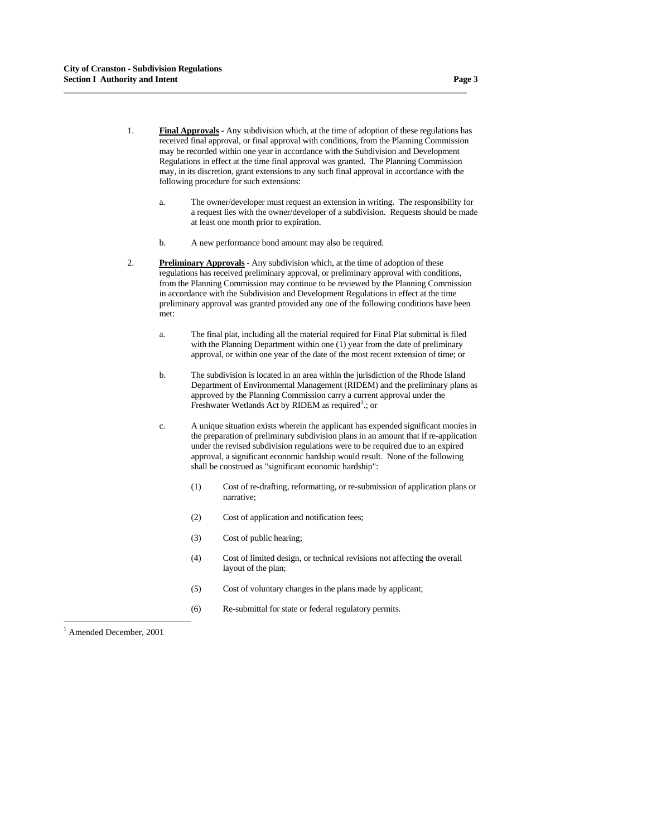- 1. **Final Approvals** Any subdivision which, at the time of adoption of these regulations has received final approval, or final approval with conditions, from the Planning Commission may be recorded within one year in accordance with the Subdivision and Development Regulations in effect at the time final approval was granted. The Planning Commission may, in its discretion, grant extensions to any such final approval in accordance with the following procedure for such extensions:
	- a. The owner/developer must request an extension in writing. The responsibility for a request lies with the owner/developer of a subdivision. Requests should be made at least one month prior to expiration.
	- b. A new performance bond amount may also be required.

- 2. **Preliminary Approvals** Any subdivision which, at the time of adoption of these regulations has received preliminary approval, or preliminary approval with conditions, from the Planning Commission may continue to be reviewed by the Planning Commission in accordance with the Subdivision and Development Regulations in effect at the time preliminary approval was granted provided any one of the following conditions have been met:
	- a. The final plat, including all the material required for Final Plat submittal is filed with the Planning Department within one (1) year from the date of preliminary approval, or within one year of the date of the most recent extension of time; or
	- b. The subdivision is located in an area within the jurisdiction of the Rhode Island Department of Environmental Management (RIDEM) and the preliminary plans as approved by the Planning Commission carry a current approval under the Freshwater Wetlands Act by RIDEM as required<sup>[1](#page-2-0)</sup>.; or
	- c. A unique situation exists wherein the applicant has expended significant monies in the preparation of preliminary subdivision plans in an amount that if re-application under the revised subdivision regulations were to be required due to an expired approval, a significant economic hardship would result. None of the following shall be construed as "significant economic hardship":
		- (1) Cost of re-drafting, reformatting, or re-submission of application plans or narrative;
		- (2) Cost of application and notification fees;
		- (3) Cost of public hearing;
		- (4) Cost of limited design, or technical revisions not affecting the overall layout of the plan;
		- (5) Cost of voluntary changes in the plans made by applicant;
		- (6) Re-submittal for state or federal regulatory permits.

<span id="page-2-0"></span>1 Amended December, 2001

-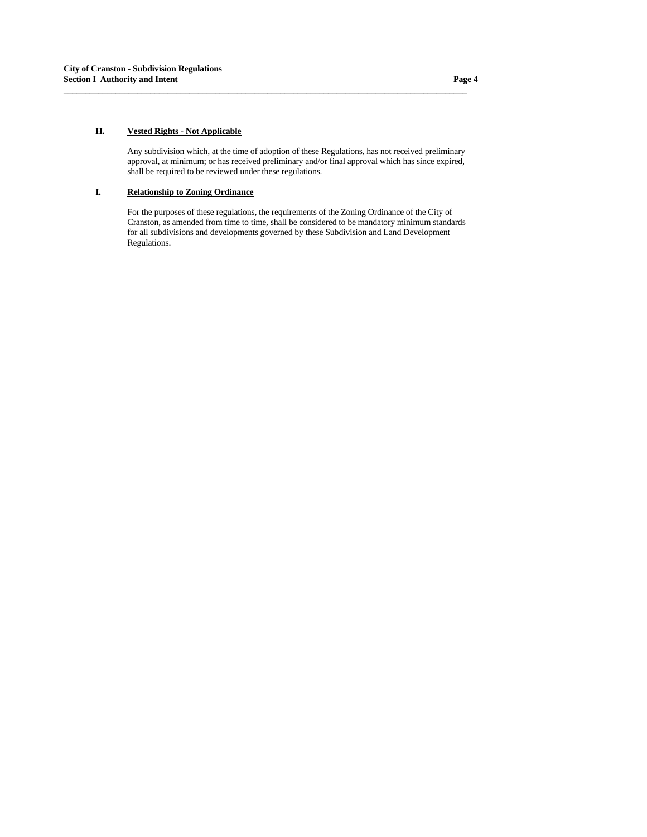## **H. Vested Rights - Not Applicable**

 Any subdivision which, at the time of adoption of these Regulations, has not received preliminary approval, at minimum; or has received preliminary and/or final approval which has since expired, shall be required to be reviewed under these regulations.

**\_\_\_\_\_\_\_\_\_\_\_\_\_\_\_\_\_\_\_\_\_\_\_\_\_\_\_\_\_\_\_\_\_\_\_\_\_\_\_\_\_\_\_\_\_\_\_\_\_\_\_\_\_\_\_\_\_\_\_\_\_\_\_\_\_\_\_\_\_\_\_\_\_\_\_\_\_\_\_\_\_\_\_\_\_\_\_\_\_\_\_\_\_**

# **I. Relationship to Zoning Ordinance**

 For the purposes of these regulations, the requirements of the Zoning Ordinance of the City of Cranston, as amended from time to time, shall be considered to be mandatory minimum standards for all subdivisions and developments governed by these Subdivision and Land Development Regulations.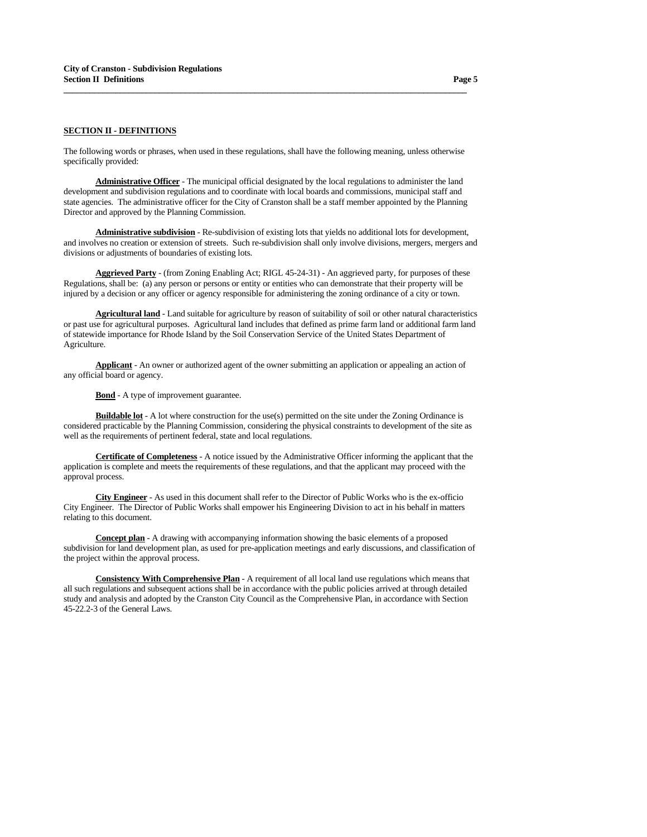# **SECTION II - DEFINITIONS**

The following words or phrases, when used in these regulations, shall have the following meaning, unless otherwise specifically provided:

**\_\_\_\_\_\_\_\_\_\_\_\_\_\_\_\_\_\_\_\_\_\_\_\_\_\_\_\_\_\_\_\_\_\_\_\_\_\_\_\_\_\_\_\_\_\_\_\_\_\_\_\_\_\_\_\_\_\_\_\_\_\_\_\_\_\_\_\_\_\_\_\_\_\_\_\_\_\_\_\_\_\_\_\_\_\_\_\_\_\_\_\_\_**

 **Administrative Officer** - The municipal official designated by the local regulations to administer the land development and subdivision regulations and to coordinate with local boards and commissions, municipal staff and state agencies. The administrative officer for the City of Cranston shall be a staff member appointed by the Planning Director and approved by the Planning Commission.

 **Administrative subdivision** - Re-subdivision of existing lots that yields no additional lots for development, and involves no creation or extension of streets. Such re-subdivision shall only involve divisions, mergers, mergers and divisions or adjustments of boundaries of existing lots.

 **Aggrieved Party** - (from Zoning Enabling Act; RIGL 45-24-31) - An aggrieved party, for purposes of these Regulations, shall be: (a) any person or persons or entity or entities who can demonstrate that their property will be injured by a decision or any officer or agency responsible for administering the zoning ordinance of a city or town.

 **Agricultural land** - Land suitable for agriculture by reason of suitability of soil or other natural characteristics or past use for agricultural purposes. Agricultural land includes that defined as prime farm land or additional farm land of statewide importance for Rhode Island by the Soil Conservation Service of the United States Department of Agriculture.

 **Applicant** - An owner or authorized agent of the owner submitting an application or appealing an action of any official board or agency.

**Bond** - A type of improvement guarantee.

**Buildable lot** - A lot where construction for the use(s) permitted on the site under the Zoning Ordinance is considered practicable by the Planning Commission, considering the physical constraints to development of the site as well as the requirements of pertinent federal, state and local regulations.

 **Certificate of Completeness** - A notice issued by the Administrative Officer informing the applicant that the application is complete and meets the requirements of these regulations, and that the applicant may proceed with the approval process.

 **City Engineer** - As used in this document shall refer to the Director of Public Works who is the ex-officio City Engineer. The Director of Public Works shall empower his Engineering Division to act in his behalf in matters relating to this document.

 **Concept plan** - A drawing with accompanying information showing the basic elements of a proposed subdivision for land development plan, as used for pre-application meetings and early discussions, and classification of the project within the approval process.

 **Consistency With Comprehensive Plan** - A requirement of all local land use regulations which means that all such regulations and subsequent actions shall be in accordance with the public policies arrived at through detailed study and analysis and adopted by the Cranston City Council as the Comprehensive Plan, in accordance with Section 45-22.2-3 of the General Laws.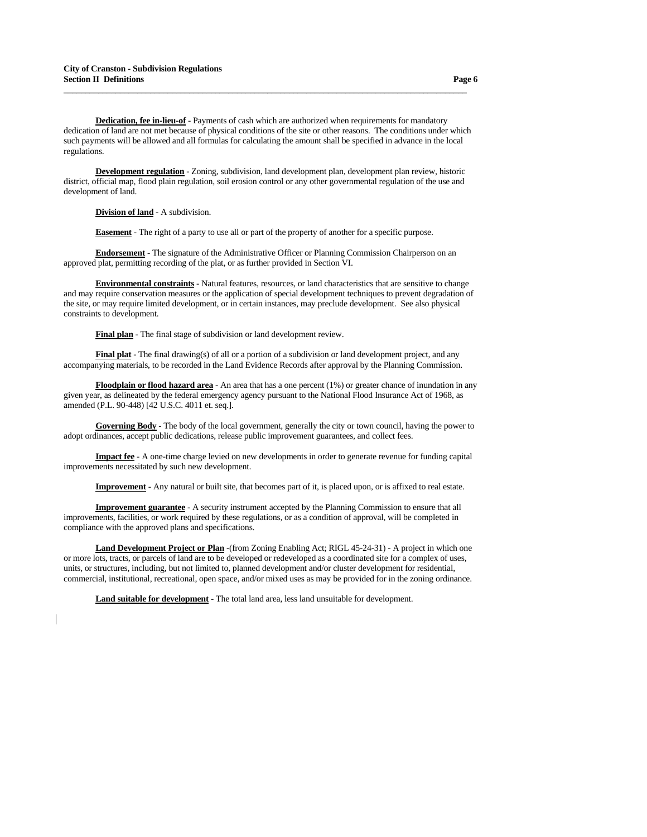**Dedication, fee in-lieu-of** - Payments of cash which are authorized when requirements for mandatory dedication of land are not met because of physical conditions of the site or other reasons. The conditions under which such payments will be allowed and all formulas for calculating the amount shall be specified in advance in the local regulations.

**\_\_\_\_\_\_\_\_\_\_\_\_\_\_\_\_\_\_\_\_\_\_\_\_\_\_\_\_\_\_\_\_\_\_\_\_\_\_\_\_\_\_\_\_\_\_\_\_\_\_\_\_\_\_\_\_\_\_\_\_\_\_\_\_\_\_\_\_\_\_\_\_\_\_\_\_\_\_\_\_\_\_\_\_\_\_\_\_\_\_\_\_\_**

 **Development regulation** - Zoning, subdivision, land development plan, development plan review, historic district, official map, flood plain regulation, soil erosion control or any other governmental regulation of the use and development of land.

 **Division of land** - A subdivision.

 **Easement** - The right of a party to use all or part of the property of another for a specific purpose.

 **Endorsement** - The signature of the Administrative Officer or Planning Commission Chairperson on an approved plat, permitting recording of the plat, or as further provided in Section VI.

 **Environmental constraints** - Natural features, resources, or land characteristics that are sensitive to change and may require conservation measures or the application of special development techniques to prevent degradation of the site, or may require limited development, or in certain instances, may preclude development. See also physical constraints to development.

 **Final plan** - The final stage of subdivision or land development review.

 **Final plat** - The final drawing(s) of all or a portion of a subdivision or land development project, and any accompanying materials, to be recorded in the Land Evidence Records after approval by the Planning Commission.

 **Floodplain or flood hazard area** - An area that has a one percent (1%) or greater chance of inundation in any given year, as delineated by the federal emergency agency pursuant to the National Flood Insurance Act of 1968, as amended (P.L. 90-448) [42 U.S.C. 4011 et. seq.].

 **Governing Body** - The body of the local government, generally the city or town council, having the power to adopt ordinances, accept public dedications, release public improvement guarantees, and collect fees.

 **Impact fee** - A one-time charge levied on new developments in order to generate revenue for funding capital improvements necessitated by such new development.

 **Improvement** - Any natural or built site, that becomes part of it, is placed upon, or is affixed to real estate.

 **Improvement guarantee** - A security instrument accepted by the Planning Commission to ensure that all improvements, facilities, or work required by these regulations, or as a condition of approval, will be completed in compliance with the approved plans and specifications.

 **Land Development Project or Plan** -(from Zoning Enabling Act; RIGL 45-24-31) - A project in which one or more lots, tracts, or parcels of land are to be developed or redeveloped as a coordinated site for a complex of uses, units, or structures, including, but not limited to, planned development and/or cluster development for residential, commercial, institutional, recreational, open space, and/or mixed uses as may be provided for in the zoning ordinance.

 **Land suitable for development** - The total land area, less land unsuitable for development.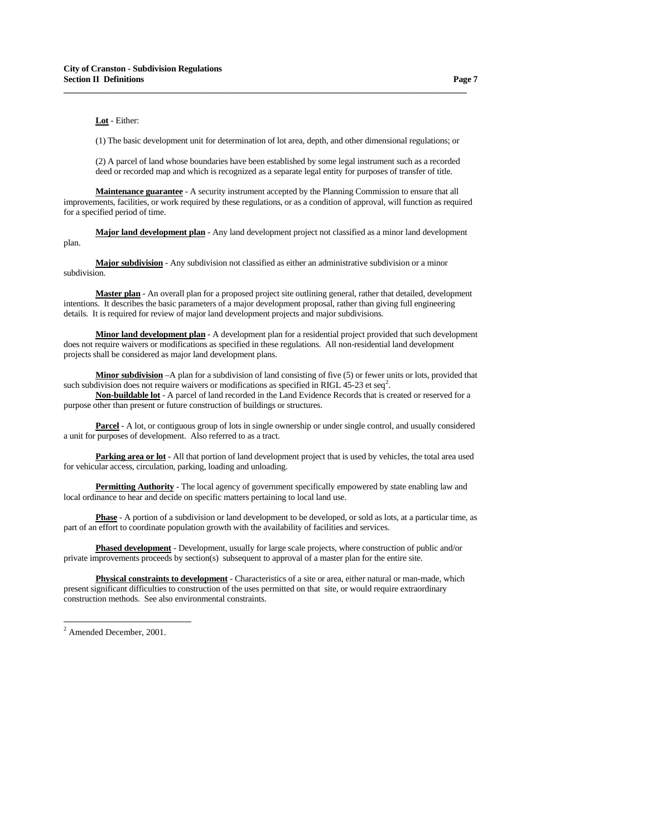## **Lot** - Either:

(1) The basic development unit for determination of lot area, depth, and other dimensional regulations; or

**\_\_\_\_\_\_\_\_\_\_\_\_\_\_\_\_\_\_\_\_\_\_\_\_\_\_\_\_\_\_\_\_\_\_\_\_\_\_\_\_\_\_\_\_\_\_\_\_\_\_\_\_\_\_\_\_\_\_\_\_\_\_\_\_\_\_\_\_\_\_\_\_\_\_\_\_\_\_\_\_\_\_\_\_\_\_\_\_\_\_\_\_\_**

 (2) A parcel of land whose boundaries have been established by some legal instrument such as a recorded deed or recorded map and which is recognized as a separate legal entity for purposes of transfer of title.

 **Maintenance guarantee** - A security instrument accepted by the Planning Commission to ensure that all improvements, facilities, or work required by these regulations, or as a condition of approval, will function as required for a specified period of time.

 **Major land development plan** - Any land development project not classified as a minor land development plan.

 **Major subdivision** - Any subdivision not classified as either an administrative subdivision or a minor subdivision.

 **Master plan** - An overall plan for a proposed project site outlining general, rather that detailed, development intentions. It describes the basic parameters of a major development proposal, rather than giving full engineering details. It is required for review of major land development projects and major subdivisions.

 **Minor land development plan** - A development plan for a residential project provided that such development does not require waivers or modifications as specified in these regulations. All non-residential land development projects shall be considered as major land development plans.

 **Minor subdivision** –A plan for a subdivision of land consisting of five (5) or fewer units or lots, provided that such subdivision does not require waivers or modifications as specified in RIGL 45-[2](#page-6-0)3 et seq<sup>2</sup>.

 **Non-buildable lot** - A parcel of land recorded in the Land Evidence Records that is created or reserved for a purpose other than present or future construction of buildings or structures.

 **Parcel** - A lot, or contiguous group of lots in single ownership or under single control, and usually considered a unit for purposes of development. Also referred to as a tract.

 **Parking area or lot** - All that portion of land development project that is used by vehicles, the total area used for vehicular access, circulation, parking, loading and unloading.

**Permitting Authority** - The local agency of government specifically empowered by state enabling law and local ordinance to hear and decide on specific matters pertaining to local land use.

 **Phase** - A portion of a subdivision or land development to be developed, or sold as lots, at a particular time, as part of an effort to coordinate population growth with the availability of facilities and services.

 **Phased development** - Development, usually for large scale projects, where construction of public and/or private improvements proceeds by section(s) subsequent to approval of a master plan for the entire site.

 **Physical constraints to development** - Characteristics of a site or area, either natural or man-made, which present significant difficulties to construction of the uses permitted on that site, or would require extraordinary construction methods. See also environmental constraints.

<span id="page-6-0"></span><sup>&</sup>lt;sup>2</sup> Amended December, 2001.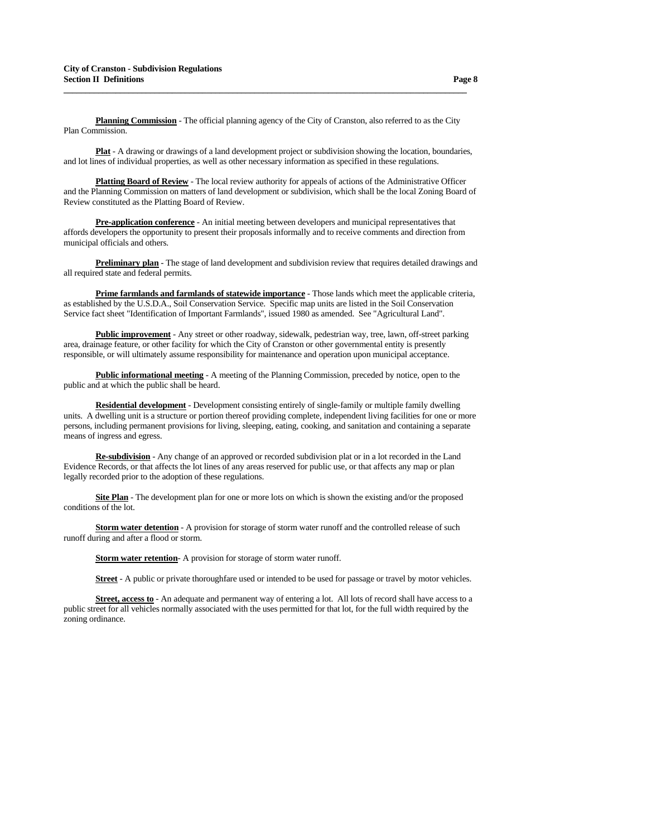**Planning Commission** - The official planning agency of the City of Cranston, also referred to as the City Plan Commission.

**\_\_\_\_\_\_\_\_\_\_\_\_\_\_\_\_\_\_\_\_\_\_\_\_\_\_\_\_\_\_\_\_\_\_\_\_\_\_\_\_\_\_\_\_\_\_\_\_\_\_\_\_\_\_\_\_\_\_\_\_\_\_\_\_\_\_\_\_\_\_\_\_\_\_\_\_\_\_\_\_\_\_\_\_\_\_\_\_\_\_\_\_\_**

 **Plat** - A drawing or drawings of a land development project or subdivision showing the location, boundaries, and lot lines of individual properties, as well as other necessary information as specified in these regulations.

 **Platting Board of Review** - The local review authority for appeals of actions of the Administrative Officer and the Planning Commission on matters of land development or subdivision, which shall be the local Zoning Board of Review constituted as the Platting Board of Review.

 **Pre-application conference** - An initial meeting between developers and municipal representatives that affords developers the opportunity to present their proposals informally and to receive comments and direction from municipal officials and others.

 **Preliminary plan** - The stage of land development and subdivision review that requires detailed drawings and all required state and federal permits.

 **Prime farmlands and farmlands of statewide importance** - Those lands which meet the applicable criteria, as established by the U.S.D.A., Soil Conservation Service. Specific map units are listed in the Soil Conservation Service fact sheet "Identification of Important Farmlands", issued 1980 as amended. See "Agricultural Land".

 **Public improvement** - Any street or other roadway, sidewalk, pedestrian way, tree, lawn, off-street parking area, drainage feature, or other facility for which the City of Cranston or other governmental entity is presently responsible, or will ultimately assume responsibility for maintenance and operation upon municipal acceptance.

**Public informational meeting** - A meeting of the Planning Commission, preceded by notice, open to the public and at which the public shall be heard.

 **Residential development** - Development consisting entirely of single-family or multiple family dwelling units. A dwelling unit is a structure or portion thereof providing complete, independent living facilities for one or more persons, including permanent provisions for living, sleeping, eating, cooking, and sanitation and containing a separate means of ingress and egress.

 **Re-subdivision** - Any change of an approved or recorded subdivision plat or in a lot recorded in the Land Evidence Records, or that affects the lot lines of any areas reserved for public use, or that affects any map or plan legally recorded prior to the adoption of these regulations.

 **Site Plan** - The development plan for one or more lots on which is shown the existing and/or the proposed conditions of the lot.

**Storm water detention** - A provision for storage of storm water runoff and the controlled release of such runoff during and after a flood or storm.

 **Storm water retention**- A provision for storage of storm water runoff.

 **Street** - A public or private thoroughfare used or intended to be used for passage or travel by motor vehicles.

 **Street, access to** - An adequate and permanent way of entering a lot. All lots of record shall have access to a public street for all vehicles normally associated with the uses permitted for that lot, for the full width required by the zoning ordinance.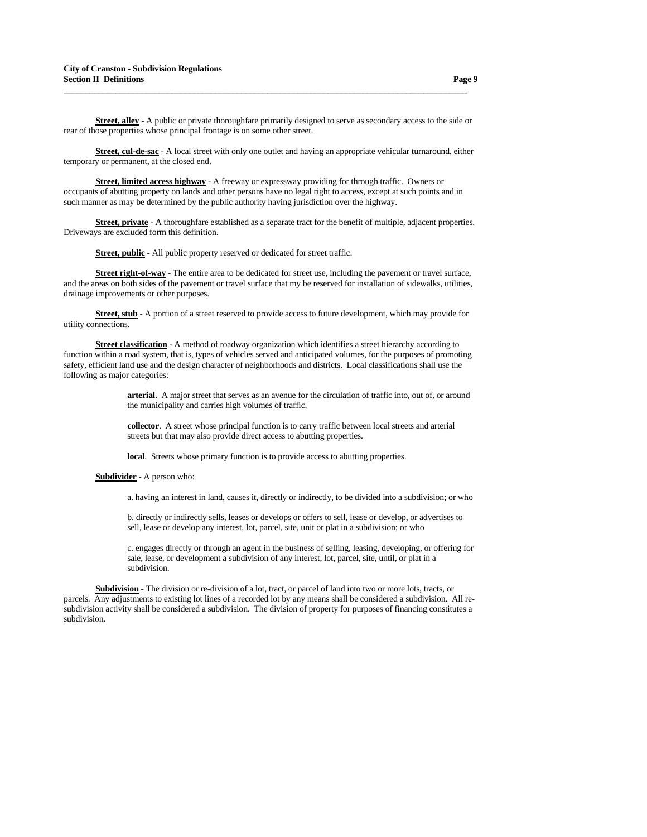**Street, alley** - A public or private thoroughfare primarily designed to serve as secondary access to the side or rear of those properties whose principal frontage is on some other street.

**\_\_\_\_\_\_\_\_\_\_\_\_\_\_\_\_\_\_\_\_\_\_\_\_\_\_\_\_\_\_\_\_\_\_\_\_\_\_\_\_\_\_\_\_\_\_\_\_\_\_\_\_\_\_\_\_\_\_\_\_\_\_\_\_\_\_\_\_\_\_\_\_\_\_\_\_\_\_\_\_\_\_\_\_\_\_\_\_\_\_\_\_\_**

 **Street, cul-de-sac** - A local street with only one outlet and having an appropriate vehicular turnaround, either temporary or permanent, at the closed end.

 **Street, limited access highway** - A freeway or expressway providing for through traffic. Owners or occupants of abutting property on lands and other persons have no legal right to access, except at such points and in such manner as may be determined by the public authority having jurisdiction over the highway.

 **Street, private** - A thoroughfare established as a separate tract for the benefit of multiple, adjacent properties. Driveways are excluded form this definition.

 **Street, public** - All public property reserved or dedicated for street traffic.

 **Street right-of-way** - The entire area to be dedicated for street use, including the pavement or travel surface, and the areas on both sides of the pavement or travel surface that my be reserved for installation of sidewalks, utilities, drainage improvements or other purposes.

**Street, stub** - A portion of a street reserved to provide access to future development, which may provide for utility connections.

**Street classification** - A method of roadway organization which identifies a street hierarchy according to function within a road system, that is, types of vehicles served and anticipated volumes, for the purposes of promoting safety, efficient land use and the design character of neighborhoods and districts. Local classifications shall use the following as major categories:

> **arterial**. A major street that serves as an avenue for the circulation of traffic into, out of, or around the municipality and carries high volumes of traffic.

 **collector**. A street whose principal function is to carry traffic between local streets and arterial streets but that may also provide direct access to abutting properties.

 **local**. Streets whose primary function is to provide access to abutting properties.

#### **Subdivider** - A person who:

a. having an interest in land, causes it, directly or indirectly, to be divided into a subdivision; or who

 b. directly or indirectly sells, leases or develops or offers to sell, lease or develop, or advertises to sell, lease or develop any interest, lot, parcel, site, unit or plat in a subdivision; or who

 c. engages directly or through an agent in the business of selling, leasing, developing, or offering for sale, lease, or development a subdivision of any interest, lot, parcel, site, until, or plat in a subdivision.

 **Subdivision** - The division or re-division of a lot, tract, or parcel of land into two or more lots, tracts, or parcels. Any adjustments to existing lot lines of a recorded lot by any means shall be considered a subdivision. All resubdivision activity shall be considered a subdivision. The division of property for purposes of financing constitutes a subdivision.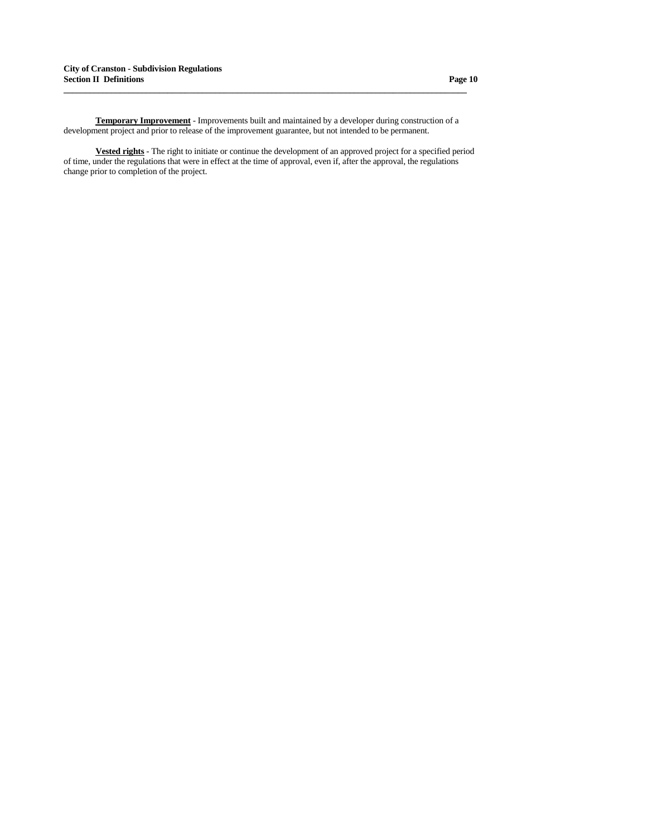**Temporary Improvement** - Improvements built and maintained by a developer during construction of a development project and prior to release of the improvement guarantee, but not intended to be permanent.

**\_\_\_\_\_\_\_\_\_\_\_\_\_\_\_\_\_\_\_\_\_\_\_\_\_\_\_\_\_\_\_\_\_\_\_\_\_\_\_\_\_\_\_\_\_\_\_\_\_\_\_\_\_\_\_\_\_\_\_\_\_\_\_\_\_\_\_\_\_\_\_\_\_\_\_\_\_\_\_\_\_\_\_\_\_\_\_\_\_\_\_\_\_**

 **Vested rights** - The right to initiate or continue the development of an approved project for a specified period of time, under the regulations that were in effect at the time of approval, even if, after the approval, the regulations change prior to completion of the project.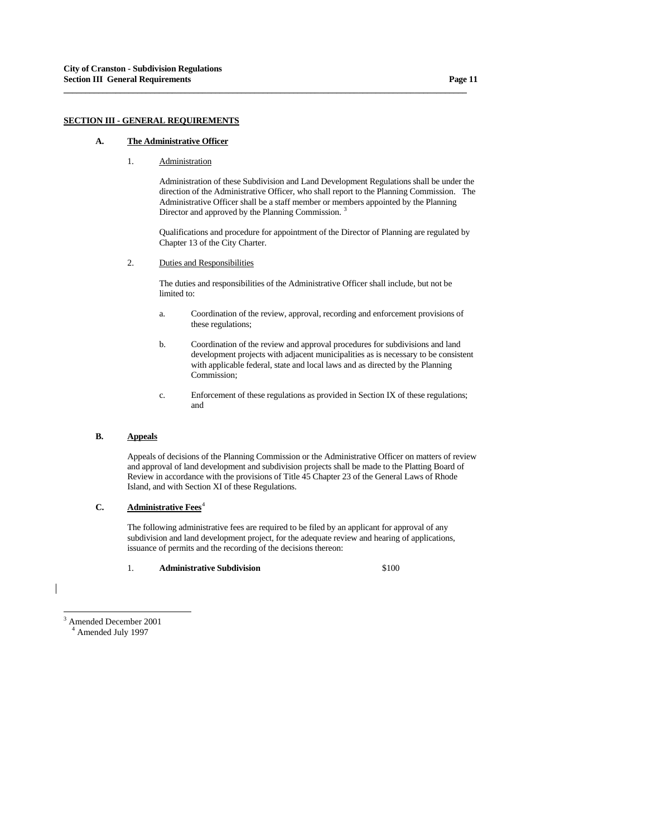## **SECTION III - GENERAL REQUIREMENTS**

#### **A. The Administrative Officer**

## 1. Administration

 Administration of these Subdivision and Land Development Regulations shall be under the direction of the Administrative Officer, who shall report to the Planning Commission. The Administrative Officer shall be a staff member or members appointed by the Planning Director and approved by the Planning Commission.<sup>[3](#page-10-0)</sup>

**\_\_\_\_\_\_\_\_\_\_\_\_\_\_\_\_\_\_\_\_\_\_\_\_\_\_\_\_\_\_\_\_\_\_\_\_\_\_\_\_\_\_\_\_\_\_\_\_\_\_\_\_\_\_\_\_\_\_\_\_\_\_\_\_\_\_\_\_\_\_\_\_\_\_\_\_\_\_\_\_\_\_\_\_\_\_\_\_\_\_\_\_\_**

 Qualifications and procedure for appointment of the Director of Planning are regulated by Chapter 13 of the City Charter.

## 2. Duties and Responsibilities

 The duties and responsibilities of the Administrative Officer shall include, but not be limited to:

- a. Coordination of the review, approval, recording and enforcement provisions of these regulations;
- b. Coordination of the review and approval procedures for subdivisions and land development projects with adjacent municipalities as is necessary to be consistent with applicable federal, state and local laws and as directed by the Planning Commission;
- c. Enforcement of these regulations as provided in Section IX of these regulations; and

# **B. Appeals**

 Appeals of decisions of the Planning Commission or the Administrative Officer on matters of review and approval of land development and subdivision projects shall be made to the Platting Board of Review in accordance with the provisions of Title 45 Chapter 23 of the General Laws of Rhode Island, and with Section XI of these Regulations.

# **C.** Administrative Fees<sup>[4](#page-10-1)</sup>

 The following administrative fees are required to be filed by an applicant for approval of any subdivision and land development project, for the adequate review and hearing of applications, issuance of permits and the recording of the decisions thereon:

1. **Administrative Subdivision** \$100

3 Amended December 2001

<span id="page-10-1"></span><span id="page-10-0"></span><sup>4</sup> Amended July 1997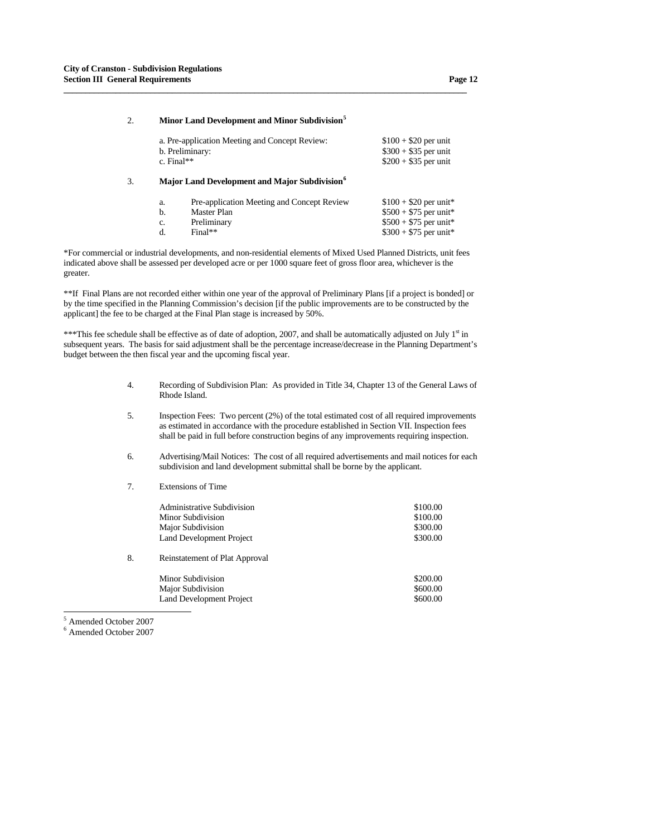## 2. **Minor Land Development and Minor Subdivision[5](#page-11-0)**

**\_\_\_\_\_\_\_\_\_\_\_\_\_\_\_\_\_\_\_\_\_\_\_\_\_\_\_\_\_\_\_\_\_\_\_\_\_\_\_\_\_\_\_\_\_\_\_\_\_\_\_\_\_\_\_\_\_\_\_\_\_\_\_\_\_\_\_\_\_\_\_\_\_\_\_\_\_\_\_\_\_\_\_\_\_\_\_\_\_\_\_\_\_**

| a. Pre-application Meeting and Concept Review:<br>b. Preliminary:<br>c. Final** | $$100 + $20$ per unit<br>$$300 + $35$ per unit<br>$$200 + $35$ per unit |
|---------------------------------------------------------------------------------|-------------------------------------------------------------------------|
|                                                                                 |                                                                         |

## 3. **Major Land Development and Major Subdivision[6](#page-11-1)**

| a.       | Pre-application Meeting and Concept Review | $$100 + $20$ per unit*                           |
|----------|--------------------------------------------|--------------------------------------------------|
|          | Master Plan                                | $$500 + $75$ per unit*                           |
| c.<br>d. | Preliminary<br>$Final**$                   | $$500 + $75$ per unit*<br>$$300 + $75$ per unit* |
|          |                                            |                                                  |

\*For commercial or industrial developments, and non-residential elements of Mixed Used Planned Districts, unit fees indicated above shall be assessed per developed acre or per 1000 square feet of gross floor area, whichever is the greater.

\*\*If Final Plans are not recorded either within one year of the approval of Preliminary Plans [if a project is bonded] or by the time specified in the Planning Commission's decision [if the public improvements are to be constructed by the applicant] the fee to be charged at the Final Plan stage is increased by 50%.

\*\*\*This fee schedule shall be effective as of date of adoption, 2007, and shall be automatically adjusted on July 1<sup>st</sup> in subsequent years. The basis for said adjustment shall be the percentage increase/decrease in the Planning Department's budget between the then fiscal year and the upcoming fiscal year.

- 4. Recording of Subdivision Plan: As provided in Title 34, Chapter 13 of the General Laws of Rhode Island.
- 5. Inspection Fees: Two percent (2%) of the total estimated cost of all required improvements as estimated in accordance with the procedure established in Section VII. Inspection fees shall be paid in full before construction begins of any improvements requiring inspection.
- 6. Advertising/Mail Notices: The cost of all required advertisements and mail notices for each subdivision and land development submittal shall be borne by the applicant.
- 7. Extensions of Time

| Administrative Subdivision                                 | \$100.00 |
|------------------------------------------------------------|----------|
| Minor Subdivision                                          | \$100.00 |
| Major Subdivision                                          | \$300.00 |
| Land Development Project                                   | \$300.00 |
| $\sim$ $\sim$ $\sim$ $\sim$ $\sim$ $\sim$ $\sim$<br>$\sim$ |          |

8. Reinstatement of Plat Approval

Minor Subdivision  $\frac{200.00}{200}$ Major Subdivision  $$600.00$ Land Development Project \$600.00

5 Amended October 2007

<span id="page-11-1"></span><span id="page-11-0"></span>6 Amended October 2007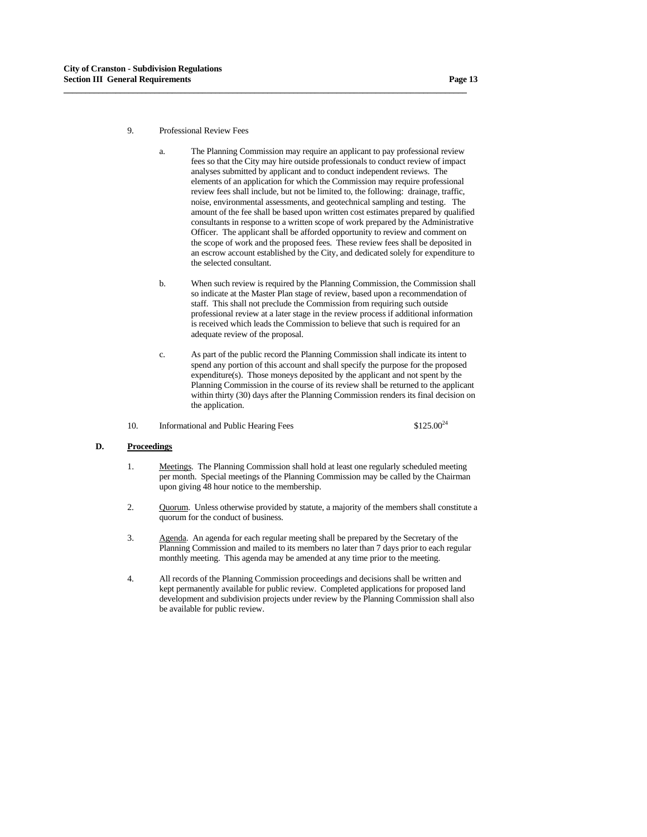#### 9. Professional Review Fees

 a. The Planning Commission may require an applicant to pay professional review fees so that the City may hire outside professionals to conduct review of impact analyses submitted by applicant and to conduct independent reviews. The elements of an application for which the Commission may require professional review fees shall include, but not be limited to, the following: drainage, traffic, noise, environmental assessments, and geotechnical sampling and testing. The amount of the fee shall be based upon written cost estimates prepared by qualified consultants in response to a written scope of work prepared by the Administrative Officer. The applicant shall be afforded opportunity to review and comment on the scope of work and the proposed fees. These review fees shall be deposited in an escrow account established by the City, and dedicated solely for expenditure to the selected consultant.

**\_\_\_\_\_\_\_\_\_\_\_\_\_\_\_\_\_\_\_\_\_\_\_\_\_\_\_\_\_\_\_\_\_\_\_\_\_\_\_\_\_\_\_\_\_\_\_\_\_\_\_\_\_\_\_\_\_\_\_\_\_\_\_\_\_\_\_\_\_\_\_\_\_\_\_\_\_\_\_\_\_\_\_\_\_\_\_\_\_\_\_\_\_**

- b. When such review is required by the Planning Commission, the Commission shall so indicate at the Master Plan stage of review, based upon a recommendation of staff. This shall not preclude the Commission from requiring such outside professional review at a later stage in the review process if additional information is received which leads the Commission to believe that such is required for an adequate review of the proposal.
- c. As part of the public record the Planning Commission shall indicate its intent to spend any portion of this account and shall specify the purpose for the proposed expenditure(s). Those moneys deposited by the applicant and not spent by the Planning Commission in the course of its review shall be returned to the applicant within thirty (30) days after the Planning Commission renders its final decision on the application.
- 10. Informational and Public Hearing Fees  $$125.00^{24}$

## **D. Proceedings**

- 1. Meetings. The Planning Commission shall hold at least one regularly scheduled meeting per month. Special meetings of the Planning Commission may be called by the Chairman upon giving 48 hour notice to the membership.
- 2. Quorum. Unless otherwise provided by statute, a majority of the members shall constitute a quorum for the conduct of business.
- 3. Agenda. An agenda for each regular meeting shall be prepared by the Secretary of the Planning Commission and mailed to its members no later than 7 days prior to each regular monthly meeting. This agenda may be amended at any time prior to the meeting.
- 4. All records of the Planning Commission proceedings and decisions shall be written and kept permanently available for public review. Completed applications for proposed land development and subdivision projects under review by the Planning Commission shall also be available for public review.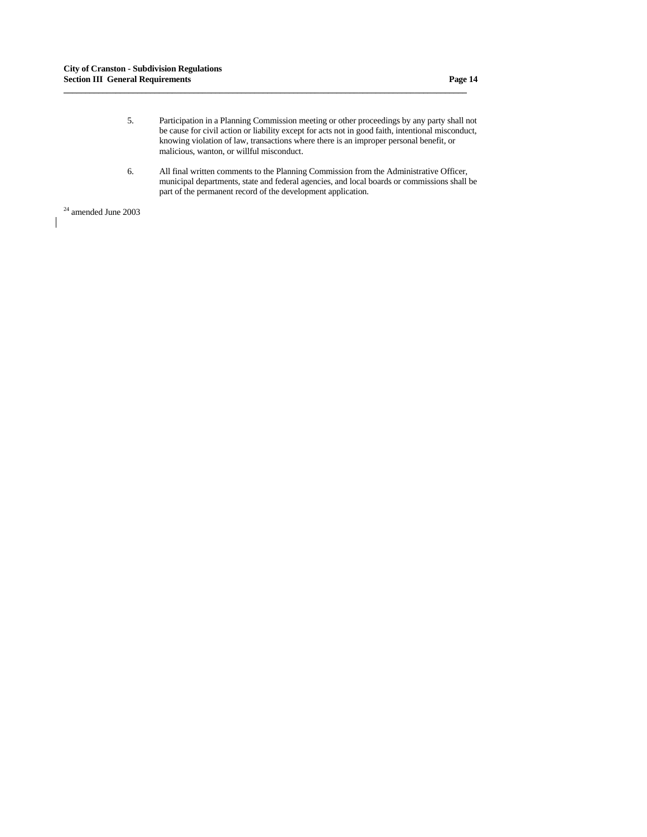5. Participation in a Planning Commission meeting or other proceedings by any party shall not be cause for civil action or liability except for acts not in good faith, intentional misconduct, knowing violation of law, transactions where there is an improper personal benefit, or malicious, wanton, or willful misconduct.

**\_\_\_\_\_\_\_\_\_\_\_\_\_\_\_\_\_\_\_\_\_\_\_\_\_\_\_\_\_\_\_\_\_\_\_\_\_\_\_\_\_\_\_\_\_\_\_\_\_\_\_\_\_\_\_\_\_\_\_\_\_\_\_\_\_\_\_\_\_\_\_\_\_\_\_\_\_\_\_\_\_\_\_\_\_\_\_\_\_\_\_\_\_**

 6. All final written comments to the Planning Commission from the Administrative Officer, municipal departments, state and federal agencies, and local boards or commissions shall be part of the permanent record of the development application.

 $^\mathrm{24}$  amended June 2003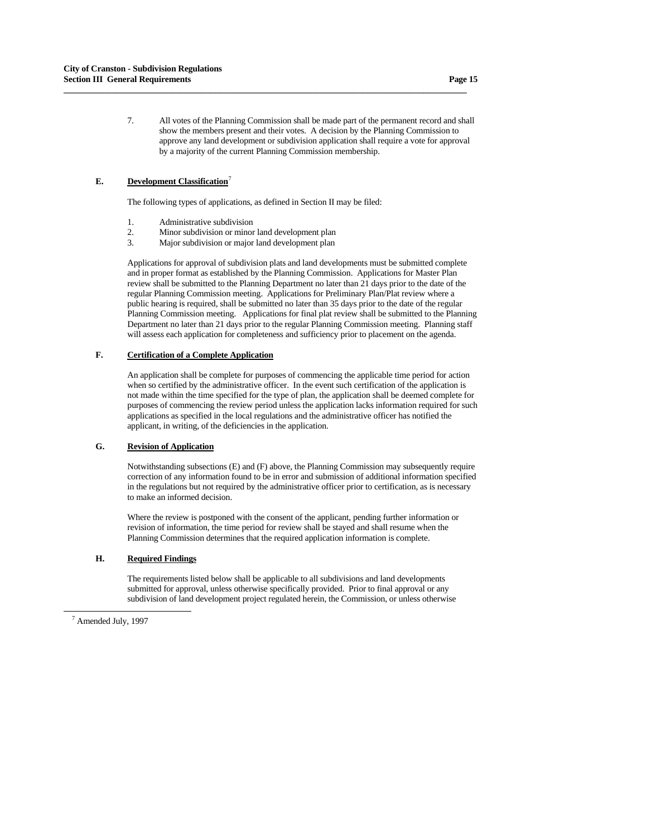7. All votes of the Planning Commission shall be made part of the permanent record and shall show the members present and their votes. A decision by the Planning Commission to approve any land development or subdivision application shall require a vote for approval by a majority of the current Planning Commission membership.

## **E.** Development Classification<sup>[7](#page-14-0)</sup>

The following types of applications, as defined in Section II may be filed:

**\_\_\_\_\_\_\_\_\_\_\_\_\_\_\_\_\_\_\_\_\_\_\_\_\_\_\_\_\_\_\_\_\_\_\_\_\_\_\_\_\_\_\_\_\_\_\_\_\_\_\_\_\_\_\_\_\_\_\_\_\_\_\_\_\_\_\_\_\_\_\_\_\_\_\_\_\_\_\_\_\_\_\_\_\_\_\_\_\_\_\_\_\_**

- 1. Administrative subdivision<br>2. Minor subdivision or minor
- 2. Minor subdivision or minor land development plan<br>3. Maior subdivision or maior land development plan
- Major subdivision or major land development plan

 Applications for approval of subdivision plats and land developments must be submitted complete and in proper format as established by the Planning Commission. Applications for Master Plan review shall be submitted to the Planning Department no later than 21 days prior to the date of the regular Planning Commission meeting. Applications for Preliminary Plan/Plat review where a public hearing is required, shall be submitted no later than 35 days prior to the date of the regular Planning Commission meeting. Applications for final plat review shall be submitted to the Planning Department no later than 21 days prior to the regular Planning Commission meeting. Planning staff will assess each application for completeness and sufficiency prior to placement on the agenda.

## **F. Certification of a Complete Application**

 An application shall be complete for purposes of commencing the applicable time period for action when so certified by the administrative officer. In the event such certification of the application is not made within the time specified for the type of plan, the application shall be deemed complete for purposes of commencing the review period unless the application lacks information required for such applications as specified in the local regulations and the administrative officer has notified the applicant, in writing, of the deficiencies in the application.

# **G. Revision of Application**

 Notwithstanding subsections (E) and (F) above, the Planning Commission may subsequently require correction of any information found to be in error and submission of additional information specified in the regulations but not required by the administrative officer prior to certification, as is necessary to make an informed decision.

 Where the review is postponed with the consent of the applicant, pending further information or revision of information, the time period for review shall be stayed and shall resume when the Planning Commission determines that the required application information is complete.

## **H. Required Findings**

 The requirements listed below shall be applicable to all subdivisions and land developments submitted for approval, unless otherwise specifically provided. Prior to final approval or any subdivision of land development project regulated herein, the Commission, or unless otherwise

-

<span id="page-14-0"></span><sup>7</sup> Amended July, 1997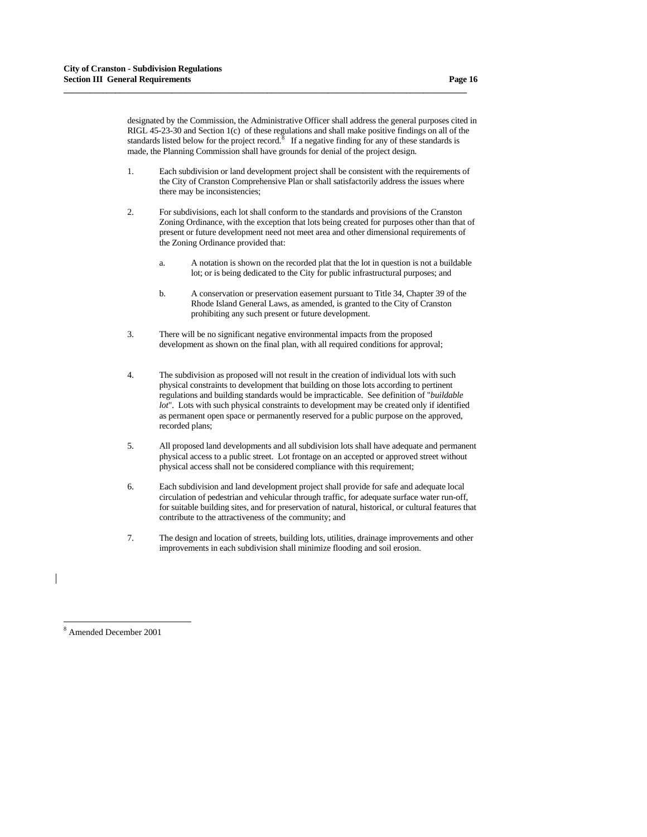designated by the Commission, the Administrative Officer shall address the general purposes cited in RIGL 45-23-30 and Section 1(c) of these regulations and shall make positive findings on all of the standards listed below for the project record.<sup>[8](#page-15-0)</sup> If a negative finding for any of these standards is made, the Planning Commission shall have grounds for denial of the project design.

**\_\_\_\_\_\_\_\_\_\_\_\_\_\_\_\_\_\_\_\_\_\_\_\_\_\_\_\_\_\_\_\_\_\_\_\_\_\_\_\_\_\_\_\_\_\_\_\_\_\_\_\_\_\_\_\_\_\_\_\_\_\_\_\_\_\_\_\_\_\_\_\_\_\_\_\_\_\_\_\_\_\_\_\_\_\_\_\_\_\_\_\_\_**

- 1. Each subdivision or land development project shall be consistent with the requirements of the City of Cranston Comprehensive Plan or shall satisfactorily address the issues where there may be inconsistencies;
- 2. For subdivisions, each lot shall conform to the standards and provisions of the Cranston Zoning Ordinance, with the exception that lots being created for purposes other than that of present or future development need not meet area and other dimensional requirements of the Zoning Ordinance provided that:
	- a. A notation is shown on the recorded plat that the lot in question is not a buildable lot; or is being dedicated to the City for public infrastructural purposes; and
	- b. A conservation or preservation easement pursuant to Title 34, Chapter 39 of the Rhode Island General Laws, as amended, is granted to the City of Cranston prohibiting any such present or future development.
- 3. There will be no significant negative environmental impacts from the proposed development as shown on the final plan, with all required conditions for approval;
- 4. The subdivision as proposed will not result in the creation of individual lots with such physical constraints to development that building on those lots according to pertinent regulations and building standards would be impracticable. See definition of "*buildable lot*". Lots with such physical constraints to development may be created only if identified as permanent open space or permanently reserved for a public purpose on the approved, recorded plans;
- 5. All proposed land developments and all subdivision lots shall have adequate and permanent physical access to a public street. Lot frontage on an accepted or approved street without physical access shall not be considered compliance with this requirement;
- 6. Each subdivision and land development project shall provide for safe and adequate local circulation of pedestrian and vehicular through traffic, for adequate surface water run-off, for suitable building sites, and for preservation of natural, historical, or cultural features that contribute to the attractiveness of the community; and
- 7. The design and location of streets, building lots, utilities, drainage improvements and other improvements in each subdivision shall minimize flooding and soil erosion.

<span id="page-15-0"></span>8 Amended December 2001

-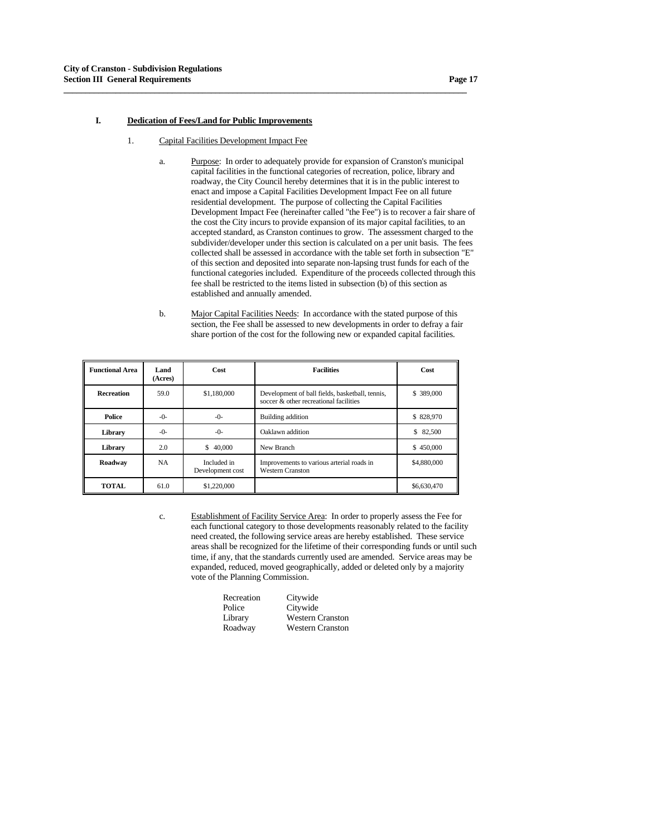## **I. Dedication of Fees/Land for Public Improvements**

1. Capital Facilities Development Impact Fee

**\_\_\_\_\_\_\_\_\_\_\_\_\_\_\_\_\_\_\_\_\_\_\_\_\_\_\_\_\_\_\_\_\_\_\_\_\_\_\_\_\_\_\_\_\_\_\_\_\_\_\_\_\_\_\_\_\_\_\_\_\_\_\_\_\_\_\_\_\_\_\_\_\_\_\_\_\_\_\_\_\_\_\_\_\_\_\_\_\_\_\_\_\_**

- a. Purpose: In order to adequately provide for expansion of Cranston's municipal capital facilities in the functional categories of recreation, police, library and roadway, the City Council hereby determines that it is in the public interest to enact and impose a Capital Facilities Development Impact Fee on all future residential development. The purpose of collecting the Capital Facilities Development Impact Fee (hereinafter called "the Fee") is to recover a fair share of the cost the City incurs to provide expansion of its major capital facilities, to an accepted standard, as Cranston continues to grow. The assessment charged to the subdivider/developer under this section is calculated on a per unit basis. The fees collected shall be assessed in accordance with the table set forth in subsection "E" of this section and deposited into separate non-lapsing trust funds for each of the functional categories included. Expenditure of the proceeds collected through this fee shall be restricted to the items listed in subsection (b) of this section as established and annually amended.
- b. Major Capital Facilities Needs: In accordance with the stated purpose of this section, the Fee shall be assessed to new developments in order to defray a fair share portion of the cost for the following new or expanded capital facilities.

| <b>Functional Area</b> | Land<br>(Acres) | Cost                            | <b>Facilities</b>                                                                         | <b>Cost</b>  |
|------------------------|-----------------|---------------------------------|-------------------------------------------------------------------------------------------|--------------|
| <b>Recreation</b>      | 59.0            | \$1,180,000                     | Development of ball fields, basketball, tennis,<br>soccer & other recreational facilities | \$389,000    |
| Police                 | -0-             | $-()$ -                         | Building addition                                                                         | \$828,970    |
| Library                | $-0-$           | $-()$ -                         | Oaklawn addition                                                                          | 82,500<br>\$ |
| Library                | 2.0             | 40,000<br>\$                    | New Branch                                                                                | \$450,000    |
| Roadway                | <b>NA</b>       | Included in<br>Development cost | Improvements to various arterial roads in<br><b>Western Cranston</b>                      | \$4,880,000  |
| <b>TOTAL</b>           | 61.0            | \$1,220,000                     |                                                                                           | \$6,630,470  |

 c. Establishment of Facility Service Area: In order to properly assess the Fee for each functional category to those developments reasonably related to the facility need created, the following service areas are hereby established. These service areas shall be recognized for the lifetime of their corresponding funds or until such time, if any, that the standards currently used are amended. Service areas may be expanded, reduced, moved geographically, added or deleted only by a majority vote of the Planning Commission.

| Recreation | Citywide                |
|------------|-------------------------|
| Police     | Citywide                |
| Library    | <b>Western Cranston</b> |
| Roadway    | <b>Western Cranston</b> |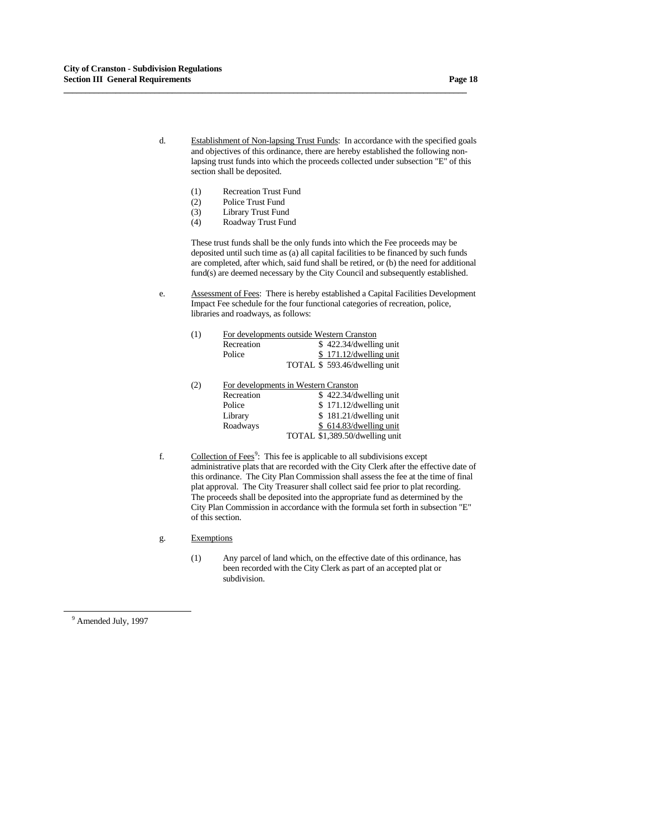- d. Establishment of Non-lapsing Trust Funds: In accordance with the specified goals and objectives of this ordinance, there are hereby established the following nonlapsing trust funds into which the proceeds collected under subsection "E" of this section shall be deposited.
	- (1) Recreation Trust Fund

- (2) Police Trust Fund
- (3) Library Trust Fund
- (4) Roadway Trust Fund

These trust funds shall be the only funds into which the Fee proceeds may be deposited until such time as (a) all capital facilities to be financed by such funds are completed, after which, said fund shall be retired, or (b) the need for additional fund(s) are deemed necessary by the City Council and subsequently established.

 e. Assessment of Fees: There is hereby established a Capital Facilities Development Impact Fee schedule for the four functional categories of recreation, police, libraries and roadways, as follows:

| (1) | For developments outside Western Cranston |                              |
|-----|-------------------------------------------|------------------------------|
|     | Recreation                                | \$422.34/dwelling unit       |
|     | Police                                    | \$171.12/dwelling unit       |
|     |                                           | TOTAL \$593.46/dwelling unit |

- (2) For developments in Western Cranston Recreation  $\frac{1}{2}$  \$ 422.34/dwelling unit<br>Police \$ 171.12/dwelling unit  $$171.12/dwelling unit$ Library \$ 181.21/dwelling unit Roadways \$ 614.83/dwelling unit TOTAL \$1,389.50/dwelling unit
- f.  $\qquad \qquad \text{Collection of Fees}^9$  $\qquad \qquad \text{Collection of Fees}^9$ : This fee is applicable to all subdivisions except administrative plats that are recorded with the City Clerk after the effective date of this ordinance. The City Plan Commission shall assess the fee at the time of final plat approval. The City Treasurer shall collect said fee prior to plat recording. The proceeds shall be deposited into the appropriate fund as determined by the City Plan Commission in accordance with the formula set forth in subsection "E" of this section.
	- g. Exemptions
		- (1) Any parcel of land which, on the effective date of this ordinance, has been recorded with the City Clerk as part of an accepted plat or subdivision.

<span id="page-17-0"></span><sup>9</sup> Amended July, 1997

-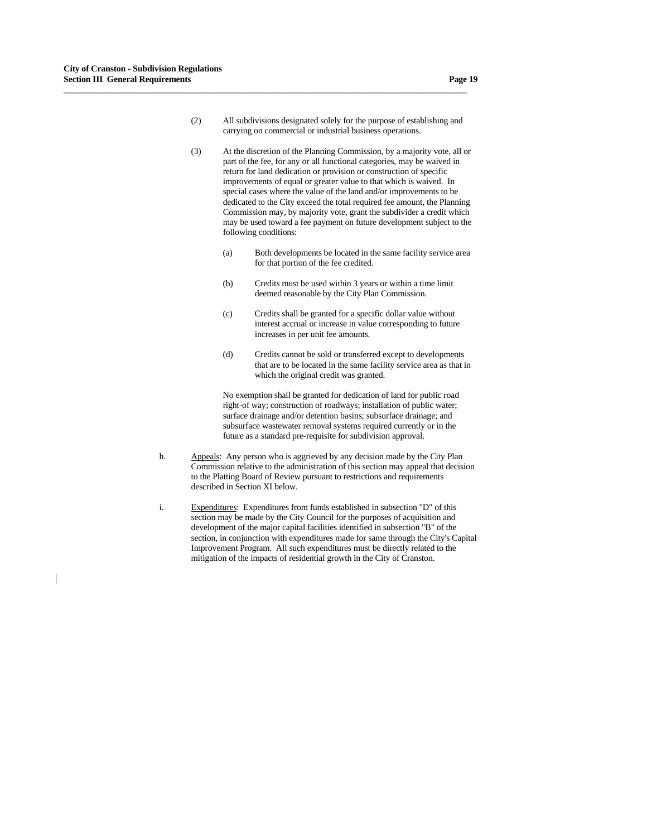(2) All subdivisions designated solely for the purpose of establishing and carrying on commercial or industrial business operations.

**\_\_\_\_\_\_\_\_\_\_\_\_\_\_\_\_\_\_\_\_\_\_\_\_\_\_\_\_\_\_\_\_\_\_\_\_\_\_\_\_\_\_\_\_\_\_\_\_\_\_\_\_\_\_\_\_\_\_\_\_\_\_\_\_\_\_\_\_\_\_\_\_\_\_\_\_\_\_\_\_\_\_\_\_\_\_\_\_\_\_\_\_\_**

- (3) At the discretion of the Planning Commission, by a majority vote, all or part of the fee, for any or all functional categories, may be waived in return for land dedication or provision or construction of specific improvements of equal or greater value to that which is waived. In special cases where the value of the land and/or improvements to be dedicated to the City exceed the total required fee amount, the Planning Commission may, by majority vote, grant the subdivider a credit which may be used toward a fee payment on future development subject to the following conditions:
	- (a) Both developments be located in the same facility service area for that portion of the fee credited.
	- (b) Credits must be used within 3 years or within a time limit deemed reasonable by the City Plan Commission.
	- (c) Credits shall be granted for a specific dollar value without interest accrual or increase in value corresponding to future increases in per unit fee amounts.
	- (d) Credits cannot be sold or transferred except to developments that are to be located in the same facility service area as that in which the original credit was granted.

 No exemption shall be granted for dedication of land for public road right-of way; construction of roadways; installation of public water; surface drainage and/or detention basins; subsurface drainage; and subsurface wastewater removal systems required currently or in the future as a standard pre-requisite for subdivision approval.

- h. Appeals: Any person who is aggrieved by any decision made by the City Plan Commission relative to the administration of this section may appeal that decision to the Platting Board of Review pursuant to restrictions and requirements described in Section XI below.
- i. Expenditures: Expenditures from funds established in subsection "D" of this section may be made by the City Council for the purposes of acquisition and development of the major capital facilities identified in subsection "B" of the section, in conjunction with expenditures made for same through the City's Capital Improvement Program. All such expenditures must be directly related to the mitigation of the impacts of residential growth in the City of Cranston.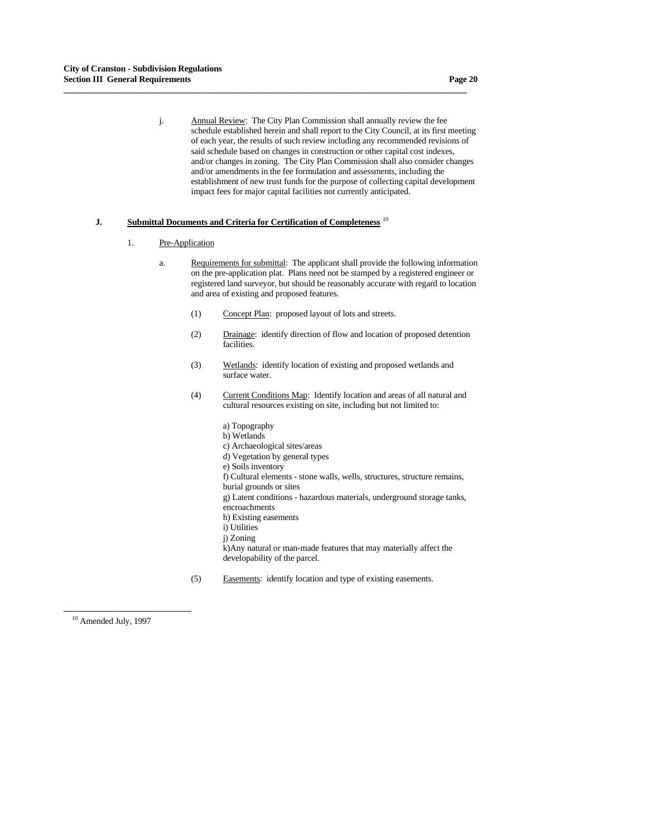j. Annual Review: The City Plan Commission shall annually review the fee schedule established herein and shall report to the City Council, at its first meeting of each year, the results of such review including any recommended revisions of said schedule based on changes in construction or other capital cost indexes, and/or changes in zoning. The City Plan Commission shall also consider changes and/or amendments in the fee formulation and assessments, including the establishment of new trust funds for the purpose of collecting capital development impact fees for major capital facilities not currently anticipated.

## **J. Submittal Documents and Criteria for Certification of Completeness** [1](#page-19-0)0

**\_\_\_\_\_\_\_\_\_\_\_\_\_\_\_\_\_\_\_\_\_\_\_\_\_\_\_\_\_\_\_\_\_\_\_\_\_\_\_\_\_\_\_\_\_\_\_\_\_\_\_\_\_\_\_\_\_\_\_\_\_\_\_\_\_\_\_\_\_\_\_\_\_\_\_\_\_\_\_\_\_\_\_\_\_\_\_\_\_\_\_\_\_**

- 1. Pre-Application
	- a. Requirements for submittal: The applicant shall provide the following information on the pre-application plat. Plans need not be stamped by a registered engineer or registered land surveyor, but should be reasonably accurate with regard to location and area of existing and proposed features.
		- (1) Concept Plan: proposed layout of lots and streets.
		- (2) Drainage: identify direction of flow and location of proposed detention facilities.
		- (3) Wetlands: identify location of existing and proposed wetlands and surface water.
		- (4) Current Conditions Map: Identify location and areas of all natural and cultural resources existing on site, including but not limited to:
			- a) Topography b) Wetlands c) Archaeological sites/areas d) Vegetation by general types e) Soils inventory f) Cultural elements - stone walls, wells, structures, structure remains, burial grounds or sites g) Latent conditions - hazardous materials, underground storage tanks, encroachments h) Existing easements i) Utilities j) Zoning k)Any natural or man-made features that may materially affect the developability of the parcel.
		- (5) Easements: identify location and type of existing easements.

-

<span id="page-19-0"></span><sup>&</sup>lt;sup>10</sup> Amended July, 1997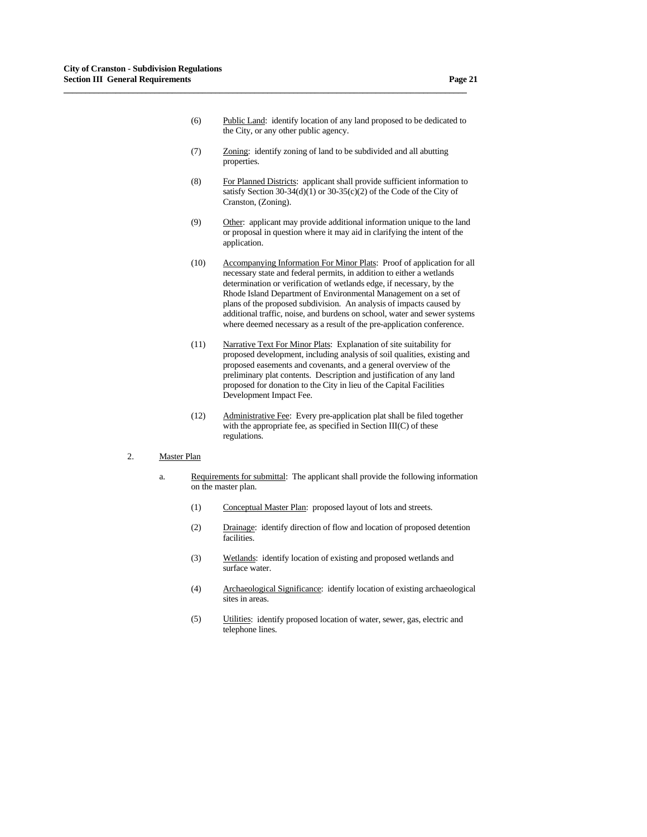- (6) Public Land: identify location of any land proposed to be dedicated to the City, or any other public agency.
- (7) Zoning: identify zoning of land to be subdivided and all abutting properties.

- (8) For Planned Districts: applicant shall provide sufficient information to satisfy Section 30-34(d)(1) or 30-35(c)(2) of the Code of the City of Cranston, (Zoning).
- (9) Other: applicant may provide additional information unique to the land or proposal in question where it may aid in clarifying the intent of the application.
- (10) Accompanying Information For Minor Plats: Proof of application for all necessary state and federal permits, in addition to either a wetlands determination or verification of wetlands edge, if necessary, by the Rhode Island Department of Environmental Management on a set of plans of the proposed subdivision. An analysis of impacts caused by additional traffic, noise, and burdens on school, water and sewer systems where deemed necessary as a result of the pre-application conference.
- (11) Narrative Text For Minor Plats: Explanation of site suitability for proposed development, including analysis of soil qualities, existing and proposed easements and covenants, and a general overview of the preliminary plat contents. Description and justification of any land proposed for donation to the City in lieu of the Capital Facilities Development Impact Fee.
- (12) Administrative Fee: Every pre-application plat shall be filed together with the appropriate fee, as specified in Section III(C) of these regulations.

## 2. Master Plan

- a. Requirements for submittal: The applicant shall provide the following information on the master plan.
	- (1) Conceptual Master Plan: proposed layout of lots and streets.
	- (2) Drainage: identify direction of flow and location of proposed detention facilities.
	- (3) Wetlands: identify location of existing and proposed wetlands and surface water.
	- (4) Archaeological Significance: identify location of existing archaeological sites in areas.
	- (5) Utilities: identify proposed location of water, sewer, gas, electric and telephone lines.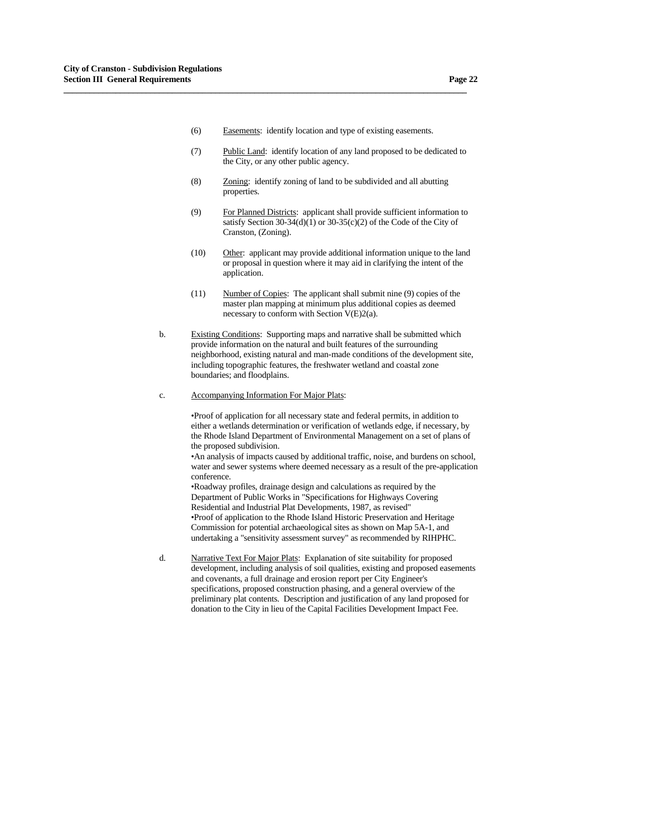(6) Easements: identify location and type of existing easements.

**\_\_\_\_\_\_\_\_\_\_\_\_\_\_\_\_\_\_\_\_\_\_\_\_\_\_\_\_\_\_\_\_\_\_\_\_\_\_\_\_\_\_\_\_\_\_\_\_\_\_\_\_\_\_\_\_\_\_\_\_\_\_\_\_\_\_\_\_\_\_\_\_\_\_\_\_\_\_\_\_\_\_\_\_\_\_\_\_\_\_\_\_\_**

- (7) Public Land: identify location of any land proposed to be dedicated to the City, or any other public agency.
- (8) Zoning: identify zoning of land to be subdivided and all abutting properties.
- (9) For Planned Districts: applicant shall provide sufficient information to satisfy Section 30-34(d)(1) or 30-35(c)(2) of the Code of the City of Cranston, (Zoning).
- (10) Other: applicant may provide additional information unique to the land or proposal in question where it may aid in clarifying the intent of the application.
- (11) Number of Copies: The applicant shall submit nine (9) copies of the master plan mapping at minimum plus additional copies as deemed necessary to conform with Section V(E)2(a).
- b. Existing Conditions: Supporting maps and narrative shall be submitted which provide information on the natural and built features of the surrounding neighborhood, existing natural and man-made conditions of the development site, including topographic features, the freshwater wetland and coastal zone boundaries; and floodplains.
- c. Accompanying Information For Major Plats:

 •Proof of application for all necessary state and federal permits, in addition to either a wetlands determination or verification of wetlands edge, if necessary, by the Rhode Island Department of Environmental Management on a set of plans of the proposed subdivision.

 •An analysis of impacts caused by additional traffic, noise, and burdens on school, water and sewer systems where deemed necessary as a result of the pre-application conference.

 •Roadway profiles, drainage design and calculations as required by the Department of Public Works in "Specifications for Highways Covering Residential and Industrial Plat Developments, 1987, as revised" •Proof of application to the Rhode Island Historic Preservation and Heritage Commission for potential archaeological sites as shown on Map 5A-1, and undertaking a "sensitivity assessment survey" as recommended by RIHPHC.

 d. Narrative Text For Major Plats: Explanation of site suitability for proposed development, including analysis of soil qualities, existing and proposed easements and covenants, a full drainage and erosion report per City Engineer's specifications, proposed construction phasing, and a general overview of the preliminary plat contents. Description and justification of any land proposed for donation to the City in lieu of the Capital Facilities Development Impact Fee.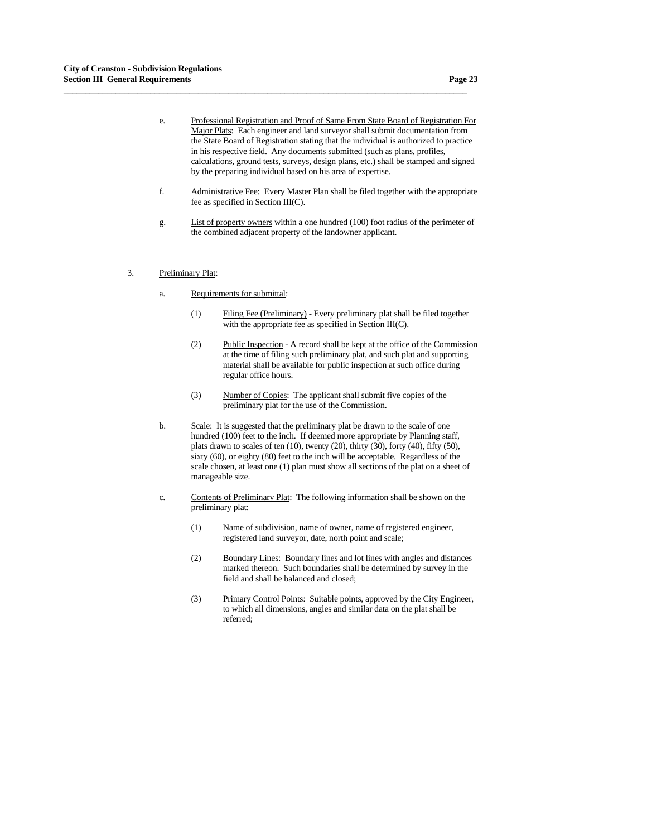e. Professional Registration and Proof of Same From State Board of Registration For Major Plats: Each engineer and land surveyor shall submit documentation from the State Board of Registration stating that the individual is authorized to practice in his respective field. Any documents submitted (such as plans, profiles, calculations, ground tests, surveys, design plans, etc.) shall be stamped and signed by the preparing individual based on his area of expertise.

- f. Administrative Fee: Every Master Plan shall be filed together with the appropriate fee as specified in Section III(C).
- g. List of property owners within a one hundred (100) foot radius of the perimeter of the combined adjacent property of the landowner applicant.
- 3. Preliminary Plat:
	- a. Requirements for submittal:
		- (1) Filing Fee (Preliminary) Every preliminary plat shall be filed together with the appropriate fee as specified in Section III(C).
		- (2) Public Inspection A record shall be kept at the office of the Commission at the time of filing such preliminary plat, and such plat and supporting material shall be available for public inspection at such office during regular office hours.
		- (3) Number of Copies: The applicant shall submit five copies of the preliminary plat for the use of the Commission.
	- b. Scale: It is suggested that the preliminary plat be drawn to the scale of one hundred (100) feet to the inch. If deemed more appropriate by Planning staff, plats drawn to scales of ten (10), twenty (20), thirty (30), forty (40), fifty (50), sixty (60), or eighty (80) feet to the inch will be acceptable. Regardless of the scale chosen, at least one (1) plan must show all sections of the plat on a sheet of manageable size.
	- c. Contents of Preliminary Plat: The following information shall be shown on the preliminary plat:
		- (1) Name of subdivision, name of owner, name of registered engineer, registered land surveyor, date, north point and scale;
		- (2) Boundary Lines: Boundary lines and lot lines with angles and distances marked thereon. Such boundaries shall be determined by survey in the field and shall be balanced and closed;
		- (3) Primary Control Points: Suitable points, approved by the City Engineer, to which all dimensions, angles and similar data on the plat shall be referred;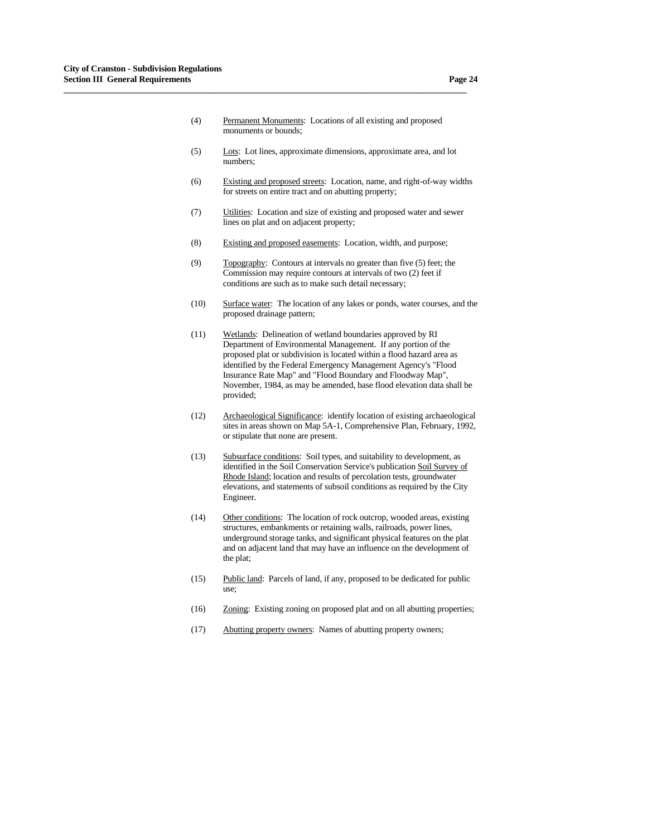(4) Permanent Monuments: Locations of all existing and proposed monuments or bounds;

- (5) Lots: Lot lines, approximate dimensions, approximate area, and lot numbers;
- (6) Existing and proposed streets: Location, name, and right-of-way widths for streets on entire tract and on abutting property;
- (7) Utilities: Location and size of existing and proposed water and sewer lines on plat and on adjacent property;
- (8) Existing and proposed easements: Location, width, and purpose;
- (9) Topography: Contours at intervals no greater than five (5) feet; the Commission may require contours at intervals of two (2) feet if conditions are such as to make such detail necessary;
- (10) Surface water: The location of any lakes or ponds, water courses, and the proposed drainage pattern;
- (11) Wetlands: Delineation of wetland boundaries approved by RI Department of Environmental Management. If any portion of the proposed plat or subdivision is located within a flood hazard area as identified by the Federal Emergency Management Agency's "Flood Insurance Rate Map" and "Flood Boundary and Floodway Map", November, 1984, as may be amended, base flood elevation data shall be provided;
- (12) Archaeological Significance: identify location of existing archaeological sites in areas shown on Map 5A-1, Comprehensive Plan, February, 1992, or stipulate that none are present.
- (13) Subsurface conditions: Soil types, and suitability to development, as identified in the Soil Conservation Service's publication Soil Survey of Rhode Island; location and results of percolation tests, groundwater elevations, and statements of subsoil conditions as required by the City Engineer.
- (14) Other conditions: The location of rock outcrop, wooded areas, existing structures, embankments or retaining walls, railroads, power lines, underground storage tanks, and significant physical features on the plat and on adjacent land that may have an influence on the development of the plat;
- (15) Public land: Parcels of land, if any, proposed to be dedicated for public use;
- (16) Zoning: Existing zoning on proposed plat and on all abutting properties;
- (17) Abutting property owners: Names of abutting property owners;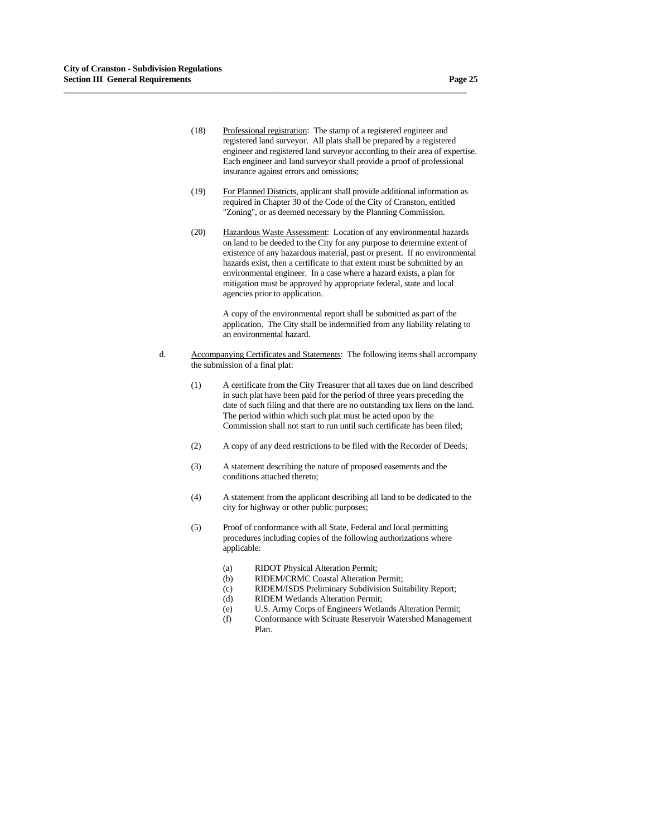(18) Professional registration: The stamp of a registered engineer and registered land surveyor. All plats shall be prepared by a registered engineer and registered land surveyor according to their area of expertise. Each engineer and land surveyor shall provide a proof of professional insurance against errors and omissions;

**\_\_\_\_\_\_\_\_\_\_\_\_\_\_\_\_\_\_\_\_\_\_\_\_\_\_\_\_\_\_\_\_\_\_\_\_\_\_\_\_\_\_\_\_\_\_\_\_\_\_\_\_\_\_\_\_\_\_\_\_\_\_\_\_\_\_\_\_\_\_\_\_\_\_\_\_\_\_\_\_\_\_\_\_\_\_\_\_\_\_\_\_\_**

- (19) For Planned Districts, applicant shall provide additional information as required in Chapter 30 of the Code of the City of Cranston, entitled "Zoning", or as deemed necessary by the Planning Commission.
- (20) Hazardous Waste Assessment: Location of any environmental hazards on land to be deeded to the City for any purpose to determine extent of existence of any hazardous material, past or present. If no environmental hazards exist, then a certificate to that extent must be submitted by an environmental engineer. In a case where a hazard exists, a plan for mitigation must be approved by appropriate federal, state and local agencies prior to application.

 A copy of the environmental report shall be submitted as part of the application. The City shall be indemnified from any liability relating to an environmental hazard.

- d. Accompanying Certificates and Statements: The following items shall accompany the submission of a final plat:
	- (1) A certificate from the City Treasurer that all taxes due on land described in such plat have been paid for the period of three years preceding the date of such filing and that there are no outstanding tax liens on the land. The period within which such plat must be acted upon by the Commission shall not start to run until such certificate has been filed;
	- (2) A copy of any deed restrictions to be filed with the Recorder of Deeds;
	- (3) A statement describing the nature of proposed easements and the conditions attached thereto;
	- (4) A statement from the applicant describing all land to be dedicated to the city for highway or other public purposes;
	- (5) Proof of conformance with all State, Federal and local permitting procedures including copies of the following authorizations where applicable:
		- (a) RIDOT Physical Alteration Permit;
		- (b) RIDEM/CRMC Coastal Alteration Permit;
		- (c) RIDEM/ISDS Preliminary Subdivision Suitability Report;
		- (d) RIDEM Wetlands Alteration Permit;
		- (e) U.S. Army Corps of Engineers Wetlands Alteration Permit;
		- (f) Conformance with Scituate Reservoir Watershed Management Plan.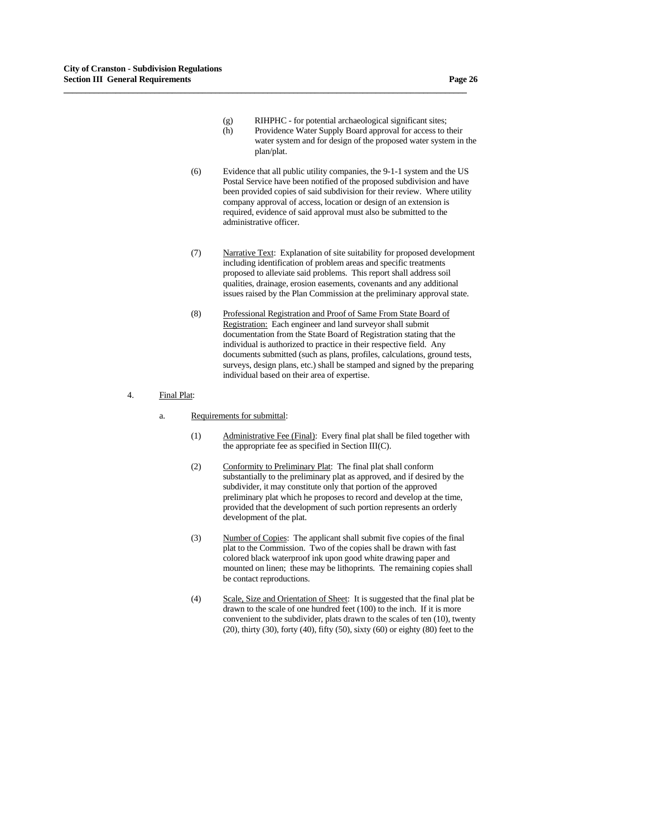- (g) RIHPHC for potential archaeological significant sites; (h) Providence Water Supply Board approval for access to their water system and for design of the proposed water system in the plan/plat.
- (6) Evidence that all public utility companies, the 9-1-1 system and the US Postal Service have been notified of the proposed subdivision and have been provided copies of said subdivision for their review. Where utility company approval of access, location or design of an extension is required, evidence of said approval must also be submitted to the administrative officer.

- (7) Narrative Text: Explanation of site suitability for proposed development including identification of problem areas and specific treatments proposed to alleviate said problems. This report shall address soil qualities, drainage, erosion easements, covenants and any additional issues raised by the Plan Commission at the preliminary approval state.
- (8) Professional Registration and Proof of Same From State Board of Registration: Each engineer and land surveyor shall submit documentation from the State Board of Registration stating that the individual is authorized to practice in their respective field. Any documents submitted (such as plans, profiles, calculations, ground tests, surveys, design plans, etc.) shall be stamped and signed by the preparing individual based on their area of expertise.
- 4. Final Plat:
	- a. Requirements for submittal:
		- (1) Administrative Fee (Final): Every final plat shall be filed together with the appropriate fee as specified in Section III(C).
		- (2) Conformity to Preliminary Plat: The final plat shall conform substantially to the preliminary plat as approved, and if desired by the subdivider, it may constitute only that portion of the approved preliminary plat which he proposes to record and develop at the time, provided that the development of such portion represents an orderly development of the plat.
		- (3) Number of Copies: The applicant shall submit five copies of the final plat to the Commission. Two of the copies shall be drawn with fast colored black waterproof ink upon good white drawing paper and mounted on linen; these may be lithoprints. The remaining copies shall be contact reproductions.
		- (4) Scale, Size and Orientation of Sheet: It is suggested that the final plat be drawn to the scale of one hundred feet (100) to the inch. If it is more convenient to the subdivider, plats drawn to the scales of ten (10), twenty (20), thirty (30), forty (40), fifty (50), sixty (60) or eighty (80) feet to the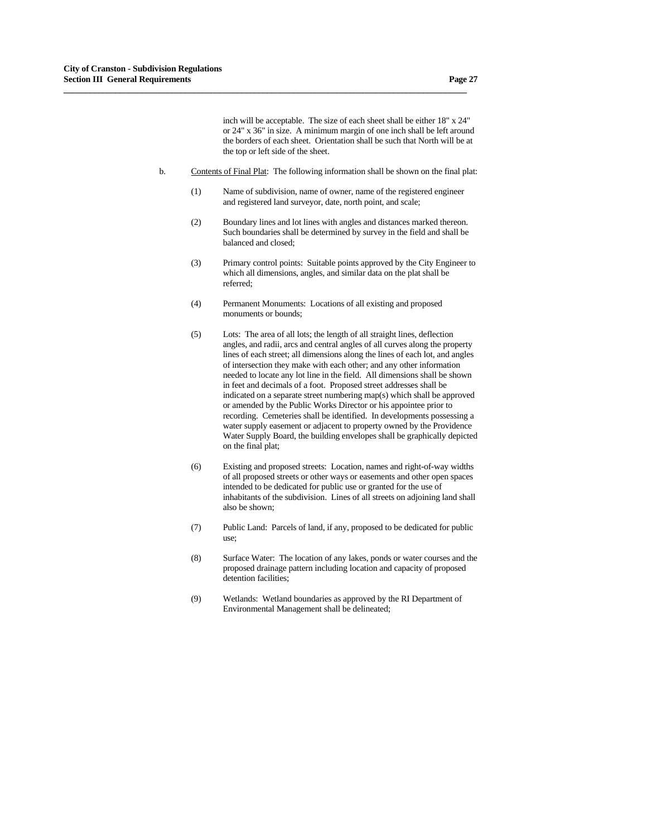inch will be acceptable. The size of each sheet shall be either 18" x 24" or 24" x 36" in size. A minimum margin of one inch shall be left around the borders of each sheet. Orientation shall be such that North will be at the top or left side of the sheet.

b. Contents of Final Plat: The following information shall be shown on the final plat:

- (1) Name of subdivision, name of owner, name of the registered engineer and registered land surveyor, date, north point, and scale;
- (2) Boundary lines and lot lines with angles and distances marked thereon. Such boundaries shall be determined by survey in the field and shall be balanced and closed;
- (3) Primary control points: Suitable points approved by the City Engineer to which all dimensions, angles, and similar data on the plat shall be referred;
- (4) Permanent Monuments: Locations of all existing and proposed monuments or bounds;
- (5) Lots: The area of all lots; the length of all straight lines, deflection angles, and radii, arcs and central angles of all curves along the property lines of each street; all dimensions along the lines of each lot, and angles of intersection they make with each other; and any other information needed to locate any lot line in the field. All dimensions shall be shown in feet and decimals of a foot. Proposed street addresses shall be indicated on a separate street numbering map(s) which shall be approved or amended by the Public Works Director or his appointee prior to recording. Cemeteries shall be identified. In developments possessing a water supply easement or adjacent to property owned by the Providence Water Supply Board, the building envelopes shall be graphically depicted on the final plat;
- (6) Existing and proposed streets: Location, names and right-of-way widths of all proposed streets or other ways or easements and other open spaces intended to be dedicated for public use or granted for the use of inhabitants of the subdivision. Lines of all streets on adjoining land shall also be shown;
- (7) Public Land: Parcels of land, if any, proposed to be dedicated for public use;
- (8) Surface Water: The location of any lakes, ponds or water courses and the proposed drainage pattern including location and capacity of proposed detention facilities;
- (9) Wetlands: Wetland boundaries as approved by the RI Department of Environmental Management shall be delineated;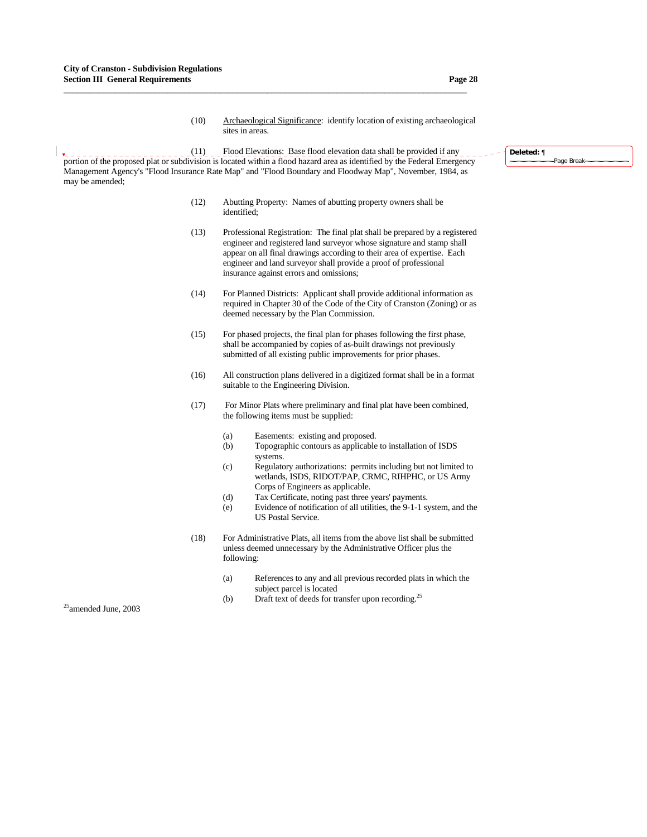- (10) Archaeological Significance: identify location of existing archaeological sites in areas.
- (11) Flood Elevations: Base flood elevation data shall be provided if any **Portion** of the proposed plat or subdivision is located within a flood hazard area as identified by the Federal Emergency Management Agency's "Flood Insurance Rate Map" and "Flood Boundary and Floodway Map", November, 1984, as may be amended;

- (12) Abutting Property: Names of abutting property owners shall be identified;
- (13) Professional Registration: The final plat shall be prepared by a registered engineer and registered land surveyor whose signature and stamp shall appear on all final drawings according to their area of expertise. Each engineer and land surveyor shall provide a proof of professional insurance against errors and omissions;
- (14) For Planned Districts: Applicant shall provide additional information as required in Chapter 30 of the Code of the City of Cranston (Zoning) or as deemed necessary by the Plan Commission.
- (15) For phased projects, the final plan for phases following the first phase, shall be accompanied by copies of as-built drawings not previously submitted of all existing public improvements for prior phases.
- (16) All construction plans delivered in a digitized format shall be in a format suitable to the Engineering Division.
- (17) For Minor Plats where preliminary and final plat have been combined, the following items must be supplied:
	- (a) Easements: existing and proposed.
	- (b) Topographic contours as applicable to installation of ISDS systems.
	- (c) Regulatory authorizations: permits including but not limited to wetlands, ISDS, RIDOT/PAP, CRMC, RIHPHC, or US Army Corps of Engineers as applicable.
	- (d) Tax Certificate, noting past three years' payments.
	- (e) Evidence of notification of all utilities, the 9-1-1 system, and the US Postal Service.
- (18) For Administrative Plats, all items from the above list shall be submitted unless deemed unnecessary by the Administrative Officer plus the following:
	- (a) References to any and all previous recorded plats in which the subject parcel is located
	- (b) Draft text of deeds for transfer upon recording.<sup>25</sup>

 $25$ amended June, 2003

#### **Deleted:** ¶ Page Break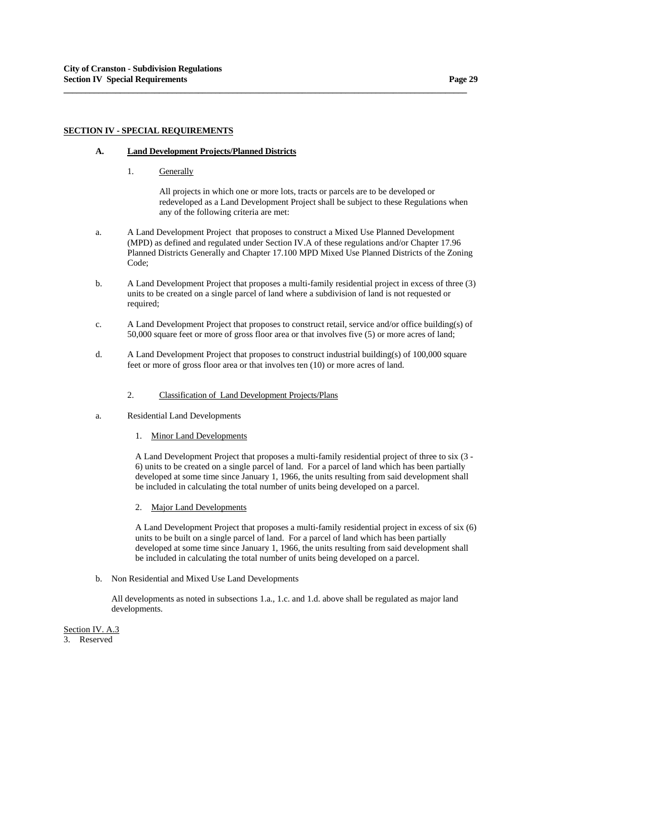## **SECTION IV - SPECIAL REQUIREMENTS**

## **A. Land Development Projects/Planned Districts**

1. Generally

All projects in which one or more lots, tracts or parcels are to be developed or redeveloped as a Land Development Project shall be subject to these Regulations when any of the following criteria are met:

a. A Land Development Project that proposes to construct a Mixed Use Planned Development (MPD) as defined and regulated under Section IV.A of these regulations and/or Chapter 17.96 Planned Districts Generally and Chapter 17.100 MPD Mixed Use Planned Districts of the Zoning Code;

**\_\_\_\_\_\_\_\_\_\_\_\_\_\_\_\_\_\_\_\_\_\_\_\_\_\_\_\_\_\_\_\_\_\_\_\_\_\_\_\_\_\_\_\_\_\_\_\_\_\_\_\_\_\_\_\_\_\_\_\_\_\_\_\_\_\_\_\_\_\_\_\_\_\_\_\_\_\_\_\_\_\_\_\_\_\_\_\_\_\_\_\_\_**

- b. A Land Development Project that proposes a multi-family residential project in excess of three (3) units to be created on a single parcel of land where a subdivision of land is not requested or required;
- c. A Land Development Project that proposes to construct retail, service and/or office building(s) of 50,000 square feet or more of gross floor area or that involves five (5) or more acres of land;
- d. A Land Development Project that proposes to construct industrial building(s) of 100,000 square feet or more of gross floor area or that involves ten (10) or more acres of land.
	- 2. Classification of Land Development Projects/Plans
- a. Residential Land Developments
	- 1. Minor Land Developments

A Land Development Project that proposes a multi-family residential project of three to six (3 - 6) units to be created on a single parcel of land. For a parcel of land which has been partially developed at some time since January 1, 1966, the units resulting from said development shall be included in calculating the total number of units being developed on a parcel.

2. Major Land Developments

A Land Development Project that proposes a multi-family residential project in excess of six (6) units to be built on a single parcel of land. For a parcel of land which has been partially developed at some time since January 1, 1966, the units resulting from said development shall be included in calculating the total number of units being developed on a parcel.

b. Non Residential and Mixed Use Land Developments

All developments as noted in subsections 1.a., 1.c. and 1.d. above shall be regulated as major land developments.

Section IV. A.3 3. Reserved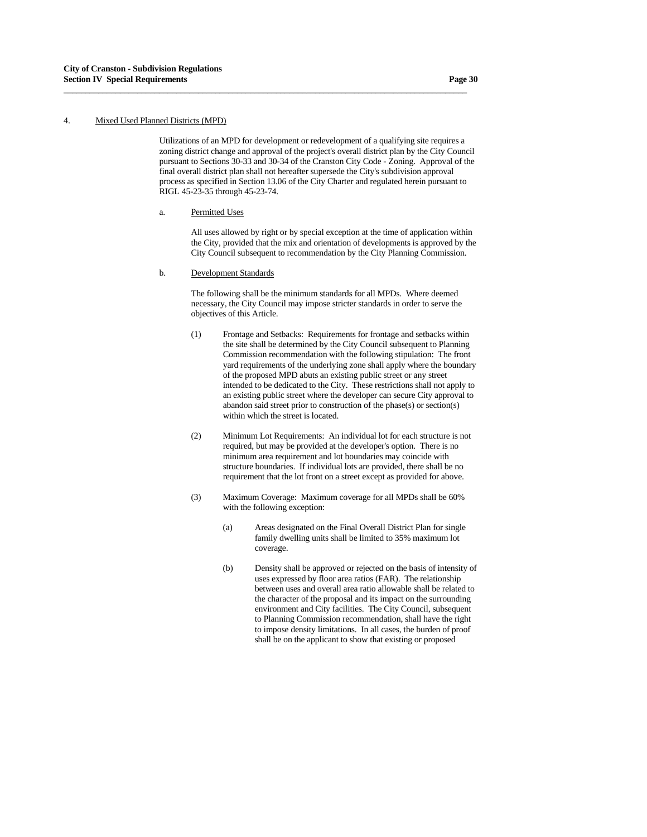## 4. Mixed Used Planned Districts (MPD)

 Utilizations of an MPD for development or redevelopment of a qualifying site requires a zoning district change and approval of the project's overall district plan by the City Council pursuant to Sections 30-33 and 30-34 of the Cranston City Code - Zoning. Approval of the final overall district plan shall not hereafter supersede the City's subdivision approval process as specified in Section 13.06 of the City Charter and regulated herein pursuant to RIGL 45-23-35 through 45-23-74.

**\_\_\_\_\_\_\_\_\_\_\_\_\_\_\_\_\_\_\_\_\_\_\_\_\_\_\_\_\_\_\_\_\_\_\_\_\_\_\_\_\_\_\_\_\_\_\_\_\_\_\_\_\_\_\_\_\_\_\_\_\_\_\_\_\_\_\_\_\_\_\_\_\_\_\_\_\_\_\_\_\_\_\_\_\_\_\_\_\_\_\_\_\_**

a. Permitted Uses

 All uses allowed by right or by special exception at the time of application within the City, provided that the mix and orientation of developments is approved by the City Council subsequent to recommendation by the City Planning Commission.

b. Development Standards

 The following shall be the minimum standards for all MPDs. Where deemed necessary, the City Council may impose stricter standards in order to serve the objectives of this Article.

- (1) Frontage and Setbacks: Requirements for frontage and setbacks within the site shall be determined by the City Council subsequent to Planning Commission recommendation with the following stipulation: The front yard requirements of the underlying zone shall apply where the boundary of the proposed MPD abuts an existing public street or any street intended to be dedicated to the City. These restrictions shall not apply to an existing public street where the developer can secure City approval to abandon said street prior to construction of the phase(s) or section(s) within which the street is located.
- (2) Minimum Lot Requirements: An individual lot for each structure is not required, but may be provided at the developer's option. There is no minimum area requirement and lot boundaries may coincide with structure boundaries. If individual lots are provided, there shall be no requirement that the lot front on a street except as provided for above.
- (3) Maximum Coverage: Maximum coverage for all MPDs shall be 60% with the following exception:
	- (a) Areas designated on the Final Overall District Plan for single family dwelling units shall be limited to 35% maximum lot coverage.
	- (b) Density shall be approved or rejected on the basis of intensity of uses expressed by floor area ratios (FAR). The relationship between uses and overall area ratio allowable shall be related to the character of the proposal and its impact on the surrounding environment and City facilities. The City Council, subsequent to Planning Commission recommendation, shall have the right to impose density limitations. In all cases, the burden of proof shall be on the applicant to show that existing or proposed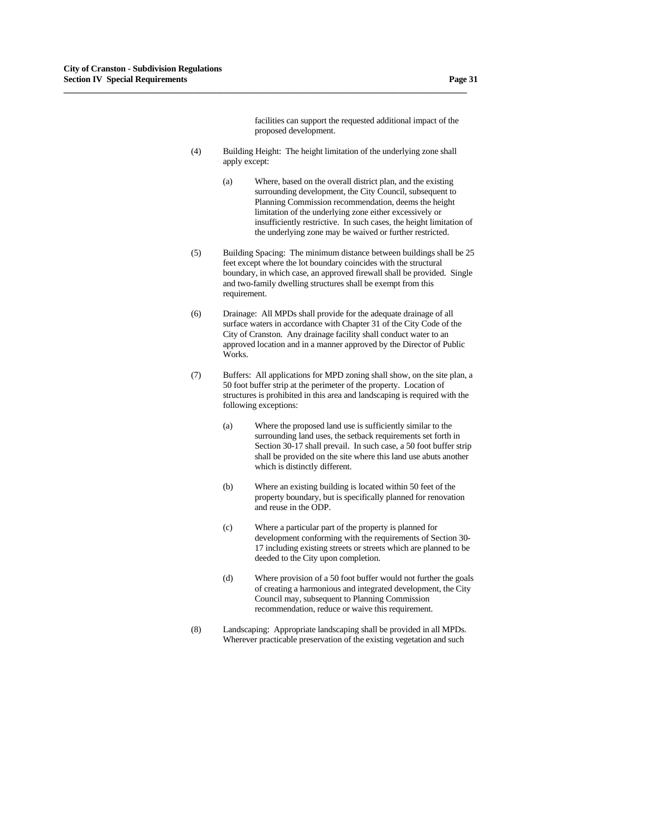facilities can support the requested additional impact of the proposed development.

 (4) Building Height: The height limitation of the underlying zone shall apply except:

- (a) Where, based on the overall district plan, and the existing surrounding development, the City Council, subsequent to Planning Commission recommendation, deems the height limitation of the underlying zone either excessively or insufficiently restrictive. In such cases, the height limitation of the underlying zone may be waived or further restricted.
- (5) Building Spacing: The minimum distance between buildings shall be 25 feet except where the lot boundary coincides with the structural boundary, in which case, an approved firewall shall be provided. Single and two-family dwelling structures shall be exempt from this requirement.
- (6) Drainage: All MPDs shall provide for the adequate drainage of all surface waters in accordance with Chapter 31 of the City Code of the City of Cranston. Any drainage facility shall conduct water to an approved location and in a manner approved by the Director of Public Works.
- (7) Buffers: All applications for MPD zoning shall show, on the site plan, a 50 foot buffer strip at the perimeter of the property. Location of structures is prohibited in this area and landscaping is required with the following exceptions:
	- (a) Where the proposed land use is sufficiently similar to the surrounding land uses, the setback requirements set forth in Section 30-17 shall prevail. In such case, a 50 foot buffer strip shall be provided on the site where this land use abuts another which is distinctly different.
	- (b) Where an existing building is located within 50 feet of the property boundary, but is specifically planned for renovation and reuse in the ODP.
	- (c) Where a particular part of the property is planned for development conforming with the requirements of Section 30- 17 including existing streets or streets which are planned to be deeded to the City upon completion.
	- (d) Where provision of a 50 foot buffer would not further the goals of creating a harmonious and integrated development, the City Council may, subsequent to Planning Commission recommendation, reduce or waive this requirement.
- (8) Landscaping: Appropriate landscaping shall be provided in all MPDs. Wherever practicable preservation of the existing vegetation and such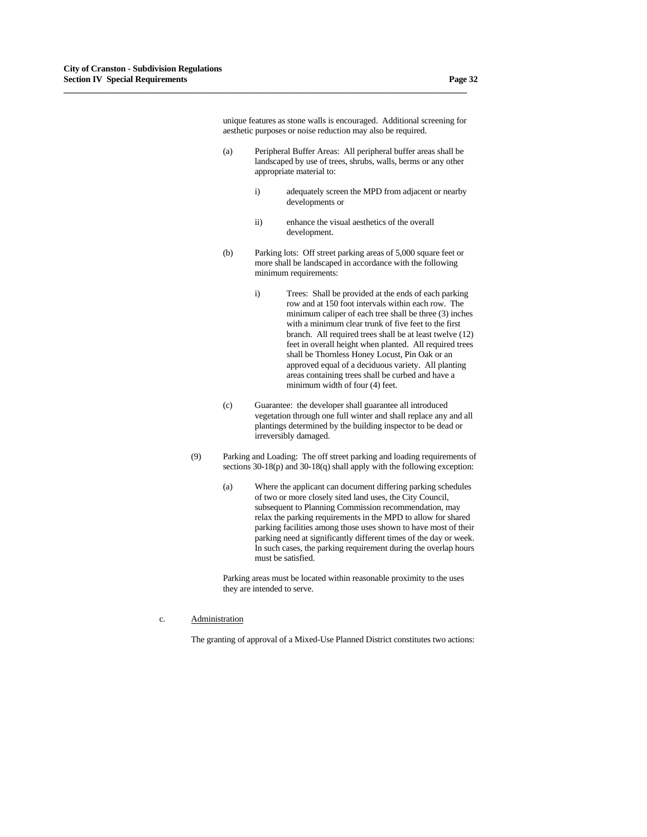unique features as stone walls is encouraged. Additional screening for aesthetic purposes or noise reduction may also be required.

 (a) Peripheral Buffer Areas: All peripheral buffer areas shall be landscaped by use of trees, shrubs, walls, berms or any other appropriate material to:

**\_\_\_\_\_\_\_\_\_\_\_\_\_\_\_\_\_\_\_\_\_\_\_\_\_\_\_\_\_\_\_\_\_\_\_\_\_\_\_\_\_\_\_\_\_\_\_\_\_\_\_\_\_\_\_\_\_\_\_\_\_\_\_\_\_\_\_\_\_\_\_\_\_\_\_\_\_\_\_\_\_\_\_\_\_\_\_\_\_\_\_\_\_**

- i) adequately screen the MPD from adjacent or nearby developments or
- ii) enhance the visual aesthetics of the overall development.
- (b) Parking lots: Off street parking areas of 5,000 square feet or more shall be landscaped in accordance with the following minimum requirements:
	- i) Trees: Shall be provided at the ends of each parking row and at 150 foot intervals within each row. The minimum caliper of each tree shall be three (3) inches with a minimum clear trunk of five feet to the first branch. All required trees shall be at least twelve (12) feet in overall height when planted. All required trees shall be Thornless Honey Locust, Pin Oak or an approved equal of a deciduous variety. All planting areas containing trees shall be curbed and have a minimum width of four (4) feet.
- (c) Guarantee: the developer shall guarantee all introduced vegetation through one full winter and shall replace any and all plantings determined by the building inspector to be dead or irreversibly damaged.
- (9) Parking and Loading: The off street parking and loading requirements of sections 30-18(p) and 30-18(q) shall apply with the following exception:
	- (a) Where the applicant can document differing parking schedules of two or more closely sited land uses, the City Council, subsequent to Planning Commission recommendation, may relax the parking requirements in the MPD to allow for shared parking facilities among those uses shown to have most of their parking need at significantly different times of the day or week. In such cases, the parking requirement during the overlap hours must be satisfied.

 Parking areas must be located within reasonable proximity to the uses they are intended to serve.

c. Administration

The granting of approval of a Mixed-Use Planned District constitutes two actions: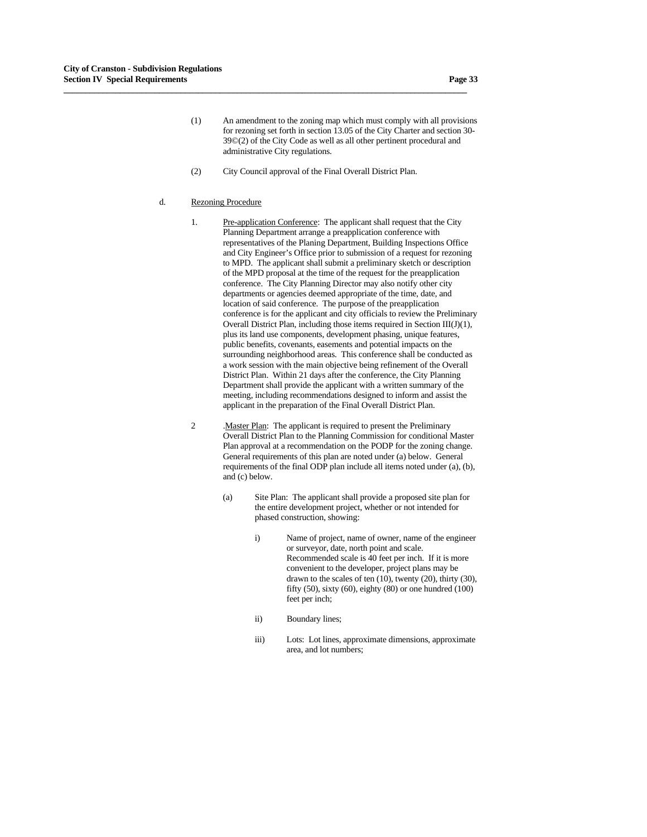- (1) An amendment to the zoning map which must comply with all provisions for rezoning set forth in section 13.05 of the City Charter and section 30- 39©(2) of the City Code as well as all other pertinent procedural and administrative City regulations.
- (2) City Council approval of the Final Overall District Plan.

#### d. Rezoning Procedure

- 1. Pre-application Conference: The applicant shall request that the City Planning Department arrange a preapplication conference with representatives of the Planing Department, Building Inspections Office and City Engineer's Office prior to submission of a request for rezoning to MPD. The applicant shall submit a preliminary sketch or description of the MPD proposal at the time of the request for the preapplication conference. The City Planning Director may also notify other city departments or agencies deemed appropriate of the time, date, and location of said conference. The purpose of the preapplication conference is for the applicant and city officials to review the Preliminary Overall District Plan, including those items required in Section  $III(J)(1)$ , plus its land use components, development phasing, unique features, public benefits, covenants, easements and potential impacts on the surrounding neighborhood areas. This conference shall be conducted as a work session with the main objective being refinement of the Overall District Plan. Within 21 days after the conference, the City Planning Department shall provide the applicant with a written summary of the meeting, including recommendations designed to inform and assist the applicant in the preparation of the Final Overall District Plan.
- 2 .Master Plan: The applicant is required to present the Preliminary Overall District Plan to the Planning Commission for conditional Master Plan approval at a recommendation on the PODP for the zoning change. General requirements of this plan are noted under (a) below. General requirements of the final ODP plan include all items noted under (a), (b), and (c) below.
	- (a) Site Plan: The applicant shall provide a proposed site plan for the entire development project, whether or not intended for phased construction, showing:
		- i) Name of project, name of owner, name of the engineer or surveyor, date, north point and scale. Recommended scale is 40 feet per inch. If it is more convenient to the developer, project plans may be drawn to the scales of ten (10), twenty (20), thirty (30), fifty (50), sixty (60), eighty (80) or one hundred (100) feet per inch;
		- ii) Boundary lines;
		- iii) Lots: Lot lines, approximate dimensions, approximate area, and lot numbers;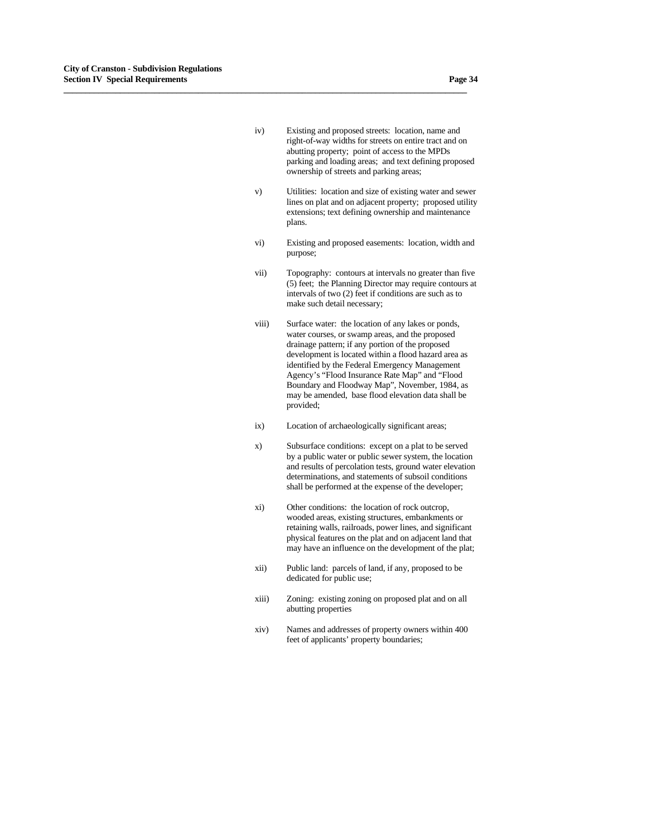- 
- iv) Existing and proposed streets: location, name and right-of-way widths for streets on entire tract and on abutting property; point of access to the MPDs parking and loading areas; and text defining proposed ownership of streets and parking areas;

- v) Utilities: location and size of existing water and sewer lines on plat and on adjacent property; proposed utility extensions; text defining ownership and maintenance plans.
- vi) Existing and proposed easements: location, width and purpose;
- vii) Topography: contours at intervals no greater than five (5) feet; the Planning Director may require contours at intervals of two (2) feet if conditions are such as to make such detail necessary;
- viii) Surface water: the location of any lakes or ponds, water courses, or swamp areas, and the proposed drainage pattern; if any portion of the proposed development is located within a flood hazard area as identified by the Federal Emergency Management Agency's "Flood Insurance Rate Map" and "Flood Boundary and Floodway Map", November, 1984, as may be amended, base flood elevation data shall be provided;
- ix) Location of archaeologically significant areas;
- x) Subsurface conditions: except on a plat to be served by a public water or public sewer system, the location and results of percolation tests, ground water elevation determinations, and statements of subsoil conditions shall be performed at the expense of the developer;
- xi) Other conditions: the location of rock outcrop, wooded areas, existing structures, embankments or retaining walls, railroads, power lines, and significant physical features on the plat and on adjacent land that may have an influence on the development of the plat;
- xii) Public land: parcels of land, if any, proposed to be dedicated for public use;
- xiii) Zoning: existing zoning on proposed plat and on all abutting properties
- xiv) Names and addresses of property owners within 400 feet of applicants' property boundaries;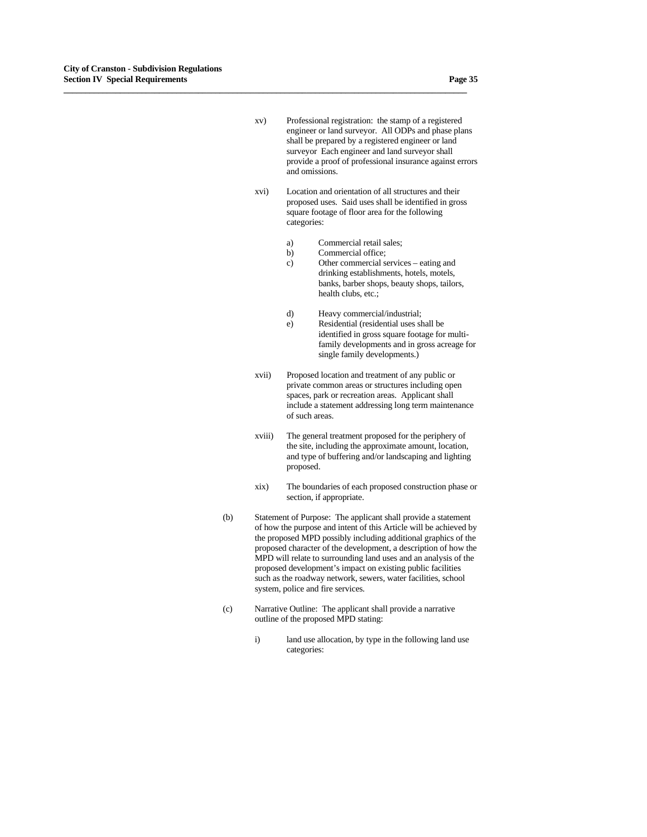- xv) Professional registration: the stamp of a registered engineer or land surveyor. All ODPs and phase plans shall be prepared by a registered engineer or land surveyor Each engineer and land surveyor shall provide a proof of professional insurance against errors and omissions.
- xvi) Location and orientation of all structures and their proposed uses. Said uses shall be identified in gross square footage of floor area for the following categories:
	- a) Commercial retail sales;
	- b) Commercial office;

- c) Other commercial services eating and drinking establishments, hotels, motels, banks, barber shops, beauty shops, tailors, health clubs, etc.;
- d) Heavy commercial/industrial;
- e) Residential (residential uses shall be identified in gross square footage for multifamily developments and in gross acreage for single family developments.)
- xvii) Proposed location and treatment of any public or private common areas or structures including open spaces, park or recreation areas. Applicant shall include a statement addressing long term maintenance of such areas.
- xviii) The general treatment proposed for the periphery of the site, including the approximate amount, location, and type of buffering and/or landscaping and lighting proposed.
- xix) The boundaries of each proposed construction phase or section, if appropriate.
- (b) Statement of Purpose: The applicant shall provide a statement of how the purpose and intent of this Article will be achieved by the proposed MPD possibly including additional graphics of the proposed character of the development, a description of how the MPD will relate to surrounding land uses and an analysis of the proposed development's impact on existing public facilities such as the roadway network, sewers, water facilities, school system, police and fire services.
- (c) Narrative Outline: The applicant shall provide a narrative outline of the proposed MPD stating:
	- i) land use allocation, by type in the following land use categories: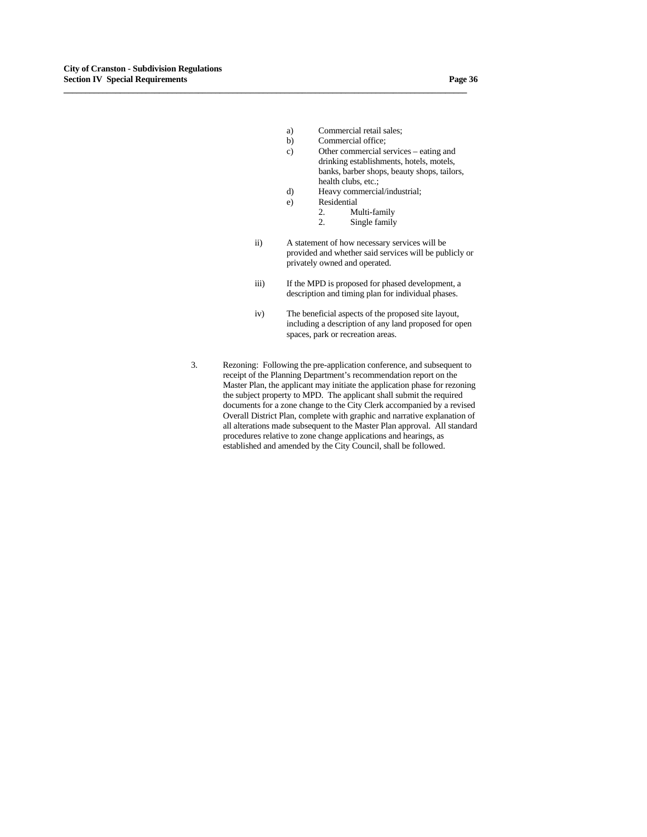- a) Commercial retail sales;
- b) Commercial office;
- c) Other commercial services eating and drinking establishments, hotels, motels, banks, barber shops, beauty shops, tailors, health clubs, etc.;
- d) Heavy commercial/industrial;
- e) Residential

- 2. Multi-family<br>2. Single family
- Single family
- ii) A statement of how necessary services will be provided and whether said services will be publicly or privately owned and operated.
- iii) If the MPD is proposed for phased development, a description and timing plan for individual phases.
- iv) The beneficial aspects of the proposed site layout, including a description of any land proposed for open spaces, park or recreation areas.
- 3. Rezoning: Following the pre-application conference, and subsequent to receipt of the Planning Department's recommendation report on the Master Plan, the applicant may initiate the application phase for rezoning the subject property to MPD. The applicant shall submit the required documents for a zone change to the City Clerk accompanied by a revised Overall District Plan, complete with graphic and narrative explanation of all alterations made subsequent to the Master Plan approval. All standard procedures relative to zone change applications and hearings, as established and amended by the City Council, shall be followed.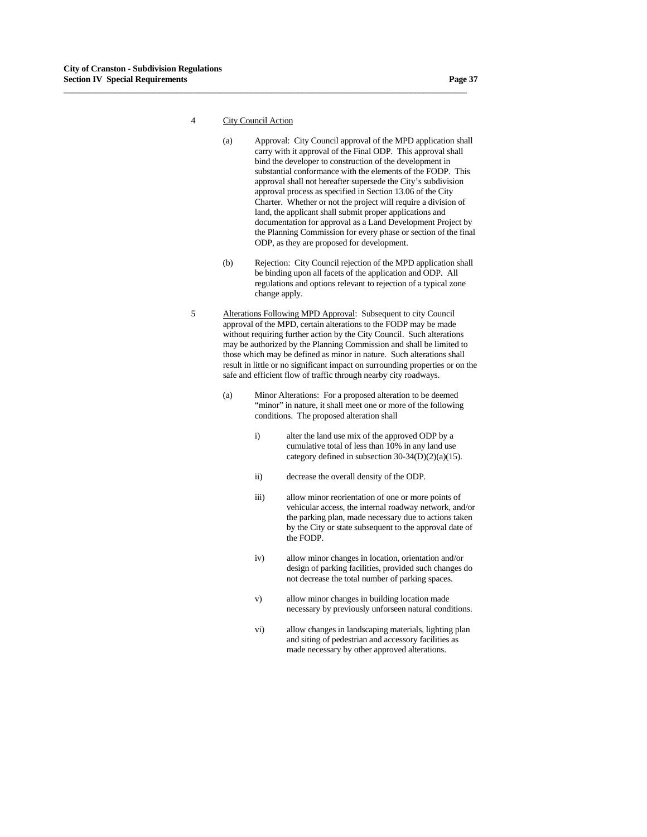4 City Council Action

- (a) Approval: City Council approval of the MPD application shall carry with it approval of the Final ODP. This approval shall bind the developer to construction of the development in substantial conformance with the elements of the FODP. This approval shall not hereafter supersede the City's subdivision approval process as specified in Section 13.06 of the City Charter. Whether or not the project will require a division of land, the applicant shall submit proper applications and documentation for approval as a Land Development Project by the Planning Commission for every phase or section of the final ODP, as they are proposed for development.
- (b) Rejection: City Council rejection of the MPD application shall be binding upon all facets of the application and ODP. All regulations and options relevant to rejection of a typical zone change apply.
- 5 Alterations Following MPD Approval: Subsequent to city Council approval of the MPD, certain alterations to the FODP may be made without requiring further action by the City Council. Such alterations may be authorized by the Planning Commission and shall be limited to those which may be defined as minor in nature. Such alterations shall result in little or no significant impact on surrounding properties or on the safe and efficient flow of traffic through nearby city roadways.
	- (a) Minor Alterations: For a proposed alteration to be deemed "minor" in nature, it shall meet one or more of the following conditions. The proposed alteration shall
		- i) alter the land use mix of the approved ODP by a cumulative total of less than 10% in any land use category defined in subsection  $30-34(D)(2)(a)(15)$ .
		- ii) decrease the overall density of the ODP.
		- iii) allow minor reorientation of one or more points of vehicular access, the internal roadway network, and/or the parking plan, made necessary due to actions taken by the City or state subsequent to the approval date of the FODP.
		- iv) allow minor changes in location, orientation and/or design of parking facilities, provided such changes do not decrease the total number of parking spaces.
		- v) allow minor changes in building location made necessary by previously unforseen natural conditions.
		- vi) allow changes in landscaping materials, lighting plan and siting of pedestrian and accessory facilities as made necessary by other approved alterations.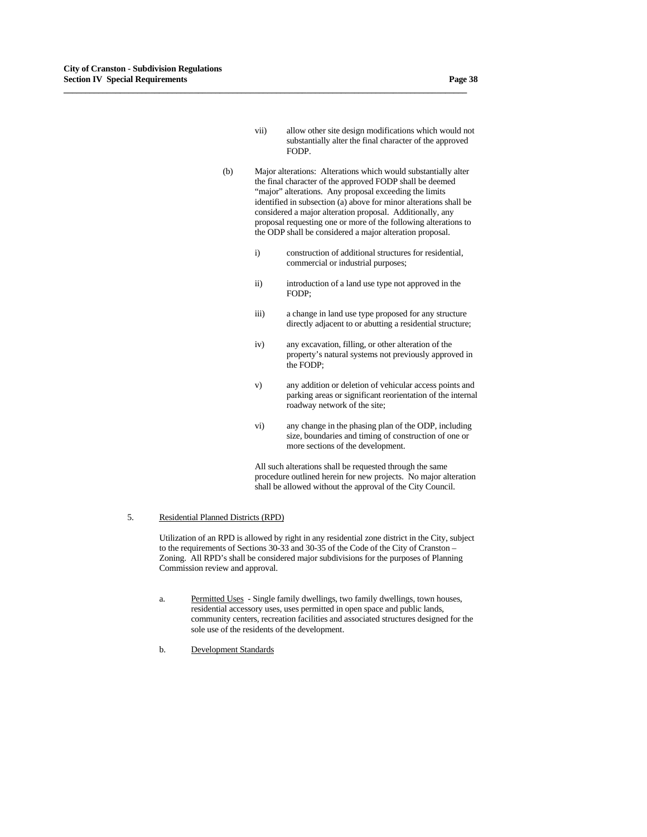- vii) allow other site design modifications which would not substantially alter the final character of the approved FODP.
- (b) Major alterations: Alterations which would substantially alter the final character of the approved FODP shall be deemed "major" alterations. Any proposal exceeding the limits identified in subsection (a) above for minor alterations shall be considered a major alteration proposal. Additionally, any proposal requesting one or more of the following alterations to the ODP shall be considered a major alteration proposal.

**\_\_\_\_\_\_\_\_\_\_\_\_\_\_\_\_\_\_\_\_\_\_\_\_\_\_\_\_\_\_\_\_\_\_\_\_\_\_\_\_\_\_\_\_\_\_\_\_\_\_\_\_\_\_\_\_\_\_\_\_\_\_\_\_\_\_\_\_\_\_\_\_\_\_\_\_\_\_\_\_\_\_\_\_\_\_\_\_\_\_\_\_\_**

- i) construction of additional structures for residential, commercial or industrial purposes;
- ii) introduction of a land use type not approved in the FODP;
- iii) a change in land use type proposed for any structure directly adjacent to or abutting a residential structure;
- iv) any excavation, filling, or other alteration of the property's natural systems not previously approved in the FODP;
- v) any addition or deletion of vehicular access points and parking areas or significant reorientation of the internal roadway network of the site;
- vi) any change in the phasing plan of the ODP, including size, boundaries and timing of construction of one or more sections of the development.

 All such alterations shall be requested through the same procedure outlined herein for new projects. No major alteration shall be allowed without the approval of the City Council.

## 5. Residential Planned Districts (RPD)

 Utilization of an RPD is allowed by right in any residential zone district in the City, subject to the requirements of Sections 30-33 and 30-35 of the Code of the City of Cranston – Zoning. All RPD's shall be considered major subdivisions for the purposes of Planning Commission review and approval.

- a. Permitted Uses Single family dwellings, two family dwellings, town houses, residential accessory uses, uses permitted in open space and public lands, community centers, recreation facilities and associated structures designed for the sole use of the residents of the development.
- b. Development Standards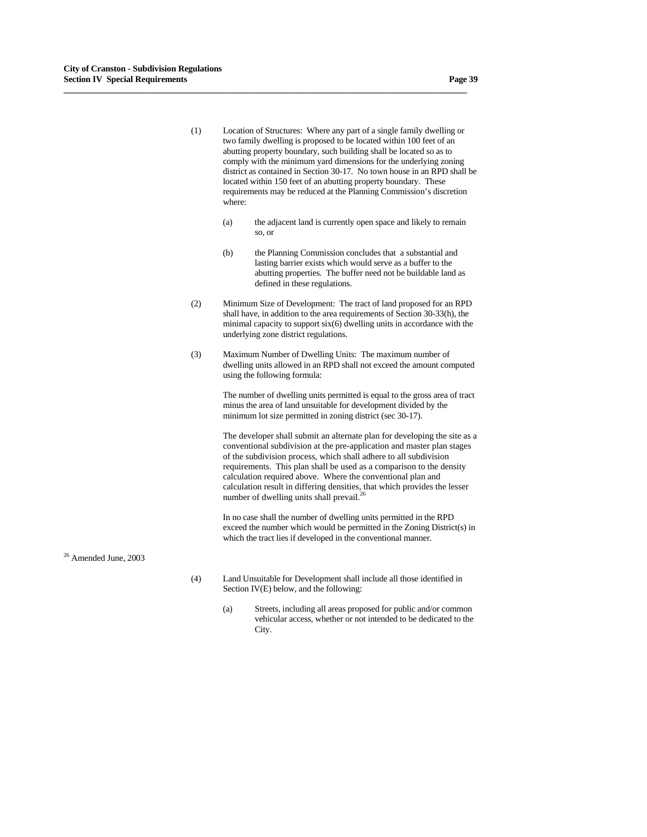(1) Location of Structures: Where any part of a single family dwelling or two family dwelling is proposed to be located within 100 feet of an abutting property boundary, such building shall be located so as to comply with the minimum yard dimensions for the underlying zoning district as contained in Section 30-17. No town house in an RPD shall be located within 150 feet of an abutting property boundary. These requirements may be reduced at the Planning Commission's discretion where:

**\_\_\_\_\_\_\_\_\_\_\_\_\_\_\_\_\_\_\_\_\_\_\_\_\_\_\_\_\_\_\_\_\_\_\_\_\_\_\_\_\_\_\_\_\_\_\_\_\_\_\_\_\_\_\_\_\_\_\_\_\_\_\_\_\_\_\_\_\_\_\_\_\_\_\_\_\_\_\_\_\_\_\_\_\_\_\_\_\_\_\_\_\_**

- (a) the adjacent land is currently open space and likely to remain so, or
- (b) the Planning Commission concludes that a substantial and lasting barrier exists which would serve as a buffer to the abutting properties. The buffer need not be buildable land as defined in these regulations.
- (2) Minimum Size of Development: The tract of land proposed for an RPD shall have, in addition to the area requirements of Section 30-33(h), the minimal capacity to support six(6) dwelling units in accordance with the underlying zone district regulations.
- (3) Maximum Number of Dwelling Units: The maximum number of dwelling units allowed in an RPD shall not exceed the amount computed using the following formula:

 The number of dwelling units permitted is equal to the gross area of tract minus the area of land unsuitable for development divided by the minimum lot size permitted in zoning district (sec 30-17).

The developer shall submit an alternate plan for developing the site as a conventional subdivision at the pre-application and master plan stages of the subdivision process, which shall adhere to all subdivision requirements. This plan shall be used as a comparison to the density calculation required above. Where the conventional plan and calculation result in differing densities, that which provides the lesser number of dwelling units shall prevail. $^{26}$ 

 In no case shall the number of dwelling units permitted in the RPD exceed the number which would be permitted in the Zoning District(s) in which the tract lies if developed in the conventional manner.

26 Amended June, 2003

- (4) Land Unsuitable for Development shall include all those identified in Section IV(E) below, and the following:
	- (a) Streets, including all areas proposed for public and/or common vehicular access, whether or not intended to be dedicated to the City.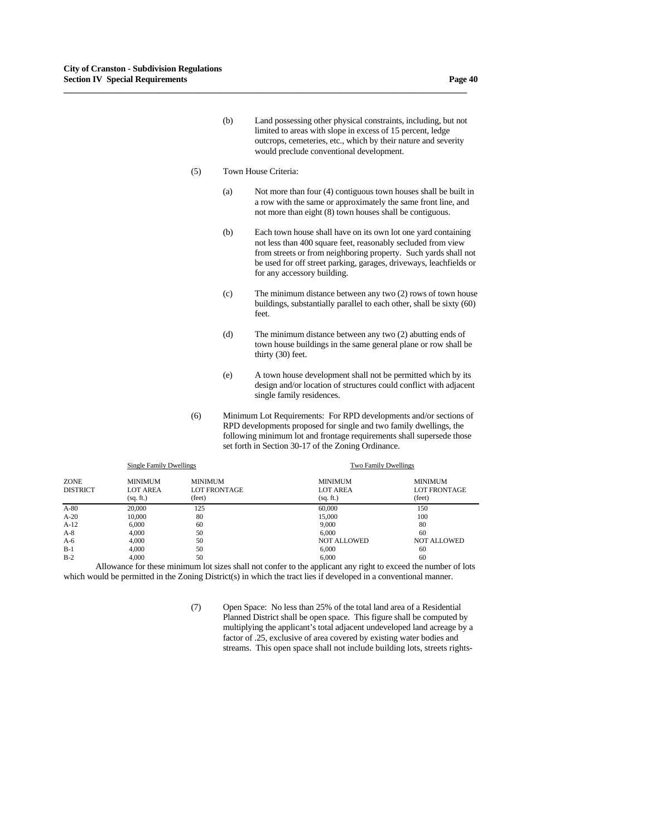- (b) Land possessing other physical constraints, including, but not limited to areas with slope in excess of 15 percent, ledge outcrops, cemeteries, etc., which by their nature and severity would preclude conventional development.
- (5) Town House Criteria:

**\_\_\_\_\_\_\_\_\_\_\_\_\_\_\_\_\_\_\_\_\_\_\_\_\_\_\_\_\_\_\_\_\_\_\_\_\_\_\_\_\_\_\_\_\_\_\_\_\_\_\_\_\_\_\_\_\_\_\_\_\_\_\_\_\_\_\_\_\_\_\_\_\_\_\_\_\_\_\_\_\_\_\_\_\_\_\_\_\_\_\_\_\_**

- (a) Not more than four (4) contiguous town houses shall be built in a row with the same or approximately the same front line, and not more than eight (8) town houses shall be contiguous.
- (b) Each town house shall have on its own lot one yard containing not less than 400 square feet, reasonably secluded from view from streets or from neighboring property. Such yards shall not be used for off street parking, garages, driveways, leachfields or for any accessory building.
- (c) The minimum distance between any two (2) rows of town house buildings, substantially parallel to each other, shall be sixty (60) feet.
- (d) The minimum distance between any two (2) abutting ends of town house buildings in the same general plane or row shall be thirty (30) feet.
- (e) A town house development shall not be permitted which by its design and/or location of structures could conflict with adjacent single family residences.
- (6) Minimum Lot Requirements: For RPD developments and/or sections of RPD developments proposed for single and two family dwellings, the following minimum lot and frontage requirements shall supersede those set forth in Section 30-17 of the Zoning Ordinance.

|                                | <b>Single Family Dwellings</b>                 |                                                 | <b>Two Family Dwellings</b>                    |                                                 |
|--------------------------------|------------------------------------------------|-------------------------------------------------|------------------------------------------------|-------------------------------------------------|
| <b>ZONE</b><br><b>DISTRICT</b> | <b>MINIMUM</b><br><b>LOT AREA</b><br>(sq. ft.) | <b>MINIMUM</b><br><b>LOT FRONTAGE</b><br>(feet) | <b>MINIMUM</b><br><b>LOT AREA</b><br>(sq. ft.) | <b>MINIMUM</b><br><b>LOT FRONTAGE</b><br>(feet) |
| $A-80$                         | 20,000                                         | 125                                             | 60,000                                         | 150                                             |
| $A-20$                         | 10,000                                         | 80                                              | 15,000                                         | 100                                             |
| $A-12$                         | 6,000                                          | 60                                              | 9,000                                          | 80                                              |
| $A-8$                          | 4.000                                          | 50                                              | 6.000                                          | 60                                              |
| $A-6$                          | 4.000                                          | 50                                              | <b>NOT ALLOWED</b>                             | <b>NOT ALLOWED</b>                              |
| $B-1$                          | 4.000                                          | 50                                              | 6.000                                          | 60                                              |
| $B-2$                          | 4,000                                          | 50                                              | 6.000                                          | 60                                              |

 Allowance for these minimum lot sizes shall not confer to the applicant any right to exceed the number of lots which would be permitted in the Zoning District(s) in which the tract lies if developed in a conventional manner.

> (7) Open Space: No less than 25% of the total land area of a Residential Planned District shall be open space. This figure shall be computed by multiplying the applicant's total adjacent undeveloped land acreage by a factor of .25, exclusive of area covered by existing water bodies and streams. This open space shall not include building lots, streets rights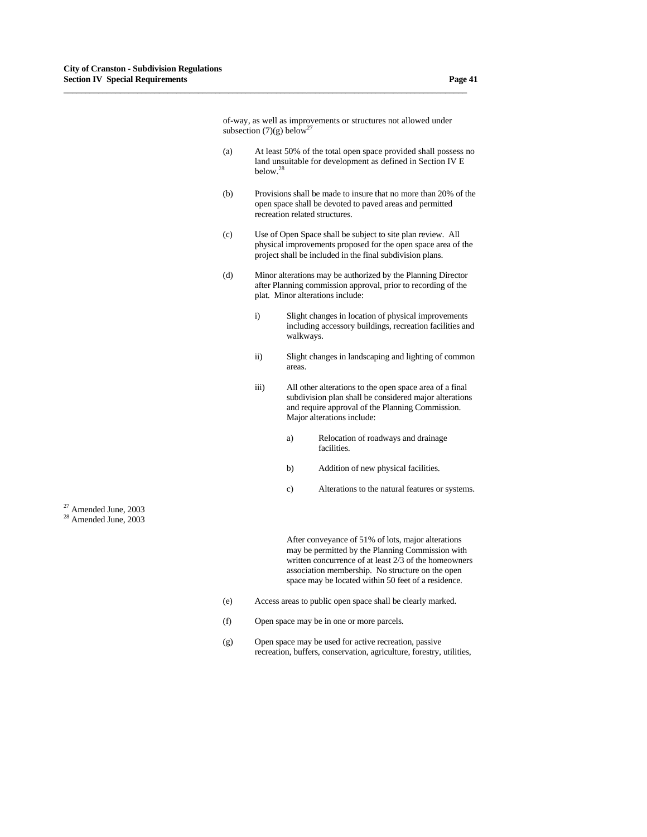of-way, as well as improvements or structures not allowed under subsection  $(7)(g)$  below<sup>27</sup>

**\_\_\_\_\_\_\_\_\_\_\_\_\_\_\_\_\_\_\_\_\_\_\_\_\_\_\_\_\_\_\_\_\_\_\_\_\_\_\_\_\_\_\_\_\_\_\_\_\_\_\_\_\_\_\_\_\_\_\_\_\_\_\_\_\_\_\_\_\_\_\_\_\_\_\_\_\_\_\_\_\_\_\_\_\_\_\_\_\_\_\_\_\_**

- (a) At least 50% of the total open space provided shall possess no land unsuitable for development as defined in Section IV E below.28
- (b) Provisions shall be made to insure that no more than 20% of the open space shall be devoted to paved areas and permitted recreation related structures.
- (c) Use of Open Space shall be subject to site plan review. All physical improvements proposed for the open space area of the project shall be included in the final subdivision plans.
- (d) Minor alterations may be authorized by the Planning Director after Planning commission approval, prior to recording of the plat. Minor alterations include:
	- i) Slight changes in location of physical improvements including accessory buildings, recreation facilities and walkways.
	- ii) Slight changes in landscaping and lighting of common areas.
	- iii) All other alterations to the open space area of a final subdivision plan shall be considered major alterations and require approval of the Planning Commission. Major alterations include:
		- a) Relocation of roadways and drainage facilities.
		- b) Addition of new physical facilities.
		- c) Alterations to the natural features or systems.

 $27$  Amended June, 2003 <sup>28</sup> Amended June, 2003

 After conveyance of 51% of lots, major alterations may be permitted by the Planning Commission with written concurrence of at least 2/3 of the homeowners association membership. No structure on the open space may be located within 50 feet of a residence.

- (e) Access areas to public open space shall be clearly marked.
- (f) Open space may be in one or more parcels.
- (g) Open space may be used for active recreation, passive recreation, buffers, conservation, agriculture, forestry, utilities,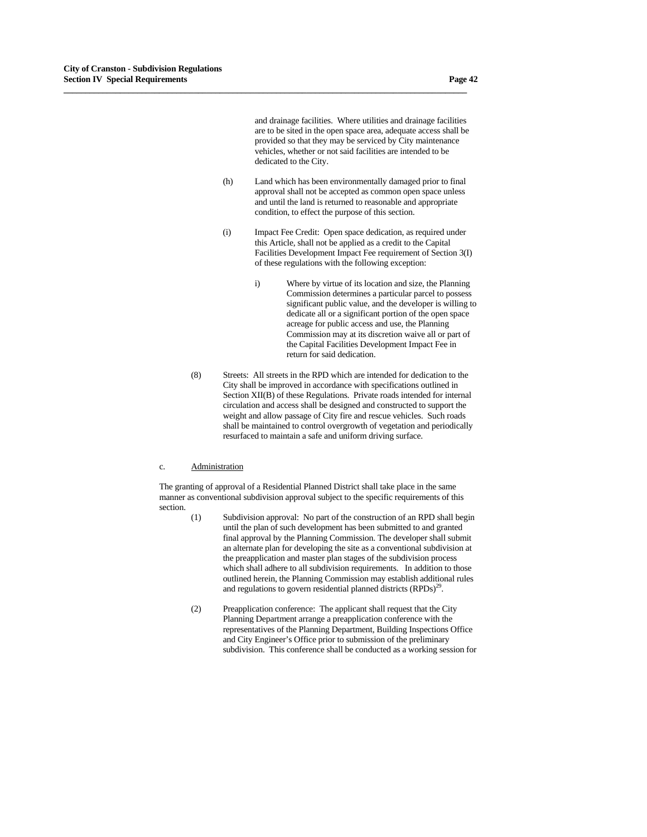and drainage facilities. Where utilities and drainage facilities are to be sited in the open space area, adequate access shall be provided so that they may be serviced by City maintenance vehicles, whether or not said facilities are intended to be dedicated to the City.

 (h) Land which has been environmentally damaged prior to final approval shall not be accepted as common open space unless and until the land is returned to reasonable and appropriate condition, to effect the purpose of this section.

**\_\_\_\_\_\_\_\_\_\_\_\_\_\_\_\_\_\_\_\_\_\_\_\_\_\_\_\_\_\_\_\_\_\_\_\_\_\_\_\_\_\_\_\_\_\_\_\_\_\_\_\_\_\_\_\_\_\_\_\_\_\_\_\_\_\_\_\_\_\_\_\_\_\_\_\_\_\_\_\_\_\_\_\_\_\_\_\_\_\_\_\_\_**

- (i) Impact Fee Credit: Open space dedication, as required under this Article, shall not be applied as a credit to the Capital Facilities Development Impact Fee requirement of Section 3(I) of these regulations with the following exception:
	- i) Where by virtue of its location and size, the Planning Commission determines a particular parcel to possess significant public value, and the developer is willing to dedicate all or a significant portion of the open space acreage for public access and use, the Planning Commission may at its discretion waive all or part of the Capital Facilities Development Impact Fee in return for said dedication.
- (8) Streets: All streets in the RPD which are intended for dedication to the City shall be improved in accordance with specifications outlined in Section XII(B) of these Regulations. Private roads intended for internal circulation and access shall be designed and constructed to support the weight and allow passage of City fire and rescue vehicles. Such roads shall be maintained to control overgrowth of vegetation and periodically resurfaced to maintain a safe and uniform driving surface.

#### c. Administration

 The granting of approval of a Residential Planned District shall take place in the same manner as conventional subdivision approval subject to the specific requirements of this section.

- (1) Subdivision approval: No part of the construction of an RPD shall begin until the plan of such development has been submitted to and granted final approval by the Planning Commission. The developer shall submit an alternate plan for developing the site as a conventional subdivision at the preapplication and master plan stages of the subdivision process which shall adhere to all subdivision requirements. In addition to those outlined herein, the Planning Commission may establish additional rules and regulations to govern residential planned districts  $(RPDs)^{29}$ .
- (2) Preapplication conference: The applicant shall request that the City Planning Department arrange a preapplication conference with the representatives of the Planning Department, Building Inspections Office and City Engineer's Office prior to submission of the preliminary subdivision. This conference shall be conducted as a working session for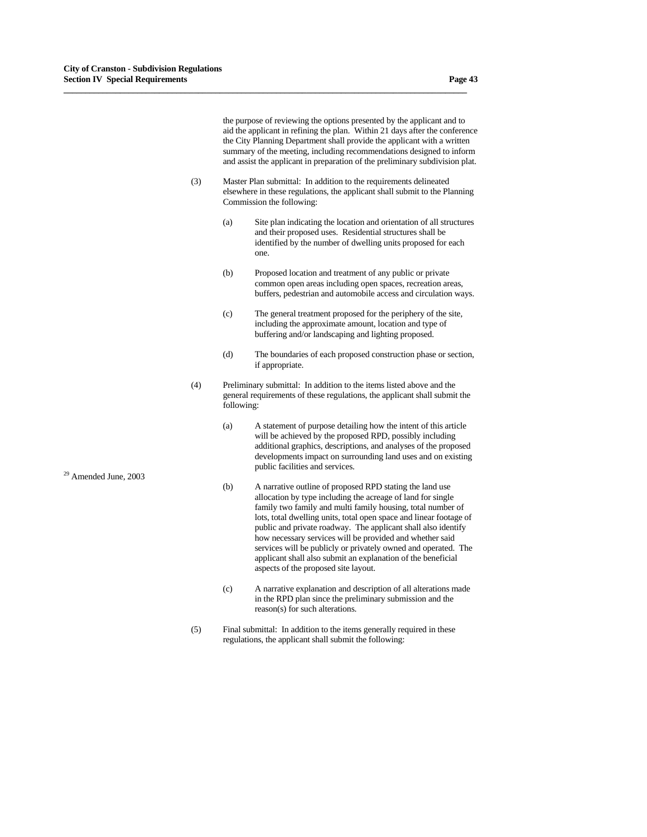the purpose of reviewing the options presented by the applicant and to aid the applicant in refining the plan. Within 21 days after the conference the City Planning Department shall provide the applicant with a written summary of the meeting, including recommendations designed to inform and assist the applicant in preparation of the preliminary subdivision plat.

 (3) Master Plan submittal: In addition to the requirements delineated elsewhere in these regulations, the applicant shall submit to the Planning Commission the following:

- (a) Site plan indicating the location and orientation of all structures and their proposed uses. Residential structures shall be identified by the number of dwelling units proposed for each one.
- (b) Proposed location and treatment of any public or private common open areas including open spaces, recreation areas, buffers, pedestrian and automobile access and circulation ways.
- (c) The general treatment proposed for the periphery of the site, including the approximate amount, location and type of buffering and/or landscaping and lighting proposed.
- (d) The boundaries of each proposed construction phase or section, if appropriate.
- (4) Preliminary submittal: In addition to the items listed above and the general requirements of these regulations, the applicant shall submit the following:
- (a) A statement of purpose detailing how the intent of this article will be achieved by the proposed RPD, possibly including additional graphics, descriptions, and analyses of the proposed developments impact on surrounding land uses and on existing public facilities and services. 29 Amended June, 2003
	- (b) A narrative outline of proposed RPD stating the land use allocation by type including the acreage of land for single family two family and multi family housing, total number of lots, total dwelling units, total open space and linear footage of public and private roadway. The applicant shall also identify how necessary services will be provided and whether said services will be publicly or privately owned and operated. The applicant shall also submit an explanation of the beneficial aspects of the proposed site layout.
	- (c) A narrative explanation and description of all alterations made in the RPD plan since the preliminary submission and the reason(s) for such alterations.
	- (5) Final submittal: In addition to the items generally required in these regulations, the applicant shall submit the following: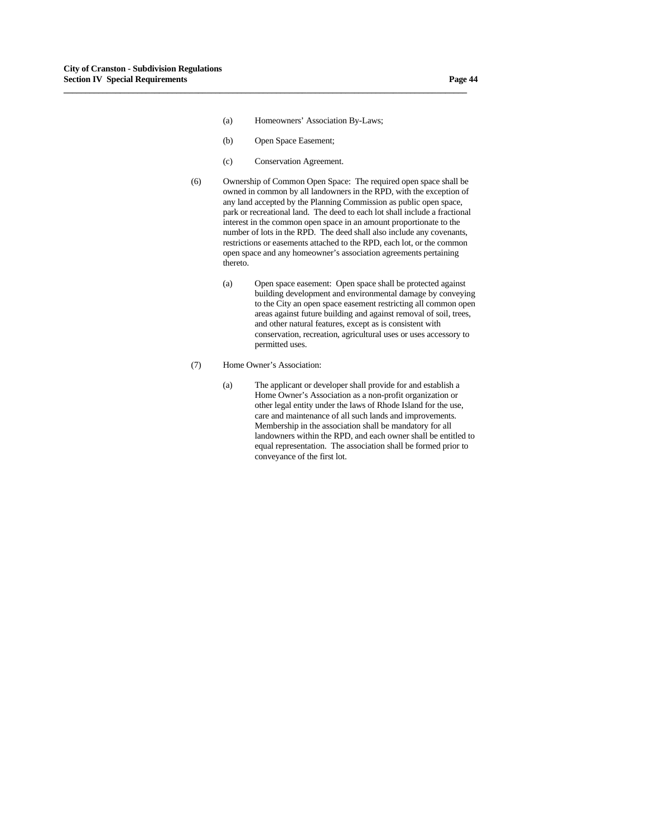- (a) Homeowners' Association By-Laws;
- (b) Open Space Easement;

- (c) Conservation Agreement.
- (6) Ownership of Common Open Space: The required open space shall be owned in common by all landowners in the RPD, with the exception of any land accepted by the Planning Commission as public open space, park or recreational land. The deed to each lot shall include a fractional interest in the common open space in an amount proportionate to the number of lots in the RPD. The deed shall also include any covenants, restrictions or easements attached to the RPD, each lot, or the common open space and any homeowner's association agreements pertaining thereto.
	- (a) Open space easement: Open space shall be protected against building development and environmental damage by conveying to the City an open space easement restricting all common open areas against future building and against removal of soil, trees, and other natural features, except as is consistent with conservation, recreation, agricultural uses or uses accessory to permitted uses.
- (7) Home Owner's Association:
	- (a) The applicant or developer shall provide for and establish a Home Owner's Association as a non-profit organization or other legal entity under the laws of Rhode Island for the use, care and maintenance of all such lands and improvements. Membership in the association shall be mandatory for all landowners within the RPD, and each owner shall be entitled to equal representation. The association shall be formed prior to conveyance of the first lot.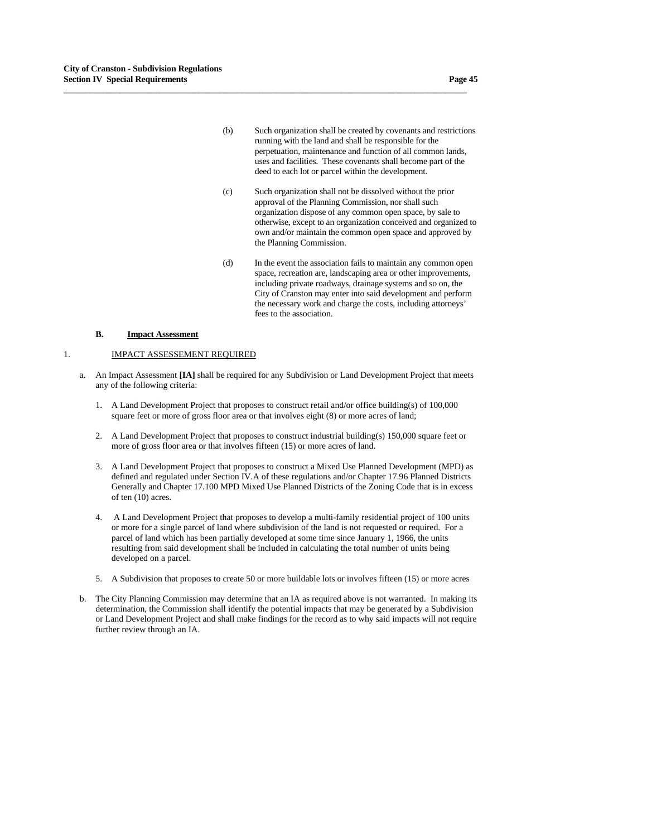- (b) Such organization shall be created by covenants and restrictions running with the land and shall be responsible for the perpetuation, maintenance and function of all common lands, uses and facilities. These covenants shall become part of the deed to each lot or parcel within the development.
- (c) Such organization shall not be dissolved without the prior approval of the Planning Commission, nor shall such organization dispose of any common open space, by sale to otherwise, except to an organization conceived and organized to own and/or maintain the common open space and approved by the Planning Commission.
- (d) In the event the association fails to maintain any common open space, recreation are, landscaping area or other improvements, including private roadways, drainage systems and so on, the City of Cranston may enter into said development and perform the necessary work and charge the costs, including attorneys' fees to the association.

#### **B.** Impact Assessment

### 1. IMPACT ASSESSEMENT REQUIRED

a. An Impact Assessment **[IA]** shall be required for any Subdivision or Land Development Project that meets any of the following criteria:

- 1. A Land Development Project that proposes to construct retail and/or office building(s) of 100,000 square feet or more of gross floor area or that involves eight (8) or more acres of land;
- 2. A Land Development Project that proposes to construct industrial building(s) 150,000 square feet or more of gross floor area or that involves fifteen (15) or more acres of land.
- 3. A Land Development Project that proposes to construct a Mixed Use Planned Development (MPD) as defined and regulated under Section IV.A of these regulations and/or Chapter 17.96 Planned Districts Generally and Chapter 17.100 MPD Mixed Use Planned Districts of the Zoning Code that is in excess of ten (10) acres.
- 4. A Land Development Project that proposes to develop a multi-family residential project of 100 units or more for a single parcel of land where subdivision of the land is not requested or required. For a parcel of land which has been partially developed at some time since January 1, 1966, the units resulting from said development shall be included in calculating the total number of units being developed on a parcel.
- 5. A Subdivision that proposes to create 50 or more buildable lots or involves fifteen (15) or more acres
- b. The City Planning Commission may determine that an IA as required above is not warranted. In making its determination, the Commission shall identify the potential impacts that may be generated by a Subdivision or Land Development Project and shall make findings for the record as to why said impacts will not require further review through an IA.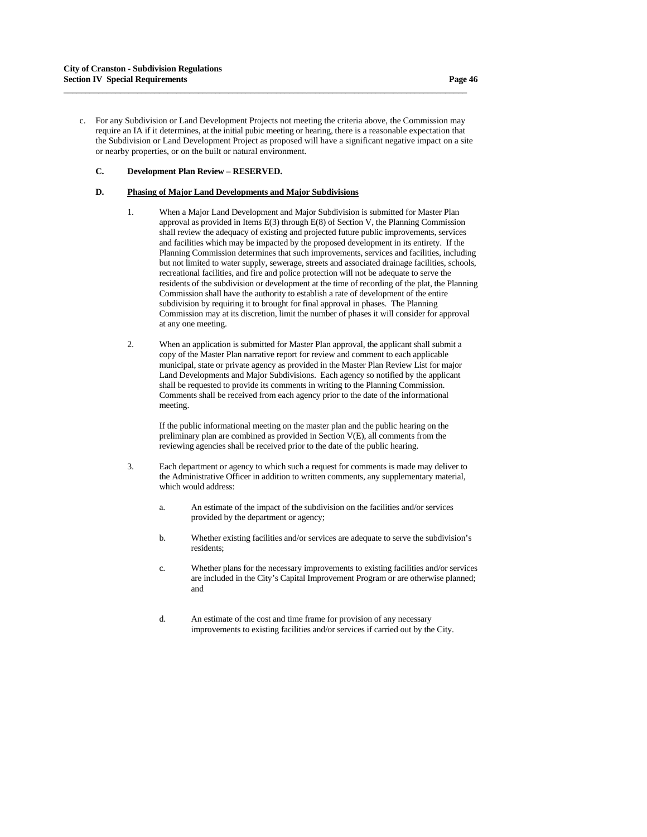c. For any Subdivision or Land Development Projects not meeting the criteria above, the Commission may require an IA if it determines, at the initial pubic meeting or hearing, there is a reasonable expectation that the Subdivision or Land Development Project as proposed will have a significant negative impact on a site or nearby properties, or on the built or natural environment.

**\_\_\_\_\_\_\_\_\_\_\_\_\_\_\_\_\_\_\_\_\_\_\_\_\_\_\_\_\_\_\_\_\_\_\_\_\_\_\_\_\_\_\_\_\_\_\_\_\_\_\_\_\_\_\_\_\_\_\_\_\_\_\_\_\_\_\_\_\_\_\_\_\_\_\_\_\_\_\_\_\_\_\_\_\_\_\_\_\_\_\_\_\_**

## **C. Development Plan Review – RESERVED.**

## **D. Phasing of Major Land Developments and Major Subdivisions**

- 1. When a Major Land Development and Major Subdivision is submitted for Master Plan approval as provided in Items E(3) through E(8) of Section V, the Planning Commission shall review the adequacy of existing and projected future public improvements, services and facilities which may be impacted by the proposed development in its entirety. If the Planning Commission determines that such improvements, services and facilities, including but not limited to water supply, sewerage, streets and associated drainage facilities, schools, recreational facilities, and fire and police protection will not be adequate to serve the residents of the subdivision or development at the time of recording of the plat, the Planning Commission shall have the authority to establish a rate of development of the entire subdivision by requiring it to brought for final approval in phases. The Planning Commission may at its discretion, limit the number of phases it will consider for approval at any one meeting.
- 2. When an application is submitted for Master Plan approval, the applicant shall submit a copy of the Master Plan narrative report for review and comment to each applicable municipal, state or private agency as provided in the Master Plan Review List for major Land Developments and Major Subdivisions. Each agency so notified by the applicant shall be requested to provide its comments in writing to the Planning Commission. Comments shall be received from each agency prior to the date of the informational meeting.

 If the public informational meeting on the master plan and the public hearing on the preliminary plan are combined as provided in Section V(E), all comments from the reviewing agencies shall be received prior to the date of the public hearing.

- 3. Each department or agency to which such a request for comments is made may deliver to the Administrative Officer in addition to written comments, any supplementary material, which would address:
	- a. An estimate of the impact of the subdivision on the facilities and/or services provided by the department or agency;
	- b. Whether existing facilities and/or services are adequate to serve the subdivision's residents;
	- c. Whether plans for the necessary improvements to existing facilities and/or services are included in the City's Capital Improvement Program or are otherwise planned; and
	- d. An estimate of the cost and time frame for provision of any necessary improvements to existing facilities and/or services if carried out by the City.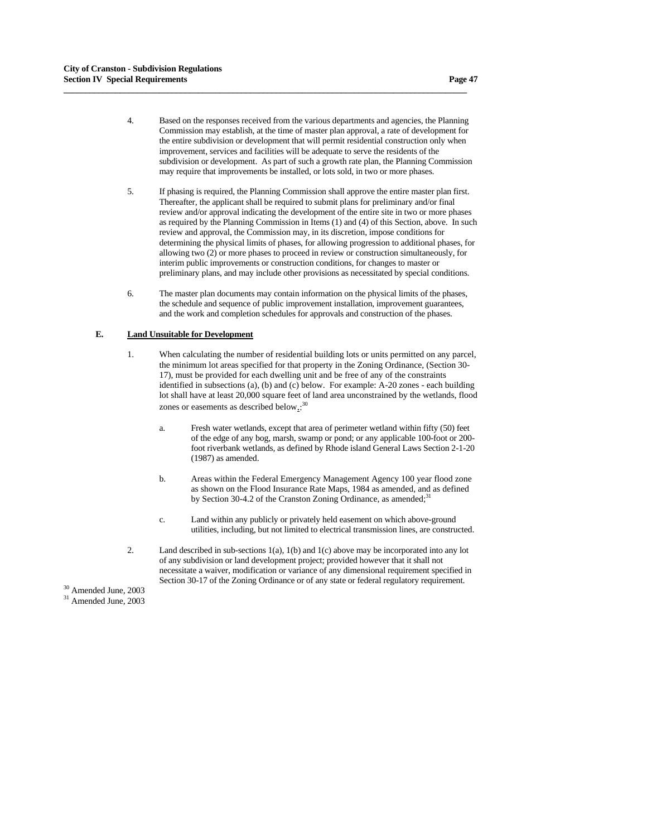4. Based on the responses received from the various departments and agencies, the Planning Commission may establish, at the time of master plan approval, a rate of development for the entire subdivision or development that will permit residential construction only when improvement, services and facilities will be adequate to serve the residents of the subdivision or development. As part of such a growth rate plan, the Planning Commission may require that improvements be installed, or lots sold, in two or more phases.

**\_\_\_\_\_\_\_\_\_\_\_\_\_\_\_\_\_\_\_\_\_\_\_\_\_\_\_\_\_\_\_\_\_\_\_\_\_\_\_\_\_\_\_\_\_\_\_\_\_\_\_\_\_\_\_\_\_\_\_\_\_\_\_\_\_\_\_\_\_\_\_\_\_\_\_\_\_\_\_\_\_\_\_\_\_\_\_\_\_\_\_\_\_**

- 5. If phasing is required, the Planning Commission shall approve the entire master plan first. Thereafter, the applicant shall be required to submit plans for preliminary and/or final review and/or approval indicating the development of the entire site in two or more phases as required by the Planning Commission in Items (1) and (4) of this Section, above. In such review and approval, the Commission may, in its discretion, impose conditions for determining the physical limits of phases, for allowing progression to additional phases, for allowing two (2) or more phases to proceed in review or construction simultaneously, for interim public improvements or construction conditions, for changes to master or preliminary plans, and may include other provisions as necessitated by special conditions.
- 6. The master plan documents may contain information on the physical limits of the phases, the schedule and sequence of public improvement installation, improvement guarantees, and the work and completion schedules for approvals and construction of the phases.

### **E. Land Unsuitable for Development**

- 1. When calculating the number of residential building lots or units permitted on any parcel, the minimum lot areas specified for that property in the Zoning Ordinance, (Section 30- 17), must be provided for each dwelling unit and be free of any of the constraints identified in subsections (a), (b) and (c) below. For example: A-20 zones - each building lot shall have at least 20,000 square feet of land area unconstrained by the wetlands, flood zones or easements as described below.:<sup>30</sup>
	- a. Fresh water wetlands, except that area of perimeter wetland within fifty (50) feet of the edge of any bog, marsh, swamp or pond; or any applicable 100-foot or 200 foot riverbank wetlands, as defined by Rhode island General Laws Section 2-1-20 (1987) as amended.
	- b. Areas within the Federal Emergency Management Agency 100 year flood zone as shown on the Flood Insurance Rate Maps, 1984 as amended, and as defined by Section 30-4.2 of the Cranston Zoning Ordinance, as amended; $31$
	- c. Land within any publicly or privately held easement on which above-ground utilities, including, but not limited to electrical transmission lines, are constructed.
- 2. Land described in sub-sections 1(a), 1(b) and 1(c) above may be incorporated into any lot of any subdivision or land development project; provided however that it shall not necessitate a waiver, modification or variance of any dimensional requirement specified in Section 30-17 of the Zoning Ordinance or of any state or federal regulatory requirement. 30 Amended June, 2003

31 Amended June, 2003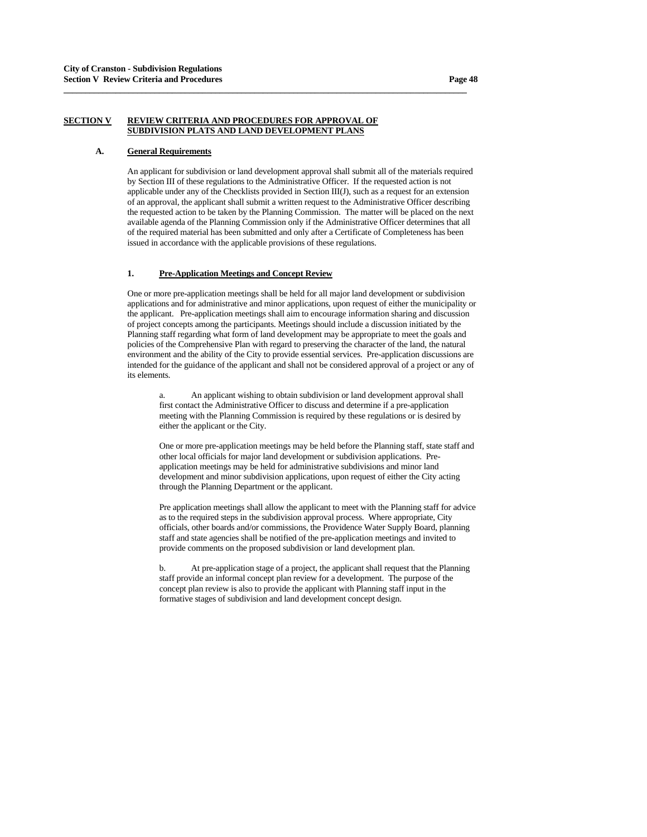# **SECTION V REVIEW CRITERIA AND PROCEDURES FOR APPROVAL OF SUBDIVISION PLATS AND LAND DEVELOPMENT PLANS**

**\_\_\_\_\_\_\_\_\_\_\_\_\_\_\_\_\_\_\_\_\_\_\_\_\_\_\_\_\_\_\_\_\_\_\_\_\_\_\_\_\_\_\_\_\_\_\_\_\_\_\_\_\_\_\_\_\_\_\_\_\_\_\_\_\_\_\_\_\_\_\_\_\_\_\_\_\_\_\_\_\_\_\_\_\_\_\_\_\_\_\_\_\_**

#### **A. General Requirements**

 An applicant for subdivision or land development approval shall submit all of the materials required by Section III of these regulations to the Administrative Officer. If the requested action is not applicable under any of the Checklists provided in Section III(J), such as a request for an extension of an approval, the applicant shall submit a written request to the Administrative Officer describing the requested action to be taken by the Planning Commission. The matter will be placed on the next available agenda of the Planning Commission only if the Administrative Officer determines that all of the required material has been submitted and only after a Certificate of Completeness has been issued in accordance with the applicable provisions of these regulations.

### **1. Pre-Application Meetings and Concept Review**

One or more pre-application meetings shall be held for all major land development or subdivision applications and for administrative and minor applications, upon request of either the municipality or the applicant. Pre-application meetings shall aim to encourage information sharing and discussion of project concepts among the participants. Meetings should include a discussion initiated by the Planning staff regarding what form of land development may be appropriate to meet the goals and policies of the Comprehensive Plan with regard to preserving the character of the land, the natural environment and the ability of the City to provide essential services. Pre-application discussions are intended for the guidance of the applicant and shall not be considered approval of a project or any of its elements.

 a. An applicant wishing to obtain subdivision or land development approval shall first contact the Administrative Officer to discuss and determine if a pre-application meeting with the Planning Commission is required by these regulations or is desired by either the applicant or the City.

One or more pre-application meetings may be held before the Planning staff, state staff and other local officials for major land development or subdivision applications. Preapplication meetings may be held for administrative subdivisions and minor land development and minor subdivision applications, upon request of either the City acting through the Planning Department or the applicant.

Pre application meetings shall allow the applicant to meet with the Planning staff for advice as to the required steps in the subdivision approval process. Where appropriate, City officials, other boards and/or commissions, the Providence Water Supply Board, planning staff and state agencies shall be notified of the pre-application meetings and invited to provide comments on the proposed subdivision or land development plan.

 b. At pre-application stage of a project, the applicant shall request that the Planning staff provide an informal concept plan review for a development. The purpose of the concept plan review is also to provide the applicant with Planning staff input in the formative stages of subdivision and land development concept design.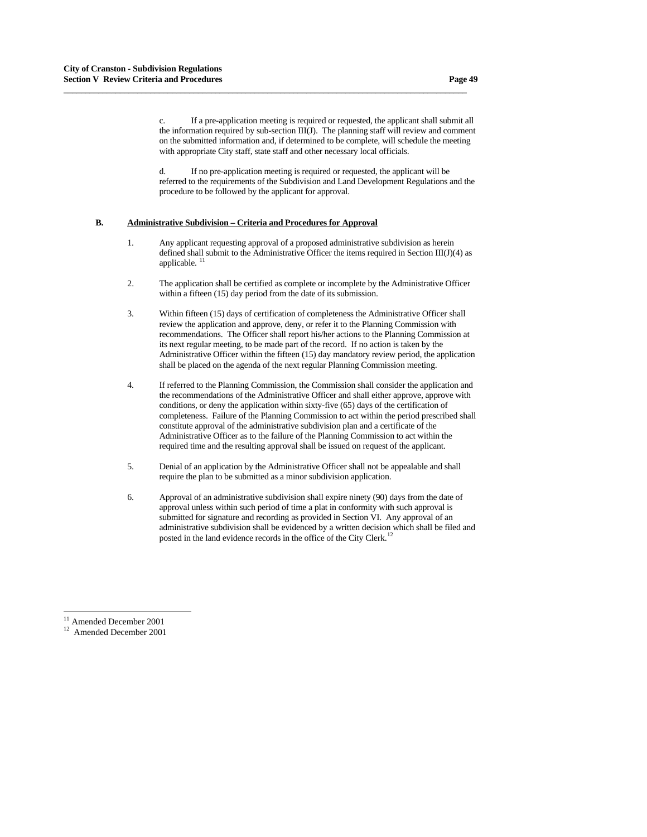c. If a pre-application meeting is required or requested, the applicant shall submit all the information required by sub-section III(J). The planning staff will review and comment on the submitted information and, if determined to be complete, will schedule the meeting with appropriate City staff, state staff and other necessary local officials.

 d. If no pre-application meeting is required or requested, the applicant will be referred to the requirements of the Subdivision and Land Development Regulations and the procedure to be followed by the applicant for approval.

## **B. Administrative Subdivision – Criteria and Procedures for Approval**

**\_\_\_\_\_\_\_\_\_\_\_\_\_\_\_\_\_\_\_\_\_\_\_\_\_\_\_\_\_\_\_\_\_\_\_\_\_\_\_\_\_\_\_\_\_\_\_\_\_\_\_\_\_\_\_\_\_\_\_\_\_\_\_\_\_\_\_\_\_\_\_\_\_\_\_\_\_\_\_\_\_\_\_\_\_\_\_\_\_\_\_\_\_**

- 1. Any applicant requesting approval of a proposed administrative subdivision as herein defined shall submit to the Administrative Officer the items required in Section III(J)(4) as applicable.
- 2. The application shall be certified as complete or incomplete by the Administrative Officer within a fifteen (15) day period from the date of its submission.
- 3. Within fifteen (15) days of certification of completeness the Administrative Officer shall review the application and approve, deny, or refer it to the Planning Commission with recommendations. The Officer shall report his/her actions to the Planning Commission at its next regular meeting, to be made part of the record. If no action is taken by the Administrative Officer within the fifteen (15) day mandatory review period, the application shall be placed on the agenda of the next regular Planning Commission meeting.
- 4. If referred to the Planning Commission, the Commission shall consider the application and the recommendations of the Administrative Officer and shall either approve, approve with conditions, or deny the application within sixty-five (65) days of the certification of completeness. Failure of the Planning Commission to act within the period prescribed shall constitute approval of the administrative subdivision plan and a certificate of the Administrative Officer as to the failure of the Planning Commission to act within the required time and the resulting approval shall be issued on request of the applicant.
- 5. Denial of an application by the Administrative Officer shall not be appealable and shall require the plan to be submitted as a minor subdivision application.
- 6. Approval of an administrative subdivision shall expire ninety (90) days from the date of approval unless within such period of time a plat in conformity with such approval is submitted for signature and recording as provided in Section VI. Any approval of an administrative subdivision shall be evidenced by a written decision which shall be filed and posted in the land evidence records in the office of the City Clerk.<sup>[1](#page-48-1)2</sup>

-<sup>11</sup> Amended December 2001

<span id="page-48-1"></span><span id="page-48-0"></span><sup>12</sup> Amended December 2001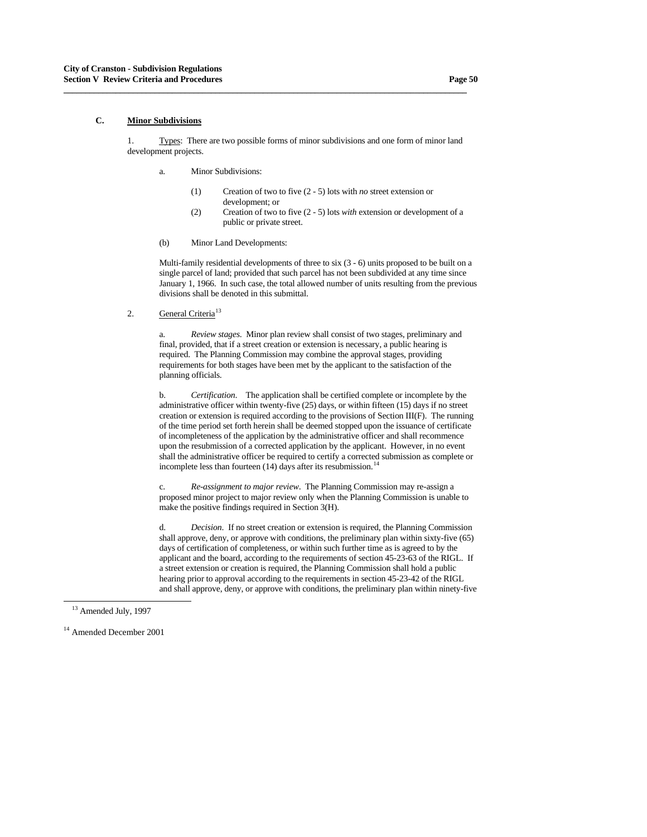## **C. Minor Subdivisions**

 1. Types: There are two possible forms of minor subdivisions and one form of minor land development projects.

**\_\_\_\_\_\_\_\_\_\_\_\_\_\_\_\_\_\_\_\_\_\_\_\_\_\_\_\_\_\_\_\_\_\_\_\_\_\_\_\_\_\_\_\_\_\_\_\_\_\_\_\_\_\_\_\_\_\_\_\_\_\_\_\_\_\_\_\_\_\_\_\_\_\_\_\_\_\_\_\_\_\_\_\_\_\_\_\_\_\_\_\_\_**

- a. Minor Subdivisions:
	- (1) Creation of two to five (2 5) lots with *no* street extension or development; or
	- (2) Creation of two to five (2 5) lots *with* extension or development of a public or private street.
- (b) Minor Land Developments:

Multi-family residential developments of three to six (3 - 6) units proposed to be built on a single parcel of land; provided that such parcel has not been subdivided at any time since January 1, 1966. In such case, the total allowed number of units resulting from the previous divisions shall be denoted in this submittal.

2. General Criteria<sup>[13](#page-49-0)</sup>

a. *Review stages*. Minor plan review shall consist of two stages, preliminary and final, provided, that if a street creation or extension is necessary, a public hearing is required. The Planning Commission may combine the approval stages, providing requirements for both stages have been met by the applicant to the satisfaction of the planning officials.

**b.** *Certification*. The application shall be certified complete or incomplete by the administrative officer within twenty-five (25) days, or within fifteen (15) days if no street creation or extension is required according to the provisions of Section III(F). The running of the time period set forth herein shall be deemed stopped upon the issuance of certificate of incompleteness of the application by the administrative officer and shall recommence upon the resubmission of a corrected application by the applicant. However, in no event shall the administrative officer be required to certify a corrected submission as complete or incomplete less than fourteen ([1](#page-49-1)4) days after its resubmission.<sup>14</sup>

c. *Re-assignment to major review*. The Planning Commission may re-assign a proposed minor project to major review only when the Planning Commission is unable to make the positive findings required in Section 3(H).

d. *Decision*. If no street creation or extension is required, the Planning Commission shall approve, deny, or approve with conditions, the preliminary plan within sixty-five (65) days of certification of completeness, or within such further time as is agreed to by the applicant and the board, according to the requirements of section 45-23-63 of the RIGL. If a street extension or creation is required, the Planning Commission shall hold a public hearing prior to approval according to the requirements in section 45-23-42 of the RIGL and shall approve, deny, or approve with conditions, the preliminary plan within ninety-five

<sup>&</sup>lt;sup>13</sup> Amended July, 1997

<span id="page-49-1"></span><span id="page-49-0"></span><sup>&</sup>lt;sup>14</sup> Amended December 2001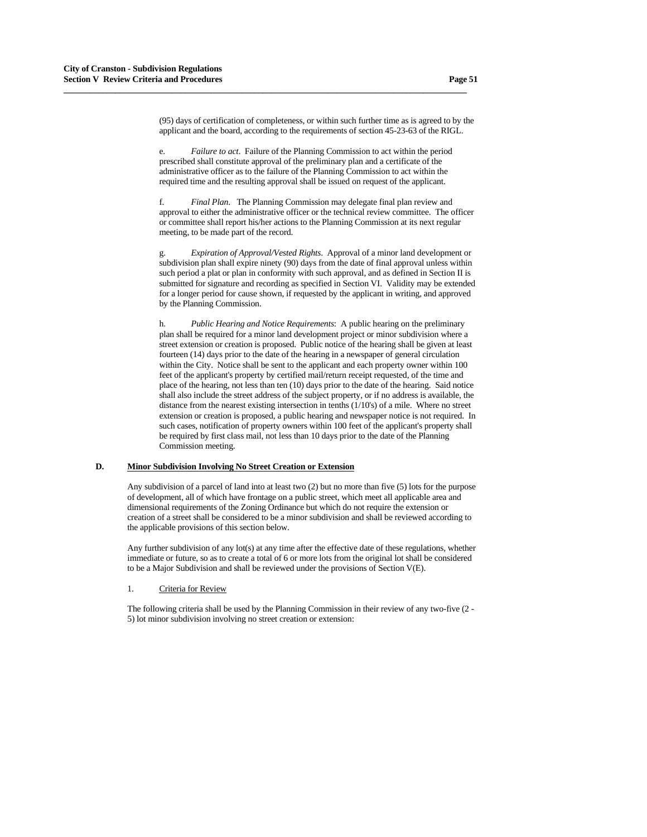(95) days of certification of completeness, or within such further time as is agreed to by the applicant and the board, according to the requirements of section 45-23-63 of the RIGL.

e. *Failure to act*. Failure of the Planning Commission to act within the period prescribed shall constitute approval of the preliminary plan and a certificate of the administrative officer as to the failure of the Planning Commission to act within the required time and the resulting approval shall be issued on request of the applicant.

**\_\_\_\_\_\_\_\_\_\_\_\_\_\_\_\_\_\_\_\_\_\_\_\_\_\_\_\_\_\_\_\_\_\_\_\_\_\_\_\_\_\_\_\_\_\_\_\_\_\_\_\_\_\_\_\_\_\_\_\_\_\_\_\_\_\_\_\_\_\_\_\_\_\_\_\_\_\_\_\_\_\_\_\_\_\_\_\_\_\_\_\_\_**

f. *Final Plan*. The Planning Commission may delegate final plan review and approval to either the administrative officer or the technical review committee. The officer or committee shall report his/her actions to the Planning Commission at its next regular meeting, to be made part of the record.

g. *Expiration of Approval/Vested Rights*. Approval of a minor land development or subdivision plan shall expire ninety (90) days from the date of final approval unless within such period a plat or plan in conformity with such approval, and as defined in Section II is submitted for signature and recording as specified in Section VI. Validity may be extended for a longer period for cause shown, if requested by the applicant in writing, and approved by the Planning Commission.

h. *Public Hearing and Notice Requirements*: A public hearing on the preliminary plan shall be required for a minor land development project or minor subdivision where a street extension or creation is proposed. Public notice of the hearing shall be given at least fourteen (14) days prior to the date of the hearing in a newspaper of general circulation within the City. Notice shall be sent to the applicant and each property owner within 100 feet of the applicant's property by certified mail/return receipt requested, of the time and place of the hearing, not less than ten (10) days prior to the date of the hearing. Said notice shall also include the street address of the subject property, or if no address is available, the distance from the nearest existing intersection in tenths (1/10's) of a mile. Where no street extension or creation is proposed, a public hearing and newspaper notice is not required. In such cases, notification of property owners within 100 feet of the applicant's property shall be required by first class mail, not less than 10 days prior to the date of the Planning Commission meeting.

# **D. Minor Subdivision Involving No Street Creation or Extension**

 Any subdivision of a parcel of land into at least two (2) but no more than five (5) lots for the purpose of development, all of which have frontage on a public street, which meet all applicable area and dimensional requirements of the Zoning Ordinance but which do not require the extension or creation of a street shall be considered to be a minor subdivision and shall be reviewed according to the applicable provisions of this section below.

Any further subdivision of any  $\text{lot}(s)$  at any time after the effective date of these regulations, whether immediate or future, so as to create a total of 6 or more lots from the original lot shall be considered to be a Major Subdivision and shall be reviewed under the provisions of Section V(E).

#### 1. Criteria for Review

The following criteria shall be used by the Planning Commission in their review of any two-five (2 - 5) lot minor subdivision involving no street creation or extension: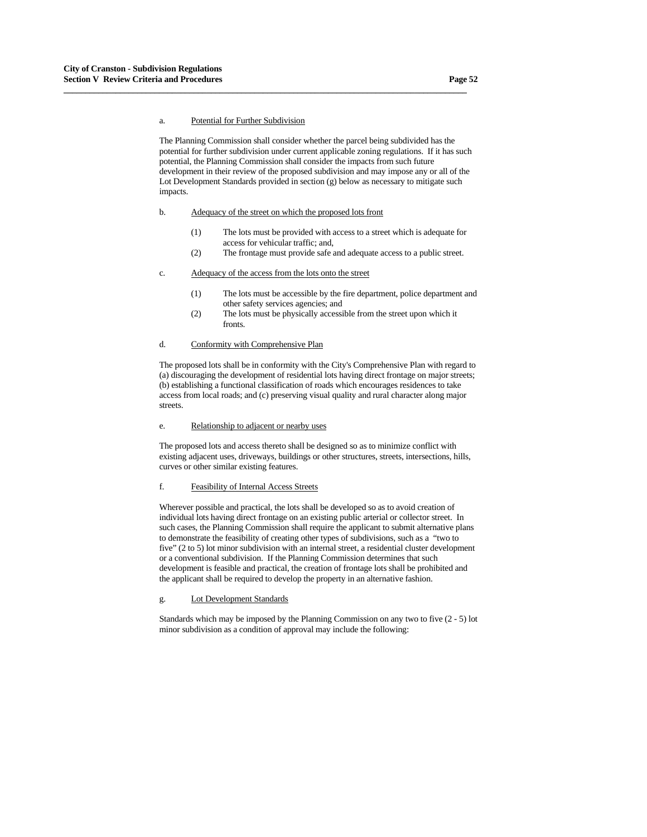# a. Potential for Further Subdivision

The Planning Commission shall consider whether the parcel being subdivided has the potential for further subdivision under current applicable zoning regulations. If it has such potential, the Planning Commission shall consider the impacts from such future development in their review of the proposed subdivision and may impose any or all of the Lot Development Standards provided in section (g) below as necessary to mitigate such impacts.

## b. Adequacy of the street on which the proposed lots front

**\_\_\_\_\_\_\_\_\_\_\_\_\_\_\_\_\_\_\_\_\_\_\_\_\_\_\_\_\_\_\_\_\_\_\_\_\_\_\_\_\_\_\_\_\_\_\_\_\_\_\_\_\_\_\_\_\_\_\_\_\_\_\_\_\_\_\_\_\_\_\_\_\_\_\_\_\_\_\_\_\_\_\_\_\_\_\_\_\_\_\_\_\_**

- (1) The lots must be provided with access to a street which is adequate for access for vehicular traffic; and,
- (2) The frontage must provide safe and adequate access to a public street.

#### c. Adequacy of the access from the lots onto the street

- (1) The lots must be accessible by the fire department, police department and other safety services agencies; and
- (2) The lots must be physically accessible from the street upon which it fronts.

## d. Conformity with Comprehensive Plan

The proposed lots shall be in conformity with the City's Comprehensive Plan with regard to (a) discouraging the development of residential lots having direct frontage on major streets; (b) establishing a functional classification of roads which encourages residences to take access from local roads; and (c) preserving visual quality and rural character along major streets.

#### e. Relationship to adjacent or nearby uses

The proposed lots and access thereto shall be designed so as to minimize conflict with existing adjacent uses, driveways, buildings or other structures, streets, intersections, hills, curves or other similar existing features.

#### f. Feasibility of Internal Access Streets

Wherever possible and practical, the lots shall be developed so as to avoid creation of individual lots having direct frontage on an existing public arterial or collector street. In such cases, the Planning Commission shall require the applicant to submit alternative plans to demonstrate the feasibility of creating other types of subdivisions, such as a "two to five" (2 to 5) lot minor subdivision with an internal street, a residential cluster development or a conventional subdivision. If the Planning Commission determines that such development is feasible and practical, the creation of frontage lots shall be prohibited and the applicant shall be required to develop the property in an alternative fashion.

#### g. Lot Development Standards

Standards which may be imposed by the Planning Commission on any two to five (2 - 5) lot minor subdivision as a condition of approval may include the following: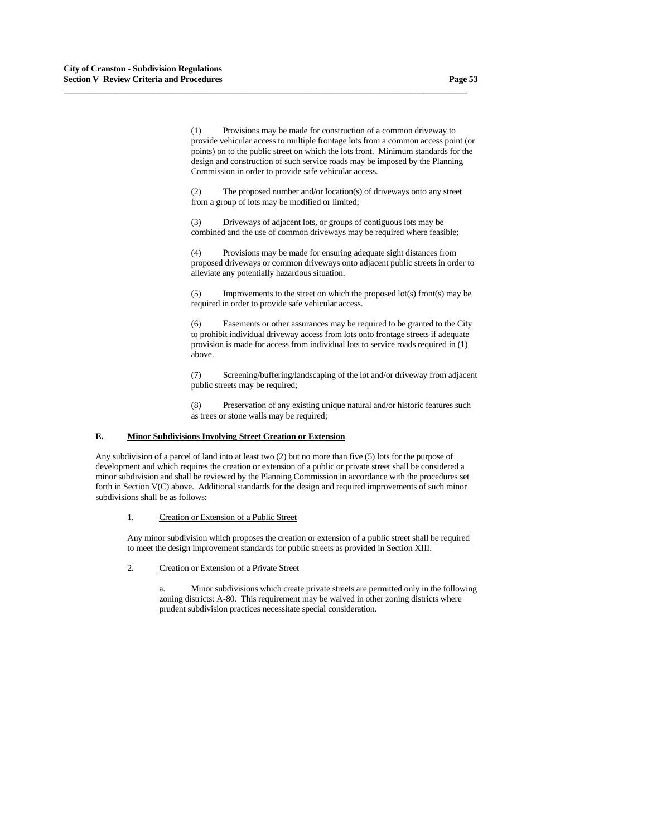(1) Provisions may be made for construction of a common driveway to provide vehicular access to multiple frontage lots from a common access point (or points) on to the public street on which the lots front. Minimum standards for the design and construction of such service roads may be imposed by the Planning Commission in order to provide safe vehicular access.

**\_\_\_\_\_\_\_\_\_\_\_\_\_\_\_\_\_\_\_\_\_\_\_\_\_\_\_\_\_\_\_\_\_\_\_\_\_\_\_\_\_\_\_\_\_\_\_\_\_\_\_\_\_\_\_\_\_\_\_\_\_\_\_\_\_\_\_\_\_\_\_\_\_\_\_\_\_\_\_\_\_\_\_\_\_\_\_\_\_\_\_\_\_**

 (2) The proposed number and/or location(s) of driveways onto any street from a group of lots may be modified or limited;

 (3) Driveways of adjacent lots, or groups of contiguous lots may be combined and the use of common driveways may be required where feasible;

 (4) Provisions may be made for ensuring adequate sight distances from proposed driveways or common driveways onto adjacent public streets in order to alleviate any potentially hazardous situation.

 $(5)$  Improvements to the street on which the proposed lot(s) front(s) may be required in order to provide safe vehicular access.

 (6) Easements or other assurances may be required to be granted to the City to prohibit individual driveway access from lots onto frontage streets if adequate provision is made for access from individual lots to service roads required in (1) above.

 (7) Screening/buffering/landscaping of the lot and/or driveway from adjacent public streets may be required;

 (8) Preservation of any existing unique natural and/or historic features such as trees or stone walls may be required;

## **E. Minor Subdivisions Involving Street Creation or Extension**

Any subdivision of a parcel of land into at least two (2) but no more than five (5) lots for the purpose of development and which requires the creation or extension of a public or private street shall be considered a minor subdivision and shall be reviewed by the Planning Commission in accordance with the procedures set forth in Section V(C) above. Additional standards for the design and required improvements of such minor subdivisions shall be as follows:

#### 1. Creation or Extension of a Public Street

Any minor subdivision which proposes the creation or extension of a public street shall be required to meet the design improvement standards for public streets as provided in Section XIII.

## 2. Creation or Extension of a Private Street

 a. Minor subdivisions which create private streets are permitted only in the following zoning districts: A-80. This requirement may be waived in other zoning districts where prudent subdivision practices necessitate special consideration.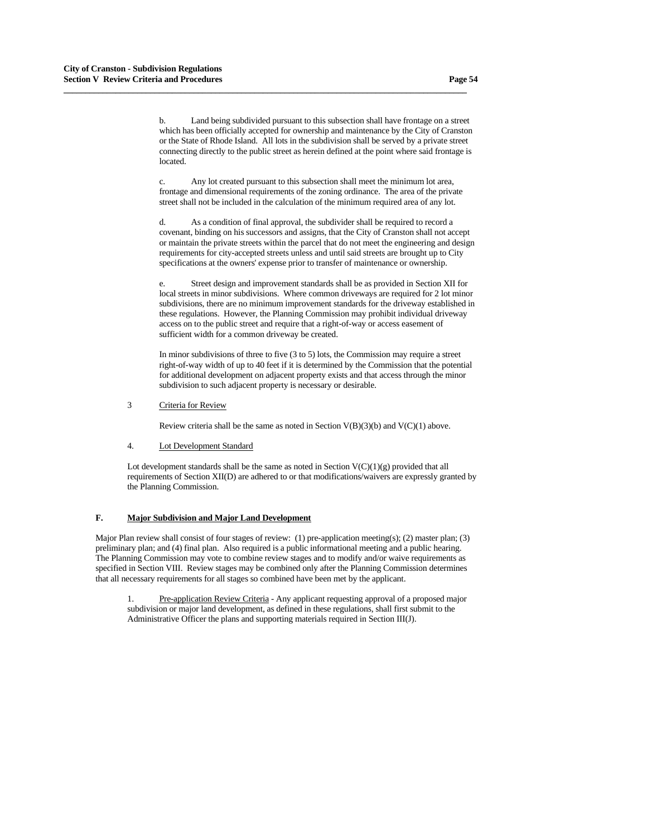b. Land being subdivided pursuant to this subsection shall have frontage on a street which has been officially accepted for ownership and maintenance by the City of Cranston or the State of Rhode Island. All lots in the subdivision shall be served by a private street connecting directly to the public street as herein defined at the point where said frontage is located.

**\_\_\_\_\_\_\_\_\_\_\_\_\_\_\_\_\_\_\_\_\_\_\_\_\_\_\_\_\_\_\_\_\_\_\_\_\_\_\_\_\_\_\_\_\_\_\_\_\_\_\_\_\_\_\_\_\_\_\_\_\_\_\_\_\_\_\_\_\_\_\_\_\_\_\_\_\_\_\_\_\_\_\_\_\_\_\_\_\_\_\_\_\_**

 c. Any lot created pursuant to this subsection shall meet the minimum lot area, frontage and dimensional requirements of the zoning ordinance. The area of the private street shall not be included in the calculation of the minimum required area of any lot.

 d. As a condition of final approval, the subdivider shall be required to record a covenant, binding on his successors and assigns, that the City of Cranston shall not accept or maintain the private streets within the parcel that do not meet the engineering and design requirements for city-accepted streets unless and until said streets are brought up to City specifications at the owners' expense prior to transfer of maintenance or ownership.

 e. Street design and improvement standards shall be as provided in Section XII for local streets in minor subdivisions. Where common driveways are required for 2 lot minor subdivisions, there are no minimum improvement standards for the driveway established in these regulations. However, the Planning Commission may prohibit individual driveway access on to the public street and require that a right-of-way or access easement of sufficient width for a common driveway be created.

In minor subdivisions of three to five (3 to 5) lots, the Commission may require a street right-of-way width of up to 40 feet if it is determined by the Commission that the potential for additional development on adjacent property exists and that access through the minor subdivision to such adjacent property is necessary or desirable.

3 Criteria for Review

Review criteria shall be the same as noted in Section  $V(B)(3)(b)$  and  $V(C)(1)$  above.

### 4. Lot Development Standard

Lot development standards shall be the same as noted in Section  $V(C)(1)(g)$  provided that all requirements of Section XII(D) are adhered to or that modifications/waivers are expressly granted by the Planning Commission.

# **F. Major Subdivision and Major Land Development**

Major Plan review shall consist of four stages of review: (1) pre-application meeting(s); (2) master plan; (3) preliminary plan; and (4) final plan. Also required is a public informational meeting and a public hearing. The Planning Commission may vote to combine review stages and to modify and/or waive requirements as specified in Section VIII. Review stages may be combined only after the Planning Commission determines that all necessary requirements for all stages so combined have been met by the applicant.

 1. Pre-application Review Criteria - Any applicant requesting approval of a proposed major subdivision or major land development, as defined in these regulations, shall first submit to the Administrative Officer the plans and supporting materials required in Section III(J).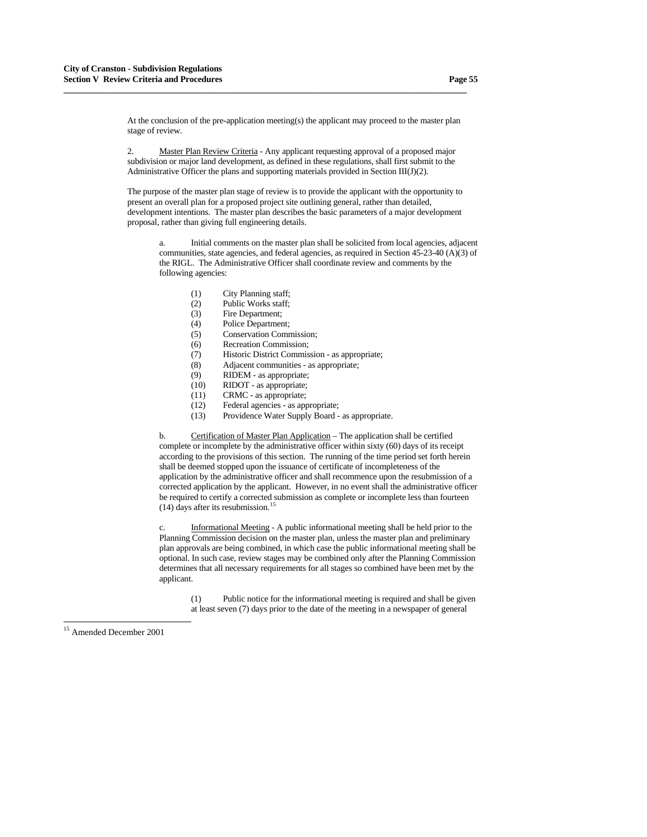At the conclusion of the pre-application meeting(s) the applicant may proceed to the master plan stage of review.

**\_\_\_\_\_\_\_\_\_\_\_\_\_\_\_\_\_\_\_\_\_\_\_\_\_\_\_\_\_\_\_\_\_\_\_\_\_\_\_\_\_\_\_\_\_\_\_\_\_\_\_\_\_\_\_\_\_\_\_\_\_\_\_\_\_\_\_\_\_\_\_\_\_\_\_\_\_\_\_\_\_\_\_\_\_\_\_\_\_\_\_\_\_**

 2. Master Plan Review Criteria - Any applicant requesting approval of a proposed major subdivision or major land development, as defined in these regulations, shall first submit to the Administrative Officer the plans and supporting materials provided in Section III(J)(2).

The purpose of the master plan stage of review is to provide the applicant with the opportunity to present an overall plan for a proposed project site outlining general, rather than detailed, development intentions. The master plan describes the basic parameters of a major development proposal, rather than giving full engineering details.

 a. Initial comments on the master plan shall be solicited from local agencies, adjacent communities, state agencies, and federal agencies, as required in Section 45-23-40 (A)(3) of the RIGL. The Administrative Officer shall coordinate review and comments by the following agencies:

- (1) City Planning staff;
- (2) Public Works staff;
- (3) Fire Department;
- (4) Police Department;
- (5) Conservation Commission;
- (6) Recreation Commission;
- (7) Historic District Commission as appropriate;
- (8) Adjacent communities as appropriate;
- (9) RIDEM as appropriate;
- (10) RIDOT as appropriate;
- (11) CRMC as appropriate;
- (12) Federal agencies as appropriate;
- (13) Providence Water Supply Board as appropriate.

b. Certification of Master Plan Application – The application shall be certified complete or incomplete by the administrative officer within sixty (60) days of its receipt according to the provisions of this section. The running of the time period set forth herein shall be deemed stopped upon the issuance of certificate of incompleteness of the application by the administrative officer and shall recommence upon the resubmission of a corrected application by the applicant. However, in no event shall the administrative officer be required to certify a corrected submission as complete or incomplete less than fourteen  $(14)$  $(14)$  $(14)$  days after its resubmission.<sup>15</sup>

Informational Meeting - A public informational meeting shall be held prior to the Planning Commission decision on the master plan, unless the master plan and preliminary plan approvals are being combined, in which case the public informational meeting shall be optional. In such case, review stages may be combined only after the Planning Commission determines that all necessary requirements for all stages so combined have been met by the applicant.

 (1) Public notice for the informational meeting is required and shall be given at least seven (7) days prior to the date of the meeting in a newspaper of general

<span id="page-54-0"></span><sup>15</sup> Amended December 2001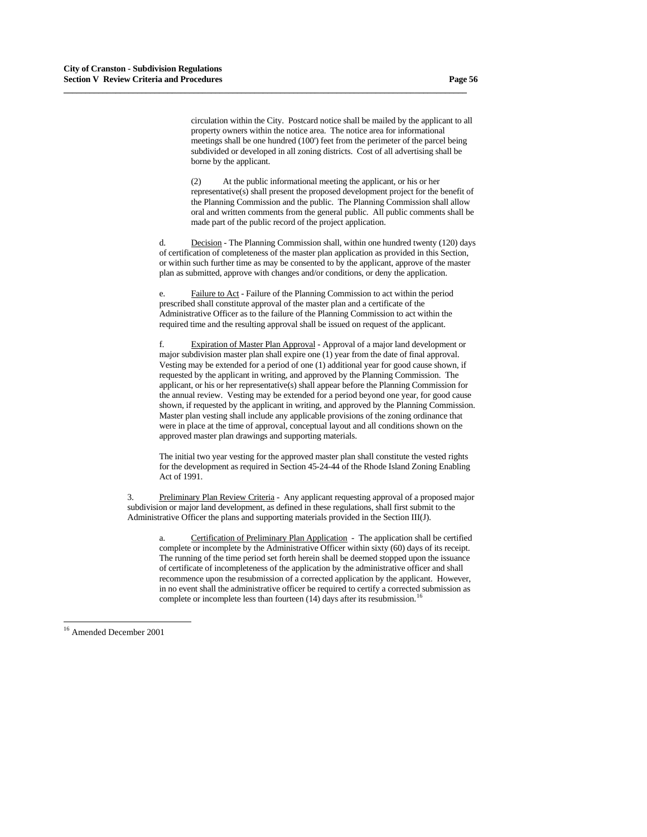circulation within the City. Postcard notice shall be mailed by the applicant to all property owners within the notice area. The notice area for informational meetings shall be one hundred (100') feet from the perimeter of the parcel being subdivided or developed in all zoning districts. Cost of all advertising shall be borne by the applicant.

**\_\_\_\_\_\_\_\_\_\_\_\_\_\_\_\_\_\_\_\_\_\_\_\_\_\_\_\_\_\_\_\_\_\_\_\_\_\_\_\_\_\_\_\_\_\_\_\_\_\_\_\_\_\_\_\_\_\_\_\_\_\_\_\_\_\_\_\_\_\_\_\_\_\_\_\_\_\_\_\_\_\_\_\_\_\_\_\_\_\_\_\_\_**

 (2) At the public informational meeting the applicant, or his or her representative(s) shall present the proposed development project for the benefit of the Planning Commission and the public. The Planning Commission shall allow oral and written comments from the general public. All public comments shall be made part of the public record of the project application.

 d. Decision - The Planning Commission shall, within one hundred twenty (120) days of certification of completeness of the master plan application as provided in this Section, or within such further time as may be consented to by the applicant, approve of the master plan as submitted, approve with changes and/or conditions, or deny the application.

 e. Failure to Act - Failure of the Planning Commission to act within the period prescribed shall constitute approval of the master plan and a certificate of the Administrative Officer as to the failure of the Planning Commission to act within the required time and the resulting approval shall be issued on request of the applicant.

 f. Expiration of Master Plan Approval - Approval of a major land development or major subdivision master plan shall expire one (1) year from the date of final approval. Vesting may be extended for a period of one (1) additional year for good cause shown, if requested by the applicant in writing, and approved by the Planning Commission. The applicant, or his or her representative(s) shall appear before the Planning Commission for the annual review. Vesting may be extended for a period beyond one year, for good cause shown, if requested by the applicant in writing, and approved by the Planning Commission. Master plan vesting shall include any applicable provisions of the zoning ordinance that were in place at the time of approval, conceptual layout and all conditions shown on the approved master plan drawings and supporting materials.

The initial two year vesting for the approved master plan shall constitute the vested rights for the development as required in Section 45-24-44 of the Rhode Island Zoning Enabling Act of 1991.

 3. Preliminary Plan Review Criteria - Any applicant requesting approval of a proposed major subdivision or major land development, as defined in these regulations, shall first submit to the Administrative Officer the plans and supporting materials provided in the Section III(J).

 a. Certification of Preliminary Plan Application - The application shall be certified complete or incomplete by the Administrative Officer within sixty (60) days of its receipt. The running of the time period set forth herein shall be deemed stopped upon the issuance of certificate of incompleteness of the application by the administrative officer and shall recommence upon the resubmission of a corrected application by the applicant. However, in no event shall the administrative officer be required to certify a corrected submission as complete or incomplete less than fourteen  $(14)$  $(14)$  $(14)$  days after its resubmission.<sup>16</sup>

<span id="page-55-0"></span><sup>16</sup> Amended December 2001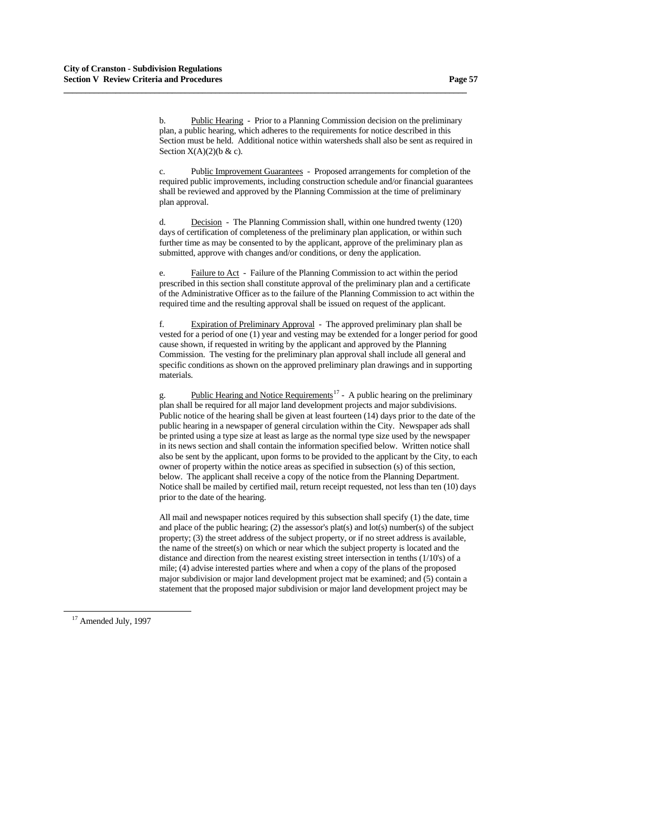b. Public Hearing - Prior to a Planning Commission decision on the preliminary plan, a public hearing, which adheres to the requirements for notice described in this Section must be held. Additional notice within watersheds shall also be sent as required in Section  $X(A)(2)(b & c)$ .

**\_\_\_\_\_\_\_\_\_\_\_\_\_\_\_\_\_\_\_\_\_\_\_\_\_\_\_\_\_\_\_\_\_\_\_\_\_\_\_\_\_\_\_\_\_\_\_\_\_\_\_\_\_\_\_\_\_\_\_\_\_\_\_\_\_\_\_\_\_\_\_\_\_\_\_\_\_\_\_\_\_\_\_\_\_\_\_\_\_\_\_\_\_**

 c. Public Improvement Guarantees - Proposed arrangements for completion of the required public improvements, including construction schedule and/or financial guarantees shall be reviewed and approved by the Planning Commission at the time of preliminary plan approval.

 d. Decision - The Planning Commission shall, within one hundred twenty (120) days of certification of completeness of the preliminary plan application, or within such further time as may be consented to by the applicant, approve of the preliminary plan as submitted, approve with changes and/or conditions, or deny the application.

 e. Failure to Act - Failure of the Planning Commission to act within the period prescribed in this section shall constitute approval of the preliminary plan and a certificate of the Administrative Officer as to the failure of the Planning Commission to act within the required time and the resulting approval shall be issued on request of the applicant.

 f. Expiration of Preliminary Approval - The approved preliminary plan shall be vested for a period of one (1) year and vesting may be extended for a longer period for good cause shown, if requested in writing by the applicant and approved by the Planning Commission. The vesting for the preliminary plan approval shall include all general and specific conditions as shown on the approved preliminary plan drawings and in supporting materials.

g. Public Hearing and Notice Requirements<sup>[17](#page-56-0)</sup> - A public hearing on the preliminary plan shall be required for all major land development projects and major subdivisions. Public notice of the hearing shall be given at least fourteen (14) days prior to the date of the public hearing in a newspaper of general circulation within the City. Newspaper ads shall be printed using a type size at least as large as the normal type size used by the newspaper in its news section and shall contain the information specified below. Written notice shall also be sent by the applicant, upon forms to be provided to the applicant by the City, to each owner of property within the notice areas as specified in subsection (s) of this section, below. The applicant shall receive a copy of the notice from the Planning Department. Notice shall be mailed by certified mail, return receipt requested, not less than ten (10) days prior to the date of the hearing.

All mail and newspaper notices required by this subsection shall specify (1) the date, time and place of the public hearing; (2) the assessor's plat(s) and  $lot(s)$  number(s) of the subject property; (3) the street address of the subject property, or if no street address is available, the name of the street(s) on which or near which the subject property is located and the distance and direction from the nearest existing street intersection in tenths (1/10's) of a mile; (4) advise interested parties where and when a copy of the plans of the proposed major subdivision or major land development project mat be examined; and (5) contain a statement that the proposed major subdivision or major land development project may be

<span id="page-56-0"></span><sup>&</sup>lt;sup>17</sup> Amended July, 1997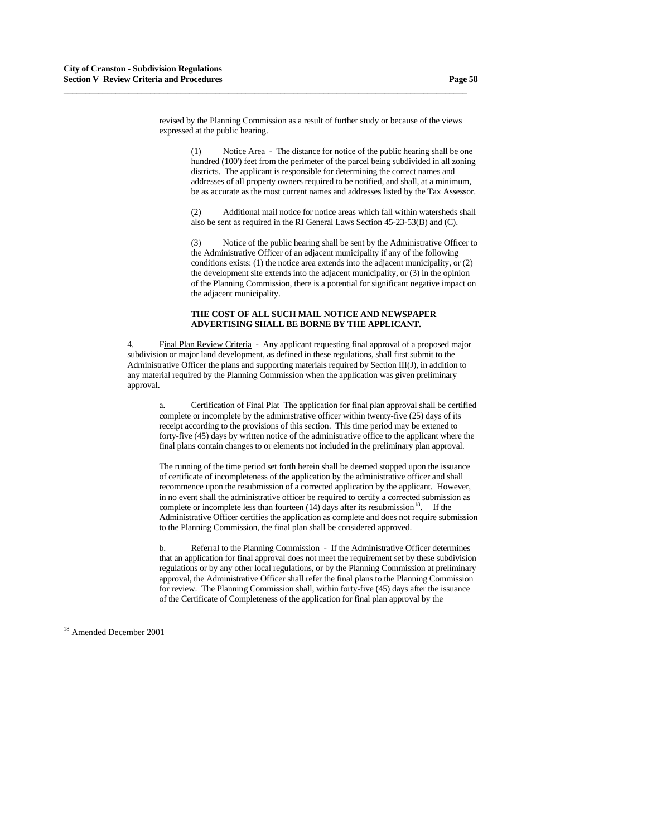revised by the Planning Commission as a result of further study or because of the views expressed at the public hearing.

**\_\_\_\_\_\_\_\_\_\_\_\_\_\_\_\_\_\_\_\_\_\_\_\_\_\_\_\_\_\_\_\_\_\_\_\_\_\_\_\_\_\_\_\_\_\_\_\_\_\_\_\_\_\_\_\_\_\_\_\_\_\_\_\_\_\_\_\_\_\_\_\_\_\_\_\_\_\_\_\_\_\_\_\_\_\_\_\_\_\_\_\_\_**

 (1) Notice Area - The distance for notice of the public hearing shall be one hundred (100') feet from the perimeter of the parcel being subdivided in all zoning districts. The applicant is responsible for determining the correct names and addresses of all property owners required to be notified, and shall, at a minimum, be as accurate as the most current names and addresses listed by the Tax Assessor.

 (2) Additional mail notice for notice areas which fall within watersheds shall also be sent as required in the RI General Laws Section 45-23-53(B) and (C).

 (3) Notice of the public hearing shall be sent by the Administrative Officer to the Administrative Officer of an adjacent municipality if any of the following conditions exists: (1) the notice area extends into the adjacent municipality, or (2) the development site extends into the adjacent municipality, or (3) in the opinion of the Planning Commission, there is a potential for significant negative impact on the adjacent municipality.

### **THE COST OF ALL SUCH MAIL NOTICE AND NEWSPAPER ADVERTISING SHALL BE BORNE BY THE APPLICANT.**

 4. Final Plan Review Criteria - Any applicant requesting final approval of a proposed major subdivision or major land development, as defined in these regulations, shall first submit to the Administrative Officer the plans and supporting materials required by Section III(J), in addition to any material required by the Planning Commission when the application was given preliminary approval.

 a. Certification of Final Plat The application for final plan approval shall be certified complete or incomplete by the administrative officer within twenty-five (25) days of its receipt according to the provisions of this section. This time period may be extened to forty-five (45) days by written notice of the administrative office to the applicant where the final plans contain changes to or elements not included in the preliminary plan approval.

 The running of the time period set forth herein shall be deemed stopped upon the issuance of certificate of incompleteness of the application by the administrative officer and shall recommence upon the resubmission of a corrected application by the applicant. However, in no event shall the administrative officer be required to certify a corrected submission as complete or incomplete less than fourteen  $(14)$  $(14)$  $(14)$  days after its resubmission<sup>18</sup>. If the Administrative Officer certifies the application as complete and does not require submission to the Planning Commission, the final plan shall be considered approved.

b. Referral to the Planning Commission - If the Administrative Officer determines that an application for final approval does not meet the requirement set by these subdivision regulations or by any other local regulations, or by the Planning Commission at preliminary approval, the Administrative Officer shall refer the final plans to the Planning Commission for review. The Planning Commission shall, within forty-five (45) days after the issuance of the Certificate of Completeness of the application for final plan approval by the

<span id="page-57-0"></span><sup>18</sup> Amended December 2001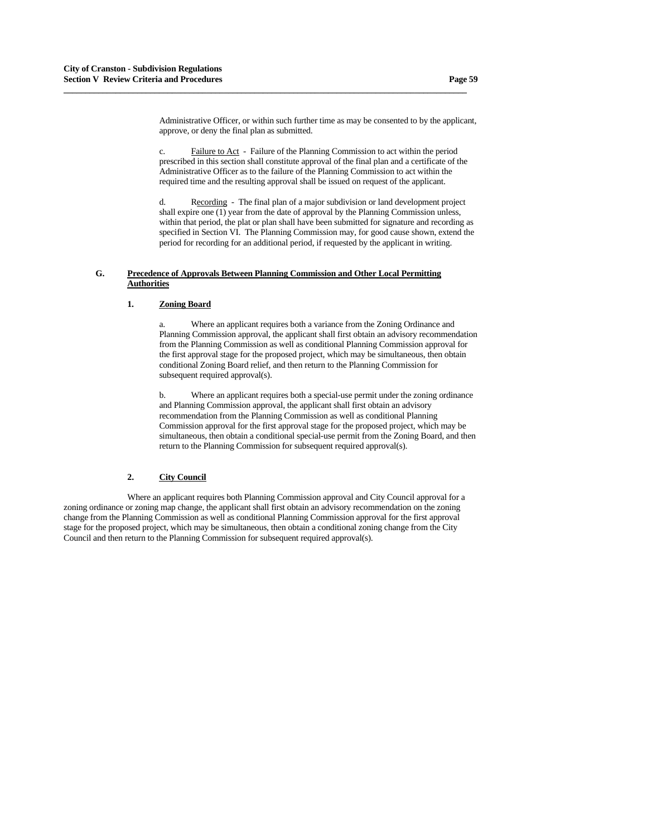Administrative Officer, or within such further time as may be consented to by the applicant, approve, or deny the final plan as submitted.

 c. Failure to Act - Failure of the Planning Commission to act within the period prescribed in this section shall constitute approval of the final plan and a certificate of the Administrative Officer as to the failure of the Planning Commission to act within the required time and the resulting approval shall be issued on request of the applicant.

 d. Recording - The final plan of a major subdivision or land development project shall expire one (1) year from the date of approval by the Planning Commission unless, within that period, the plat or plan shall have been submitted for signature and recording as specified in Section VI. The Planning Commission may, for good cause shown, extend the period for recording for an additional period, if requested by the applicant in writing.

## **G. Precedence of Approvals Between Planning Commission and Other Local Permitting Authorities**

**\_\_\_\_\_\_\_\_\_\_\_\_\_\_\_\_\_\_\_\_\_\_\_\_\_\_\_\_\_\_\_\_\_\_\_\_\_\_\_\_\_\_\_\_\_\_\_\_\_\_\_\_\_\_\_\_\_\_\_\_\_\_\_\_\_\_\_\_\_\_\_\_\_\_\_\_\_\_\_\_\_\_\_\_\_\_\_\_\_\_\_\_\_**

### **1. Zoning Board**

 a. Where an applicant requires both a variance from the Zoning Ordinance and Planning Commission approval, the applicant shall first obtain an advisory recommendation from the Planning Commission as well as conditional Planning Commission approval for the first approval stage for the proposed project, which may be simultaneous, then obtain conditional Zoning Board relief, and then return to the Planning Commission for subsequent required approval(s).

 b. Where an applicant requires both a special-use permit under the zoning ordinance and Planning Commission approval, the applicant shall first obtain an advisory recommendation from the Planning Commission as well as conditional Planning Commission approval for the first approval stage for the proposed project, which may be simultaneous, then obtain a conditional special-use permit from the Zoning Board, and then return to the Planning Commission for subsequent required approval(s).

# **2. City Council**

Where an applicant requires both Planning Commission approval and City Council approval for a zoning ordinance or zoning map change, the applicant shall first obtain an advisory recommendation on the zoning change from the Planning Commission as well as conditional Planning Commission approval for the first approval stage for the proposed project, which may be simultaneous, then obtain a conditional zoning change from the City Council and then return to the Planning Commission for subsequent required approval(s).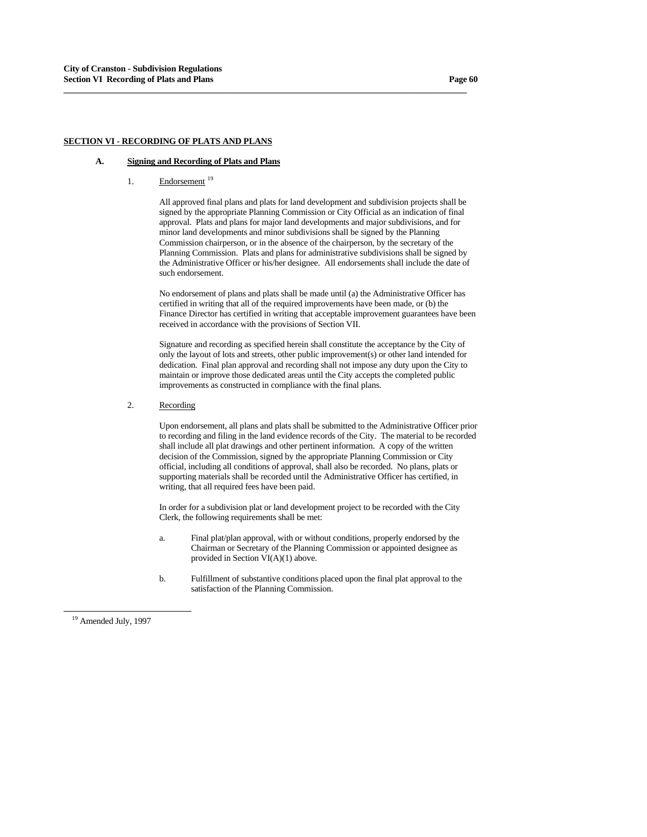## **SECTION VI - RECORDING OF PLATS AND PLANS**

# **A. Signing and Recording of Plats and Plans**

[1](#page-59-0). Endorsement <sup>19</sup>

 All approved final plans and plats for land development and subdivision projects shall be signed by the appropriate Planning Commission or City Official as an indication of final approval. Plats and plans for major land developments and major subdivisions, and for minor land developments and minor subdivisions shall be signed by the Planning Commission chairperson, or in the absence of the chairperson, by the secretary of the Planning Commission. Plats and plans for administrative subdivisions shall be signed by the Administrative Officer or his/her designee. All endorsements shall include the date of such endorsement.

**\_\_\_\_\_\_\_\_\_\_\_\_\_\_\_\_\_\_\_\_\_\_\_\_\_\_\_\_\_\_\_\_\_\_\_\_\_\_\_\_\_\_\_\_\_\_\_\_\_\_\_\_\_\_\_\_\_\_\_\_\_\_\_\_\_\_\_\_\_\_\_\_\_\_\_\_\_\_\_\_\_\_\_\_\_\_\_\_\_\_\_\_\_**

 No endorsement of plans and plats shall be made until (a) the Administrative Officer has certified in writing that all of the required improvements have been made, or (b) the Finance Director has certified in writing that acceptable improvement guarantees have been received in accordance with the provisions of Section VII.

 Signature and recording as specified herein shall constitute the acceptance by the City of only the layout of lots and streets, other public improvement(s) or other land intended for dedication. Final plan approval and recording shall not impose any duty upon the City to maintain or improve those dedicated areas until the City accepts the completed public improvements as constructed in compliance with the final plans.

### 2. Recording

 Upon endorsement, all plans and plats shall be submitted to the Administrative Officer prior to recording and filing in the land evidence records of the City. The material to be recorded shall include all plat drawings and other pertinent information. A copy of the written decision of the Commission, signed by the appropriate Planning Commission or City official, including all conditions of approval, shall also be recorded. No plans, plats or supporting materials shall be recorded until the Administrative Officer has certified, in writing, that all required fees have been paid.

 In order for a subdivision plat or land development project to be recorded with the City Clerk, the following requirements shall be met:

- a. Final plat/plan approval, with or without conditions, properly endorsed by the Chairman or Secretary of the Planning Commission or appointed designee as provided in Section VI(A)(1) above.
- b. Fulfillment of substantive conditions placed upon the final plat approval to the satisfaction of the Planning Commission.

<span id="page-59-0"></span><sup>&</sup>lt;sup>19</sup> Amended July, 1997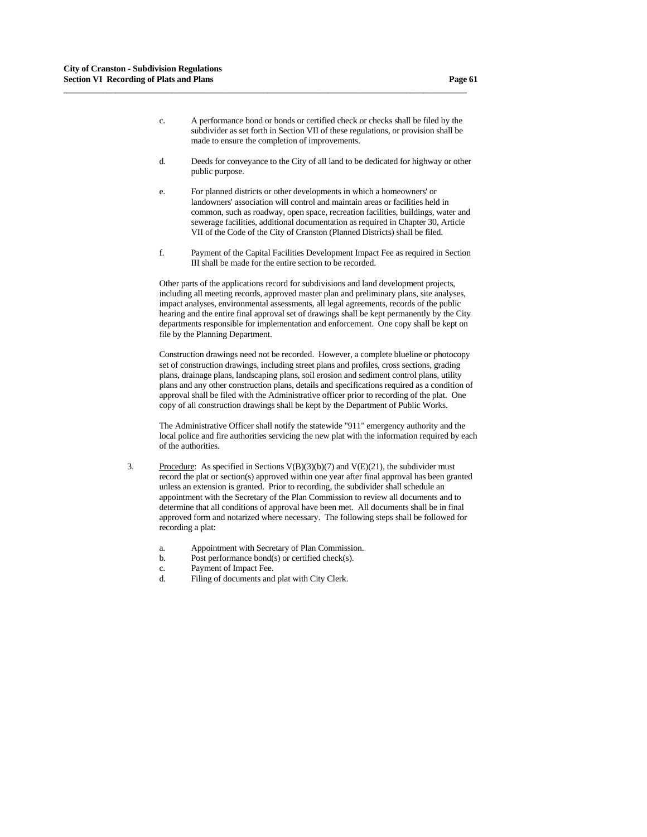c. A performance bond or bonds or certified check or checks shall be filed by the subdivider as set forth in Section VII of these regulations, or provision shall be made to ensure the completion of improvements.

**\_\_\_\_\_\_\_\_\_\_\_\_\_\_\_\_\_\_\_\_\_\_\_\_\_\_\_\_\_\_\_\_\_\_\_\_\_\_\_\_\_\_\_\_\_\_\_\_\_\_\_\_\_\_\_\_\_\_\_\_\_\_\_\_\_\_\_\_\_\_\_\_\_\_\_\_\_\_\_\_\_\_\_\_\_\_\_\_\_\_\_\_\_**

- d. Deeds for conveyance to the City of all land to be dedicated for highway or other public purpose.
- e. For planned districts or other developments in which a homeowners' or landowners' association will control and maintain areas or facilities held in common, such as roadway, open space, recreation facilities, buildings, water and sewerage facilities, additional documentation as required in Chapter 30, Article VII of the Code of the City of Cranston (Planned Districts) shall be filed.
- f. Payment of the Capital Facilities Development Impact Fee as required in Section III shall be made for the entire section to be recorded.

 Other parts of the applications record for subdivisions and land development projects, including all meeting records, approved master plan and preliminary plans, site analyses, impact analyses, environmental assessments, all legal agreements, records of the public hearing and the entire final approval set of drawings shall be kept permanently by the City departments responsible for implementation and enforcement. One copy shall be kept on file by the Planning Department.

 Construction drawings need not be recorded. However, a complete blueline or photocopy set of construction drawings, including street plans and profiles, cross sections, grading plans, drainage plans, landscaping plans, soil erosion and sediment control plans, utility plans and any other construction plans, details and specifications required as a condition of approval shall be filed with the Administrative officer prior to recording of the plat. One copy of all construction drawings shall be kept by the Department of Public Works.

 The Administrative Officer shall notify the statewide "911" emergency authority and the local police and fire authorities servicing the new plat with the information required by each of the authorities.

- 3. Procedure: As specified in Sections  $V(B)(3)(b)(7)$  and  $V(E)(21)$ , the subdivider must record the plat or section(s) approved within one year after final approval has been granted unless an extension is granted. Prior to recording, the subdivider shall schedule an appointment with the Secretary of the Plan Commission to review all documents and to determine that all conditions of approval have been met. All documents shall be in final approved form and notarized where necessary. The following steps shall be followed for recording a plat:
	- a. Appointment with Secretary of Plan Commission.
	- b. Post performance bond(s) or certified check(s).
	- c. Payment of Impact Fee.
	- d. Filing of documents and plat with City Clerk.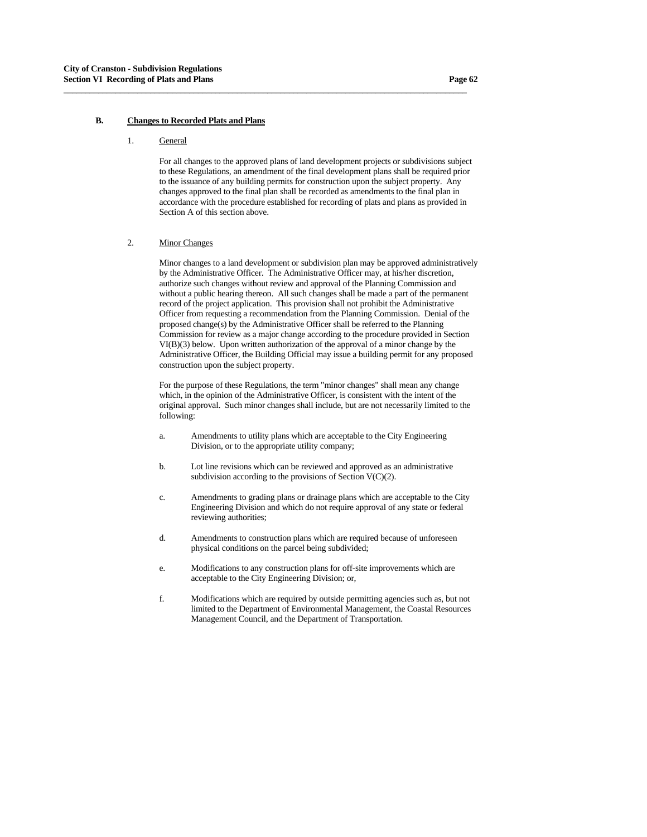## **B. Changes to Recorded Plats and Plans**

### 1. General

 For all changes to the approved plans of land development projects or subdivisions subject to these Regulations, an amendment of the final development plans shall be required prior to the issuance of any building permits for construction upon the subject property. Any changes approved to the final plan shall be recorded as amendments to the final plan in accordance with the procedure established for recording of plats and plans as provided in Section A of this section above.

**\_\_\_\_\_\_\_\_\_\_\_\_\_\_\_\_\_\_\_\_\_\_\_\_\_\_\_\_\_\_\_\_\_\_\_\_\_\_\_\_\_\_\_\_\_\_\_\_\_\_\_\_\_\_\_\_\_\_\_\_\_\_\_\_\_\_\_\_\_\_\_\_\_\_\_\_\_\_\_\_\_\_\_\_\_\_\_\_\_\_\_\_\_**

## 2. Minor Changes

 Minor changes to a land development or subdivision plan may be approved administratively by the Administrative Officer. The Administrative Officer may, at his/her discretion, authorize such changes without review and approval of the Planning Commission and without a public hearing thereon. All such changes shall be made a part of the permanent record of the project application. This provision shall not prohibit the Administrative Officer from requesting a recommendation from the Planning Commission. Denial of the proposed change(s) by the Administrative Officer shall be referred to the Planning Commission for review as a major change according to the procedure provided in Section VI(B)(3) below. Upon written authorization of the approval of a minor change by the Administrative Officer, the Building Official may issue a building permit for any proposed construction upon the subject property.

 For the purpose of these Regulations, the term "minor changes" shall mean any change which, in the opinion of the Administrative Officer, is consistent with the intent of the original approval. Such minor changes shall include, but are not necessarily limited to the following:

- a. Amendments to utility plans which are acceptable to the City Engineering Division, or to the appropriate utility company;
- b. Lot line revisions which can be reviewed and approved as an administrative subdivision according to the provisions of Section V(C)(2).
- c. Amendments to grading plans or drainage plans which are acceptable to the City Engineering Division and which do not require approval of any state or federal reviewing authorities;
- d. Amendments to construction plans which are required because of unforeseen physical conditions on the parcel being subdivided;
- e. Modifications to any construction plans for off-site improvements which are acceptable to the City Engineering Division; or,
- f. Modifications which are required by outside permitting agencies such as, but not limited to the Department of Environmental Management, the Coastal Resources Management Council, and the Department of Transportation.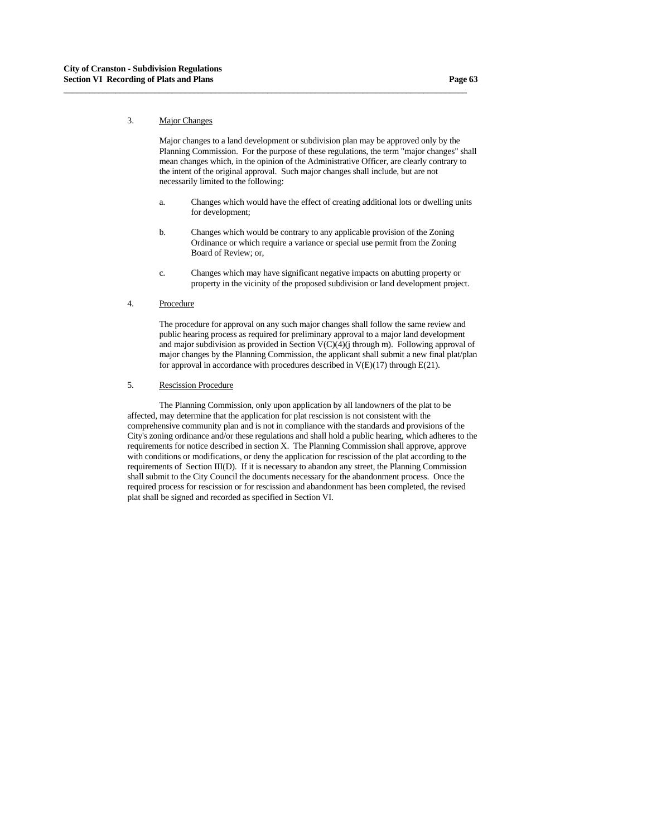## 3. Major Changes

 Major changes to a land development or subdivision plan may be approved only by the Planning Commission. For the purpose of these regulations, the term "major changes" shall mean changes which, in the opinion of the Administrative Officer, are clearly contrary to the intent of the original approval. Such major changes shall include, but are not necessarily limited to the following:

**\_\_\_\_\_\_\_\_\_\_\_\_\_\_\_\_\_\_\_\_\_\_\_\_\_\_\_\_\_\_\_\_\_\_\_\_\_\_\_\_\_\_\_\_\_\_\_\_\_\_\_\_\_\_\_\_\_\_\_\_\_\_\_\_\_\_\_\_\_\_\_\_\_\_\_\_\_\_\_\_\_\_\_\_\_\_\_\_\_\_\_\_\_**

- a. Changes which would have the effect of creating additional lots or dwelling units for development;
- b. Changes which would be contrary to any applicable provision of the Zoning Ordinance or which require a variance or special use permit from the Zoning Board of Review; or,
- c. Changes which may have significant negative impacts on abutting property or property in the vicinity of the proposed subdivision or land development project.
- 4. Procedure

 The procedure for approval on any such major changes shall follow the same review and public hearing process as required for preliminary approval to a major land development and major subdivision as provided in Section  $V(C)(4)$ (j through m). Following approval of major changes by the Planning Commission, the applicant shall submit a new final plat/plan for approval in accordance with procedures described in  $V(E)(17)$  through  $E(21)$ .

#### 5. Rescission Procedure

 The Planning Commission, only upon application by all landowners of the plat to be affected, may determine that the application for plat rescission is not consistent with the comprehensive community plan and is not in compliance with the standards and provisions of the City's zoning ordinance and/or these regulations and shall hold a public hearing, which adheres to the requirements for notice described in section X. The Planning Commission shall approve, approve with conditions or modifications, or deny the application for rescission of the plat according to the requirements of Section III(D). If it is necessary to abandon any street, the Planning Commission shall submit to the City Council the documents necessary for the abandonment process. Once the required process for rescission or for rescission and abandonment has been completed, the revised plat shall be signed and recorded as specified in Section VI.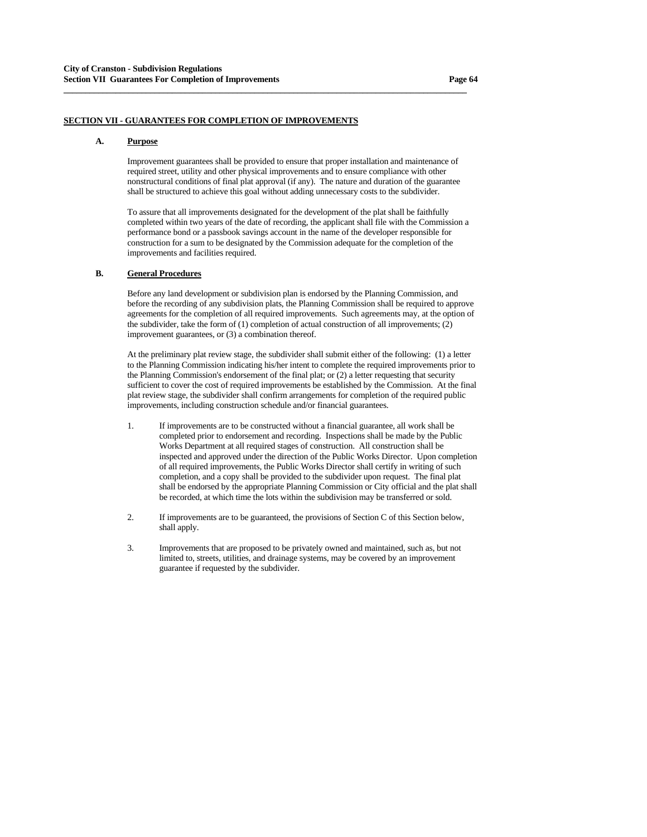## **SECTION VII - GUARANTEES FOR COMPLETION OF IMPROVEMENTS**

#### **A. Purpose**

 Improvement guarantees shall be provided to ensure that proper installation and maintenance of required street, utility and other physical improvements and to ensure compliance with other nonstructural conditions of final plat approval (if any). The nature and duration of the guarantee shall be structured to achieve this goal without adding unnecessary costs to the subdivider.

**\_\_\_\_\_\_\_\_\_\_\_\_\_\_\_\_\_\_\_\_\_\_\_\_\_\_\_\_\_\_\_\_\_\_\_\_\_\_\_\_\_\_\_\_\_\_\_\_\_\_\_\_\_\_\_\_\_\_\_\_\_\_\_\_\_\_\_\_\_\_\_\_\_\_\_\_\_\_\_\_\_\_\_\_\_\_\_\_\_\_\_\_\_**

 To assure that all improvements designated for the development of the plat shall be faithfully completed within two years of the date of recording, the applicant shall file with the Commission a performance bond or a passbook savings account in the name of the developer responsible for construction for a sum to be designated by the Commission adequate for the completion of the improvements and facilities required.

# **B. General Procedures**

 Before any land development or subdivision plan is endorsed by the Planning Commission, and before the recording of any subdivision plats, the Planning Commission shall be required to approve agreements for the completion of all required improvements. Such agreements may, at the option of the subdivider, take the form of (1) completion of actual construction of all improvements; (2) improvement guarantees, or (3) a combination thereof.

 At the preliminary plat review stage, the subdivider shall submit either of the following: (1) a letter to the Planning Commission indicating his/her intent to complete the required improvements prior to the Planning Commission's endorsement of the final plat; or (2) a letter requesting that security sufficient to cover the cost of required improvements be established by the Commission. At the final plat review stage, the subdivider shall confirm arrangements for completion of the required public improvements, including construction schedule and/or financial guarantees.

- 1. If improvements are to be constructed without a financial guarantee, all work shall be completed prior to endorsement and recording. Inspections shall be made by the Public Works Department at all required stages of construction. All construction shall be inspected and approved under the direction of the Public Works Director. Upon completion of all required improvements, the Public Works Director shall certify in writing of such completion, and a copy shall be provided to the subdivider upon request. The final plat shall be endorsed by the appropriate Planning Commission or City official and the plat shall be recorded, at which time the lots within the subdivision may be transferred or sold.
- 2. If improvements are to be guaranteed, the provisions of Section C of this Section below, shall apply.
- 3. Improvements that are proposed to be privately owned and maintained, such as, but not limited to, streets, utilities, and drainage systems, may be covered by an improvement guarantee if requested by the subdivider.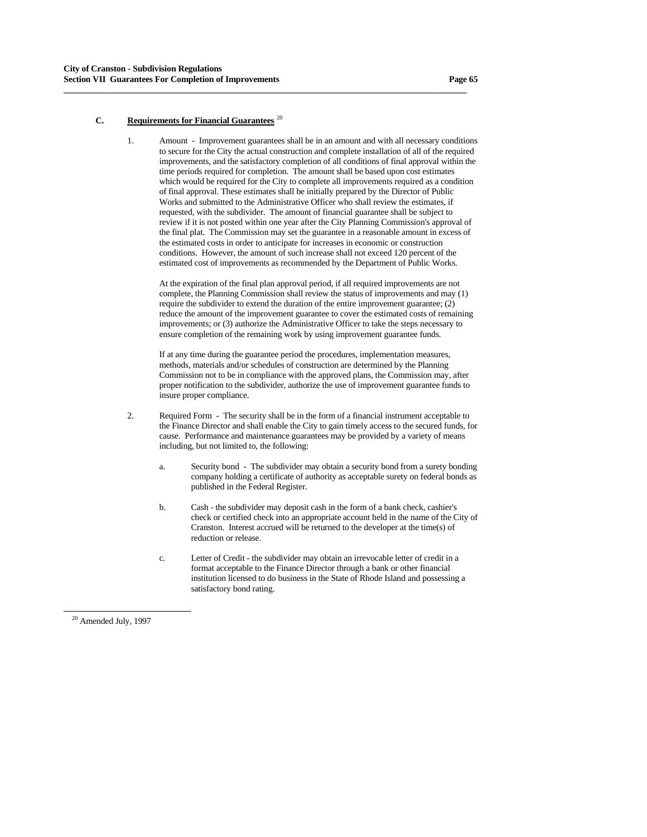## **C. Requirements for Financial Guarantees** [20](#page-64-0)

 1. Amount - Improvement guarantees shall be in an amount and with all necessary conditions to secure for the City the actual construction and complete installation of all of the required improvements, and the satisfactory completion of all conditions of final approval within the time periods required for completion. The amount shall be based upon cost estimates which would be required for the City to complete all improvements required as a condition of final approval. These estimates shall be initially prepared by the Director of Public Works and submitted to the Administrative Officer who shall review the estimates, if requested, with the subdivider. The amount of financial guarantee shall be subject to review if it is not posted within one year after the City Planning Commission's approval of the final plat. The Commission may set the guarantee in a reasonable amount in excess of the estimated costs in order to anticipate for increases in economic or construction conditions. However, the amount of such increase shall not exceed 120 percent of the estimated cost of improvements as recommended by the Department of Public Works.

**\_\_\_\_\_\_\_\_\_\_\_\_\_\_\_\_\_\_\_\_\_\_\_\_\_\_\_\_\_\_\_\_\_\_\_\_\_\_\_\_\_\_\_\_\_\_\_\_\_\_\_\_\_\_\_\_\_\_\_\_\_\_\_\_\_\_\_\_\_\_\_\_\_\_\_\_\_\_\_\_\_\_\_\_\_\_\_\_\_\_\_\_\_**

 At the expiration of the final plan approval period, if all required improvements are not complete, the Planning Commission shall review the status of improvements and may (1) require the subdivider to extend the duration of the entire improvement guarantee; (2) reduce the amount of the improvement guarantee to cover the estimated costs of remaining improvements; or (3) authorize the Administrative Officer to take the steps necessary to ensure completion of the remaining work by using improvement guarantee funds.

 If at any time during the guarantee period the procedures, implementation measures, methods, materials and/or schedules of construction are determined by the Planning Commission not to be in compliance with the approved plans, the Commission may, after proper notification to the subdivider, authorize the use of improvement guarantee funds to insure proper compliance.

- 2. Required Form The security shall be in the form of a financial instrument acceptable to the Finance Director and shall enable the City to gain timely access to the secured funds, for cause. Performance and maintenance guarantees may be provided by a variety of means including, but not limited to, the following:
	- a. Security bond The subdivider may obtain a security bond from a surety bonding company holding a certificate of authority as acceptable surety on federal bonds as published in the Federal Register.
	- b. Cash the subdivider may deposit cash in the form of a bank check, cashier's check or certified check into an appropriate account held in the name of the City of Cranston. Interest accrued will be returned to the developer at the time(s) of reduction or release.
	- c. Letter of Credit the subdivider may obtain an irrevocable letter of credit in a format acceptable to the Finance Director through a bank or other financial institution licensed to do business in the State of Rhode Island and possessing a satisfactory bond rating.

<span id="page-64-0"></span><sup>&</sup>lt;sup>20</sup> Amended July, 1997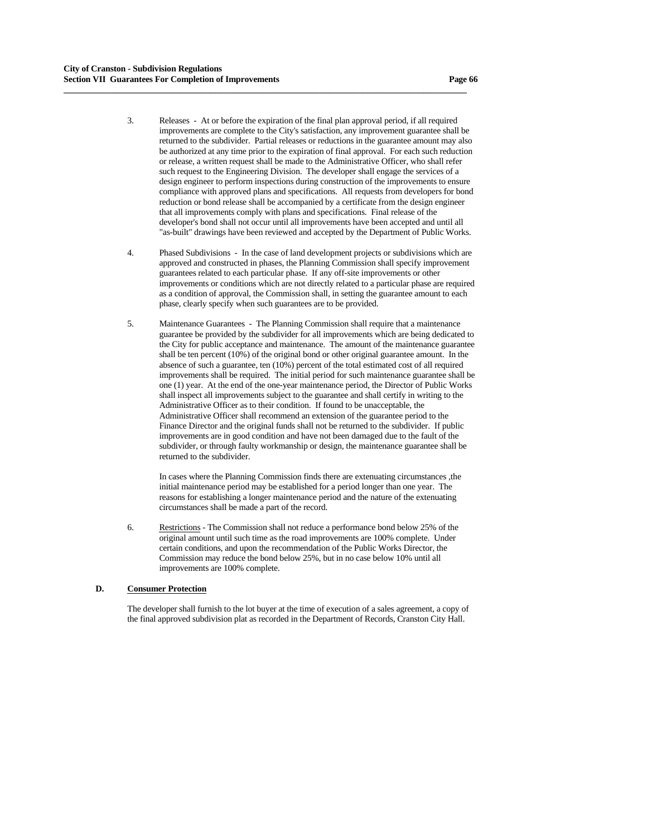3. Releases - At or before the expiration of the final plan approval period, if all required improvements are complete to the City's satisfaction, any improvement guarantee shall be returned to the subdivider. Partial releases or reductions in the guarantee amount may also be authorized at any time prior to the expiration of final approval. For each such reduction or release, a written request shall be made to the Administrative Officer, who shall refer such request to the Engineering Division. The developer shall engage the services of a design engineer to perform inspections during construction of the improvements to ensure compliance with approved plans and specifications. All requests from developers for bond reduction or bond release shall be accompanied by a certificate from the design engineer that all improvements comply with plans and specifications. Final release of the developer's bond shall not occur until all improvements have been accepted and until all "as-built" drawings have been reviewed and accepted by the Department of Public Works.

**\_\_\_\_\_\_\_\_\_\_\_\_\_\_\_\_\_\_\_\_\_\_\_\_\_\_\_\_\_\_\_\_\_\_\_\_\_\_\_\_\_\_\_\_\_\_\_\_\_\_\_\_\_\_\_\_\_\_\_\_\_\_\_\_\_\_\_\_\_\_\_\_\_\_\_\_\_\_\_\_\_\_\_\_\_\_\_\_\_\_\_\_\_**

- 4. Phased Subdivisions In the case of land development projects or subdivisions which are approved and constructed in phases, the Planning Commission shall specify improvement guarantees related to each particular phase. If any off-site improvements or other improvements or conditions which are not directly related to a particular phase are required as a condition of approval, the Commission shall, in setting the guarantee amount to each phase, clearly specify when such guarantees are to be provided.
- 5. Maintenance Guarantees The Planning Commission shall require that a maintenance guarantee be provided by the subdivider for all improvements which are being dedicated to the City for public acceptance and maintenance. The amount of the maintenance guarantee shall be ten percent (10%) of the original bond or other original guarantee amount. In the absence of such a guarantee, ten (10%) percent of the total estimated cost of all required improvements shall be required. The initial period for such maintenance guarantee shall be one (1) year. At the end of the one-year maintenance period, the Director of Public Works shall inspect all improvements subject to the guarantee and shall certify in writing to the Administrative Officer as to their condition. If found to be unacceptable, the Administrative Officer shall recommend an extension of the guarantee period to the Finance Director and the original funds shall not be returned to the subdivider. If public improvements are in good condition and have not been damaged due to the fault of the subdivider, or through faulty workmanship or design, the maintenance guarantee shall be returned to the subdivider.

 In cases where the Planning Commission finds there are extenuating circumstances ,the initial maintenance period may be established for a period longer than one year. The reasons for establishing a longer maintenance period and the nature of the extenuating circumstances shall be made a part of the record.

 6. Restrictions - The Commission shall not reduce a performance bond below 25% of the original amount until such time as the road improvements are 100% complete. Under certain conditions, and upon the recommendation of the Public Works Director, the Commission may reduce the bond below 25%, but in no case below 10% until all improvements are 100% complete.

### **D. Consumer Protection**

 The developer shall furnish to the lot buyer at the time of execution of a sales agreement, a copy of the final approved subdivision plat as recorded in the Department of Records, Cranston City Hall.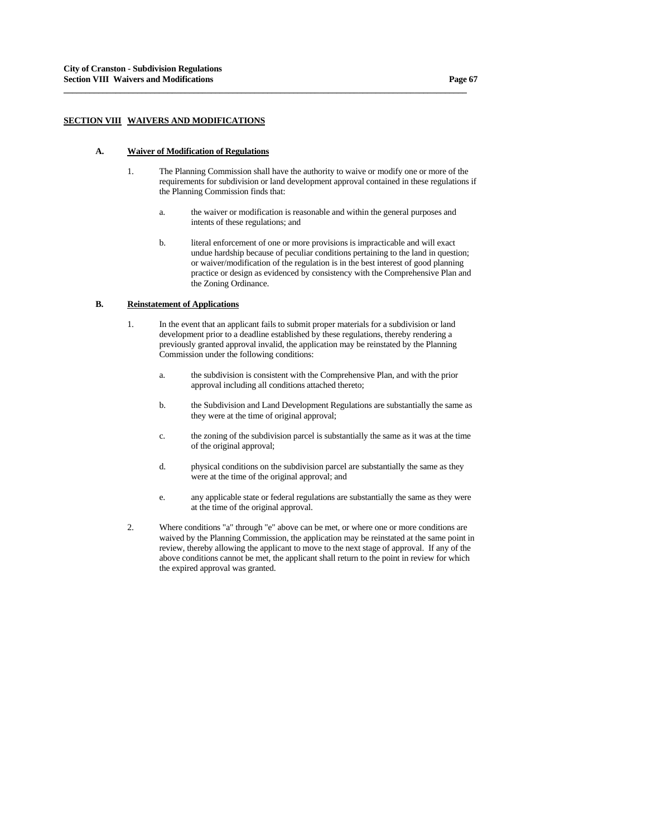## **SECTION VIII WAIVERS AND MODIFICATIONS**

### **A. Waiver of Modification of Regulations**

 1. The Planning Commission shall have the authority to waive or modify one or more of the requirements for subdivision or land development approval contained in these regulations if the Planning Commission finds that:

**\_\_\_\_\_\_\_\_\_\_\_\_\_\_\_\_\_\_\_\_\_\_\_\_\_\_\_\_\_\_\_\_\_\_\_\_\_\_\_\_\_\_\_\_\_\_\_\_\_\_\_\_\_\_\_\_\_\_\_\_\_\_\_\_\_\_\_\_\_\_\_\_\_\_\_\_\_\_\_\_\_\_\_\_\_\_\_\_\_\_\_\_\_**

- a. the waiver or modification is reasonable and within the general purposes and intents of these regulations; and
- b. literal enforcement of one or more provisions is impracticable and will exact undue hardship because of peculiar conditions pertaining to the land in question; or waiver/modification of the regulation is in the best interest of good planning practice or design as evidenced by consistency with the Comprehensive Plan and the Zoning Ordinance.

#### **B. Reinstatement of Applications**

- 1. In the event that an applicant fails to submit proper materials for a subdivision or land development prior to a deadline established by these regulations, thereby rendering a previously granted approval invalid, the application may be reinstated by the Planning Commission under the following conditions:
	- a. the subdivision is consistent with the Comprehensive Plan, and with the prior approval including all conditions attached thereto;
	- b. the Subdivision and Land Development Regulations are substantially the same as they were at the time of original approval;
	- c. the zoning of the subdivision parcel is substantially the same as it was at the time of the original approval;
	- d. physical conditions on the subdivision parcel are substantially the same as they were at the time of the original approval; and
	- e. any applicable state or federal regulations are substantially the same as they were at the time of the original approval.
- 2. Where conditions "a" through "e" above can be met, or where one or more conditions are waived by the Planning Commission, the application may be reinstated at the same point in review, thereby allowing the applicant to move to the next stage of approval. If any of the above conditions cannot be met, the applicant shall return to the point in review for which the expired approval was granted.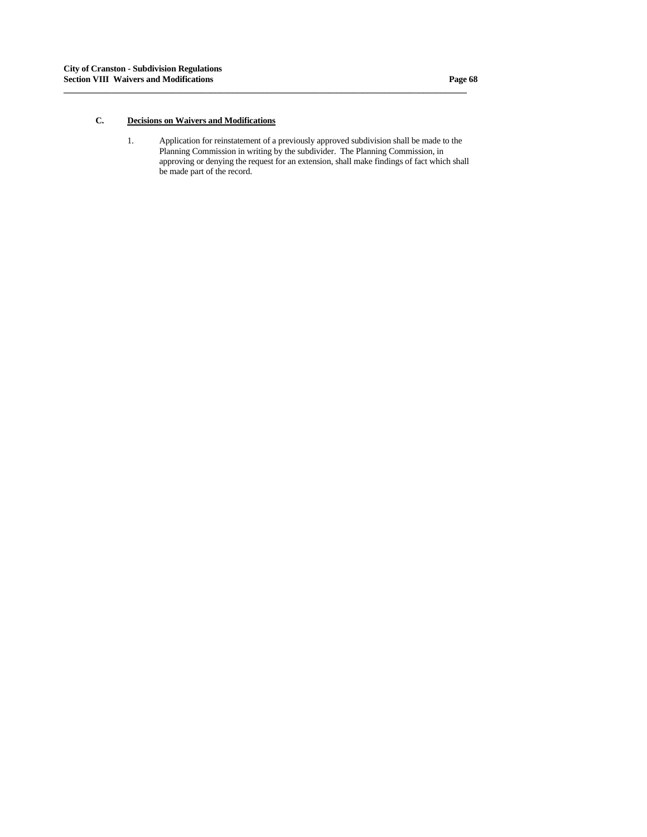# **C. Decisions on Waivers and Modifications**

 1. Application for reinstatement of a previously approved subdivision shall be made to the Planning Commission in writing by the subdivider. The Planning Commission, in approving or denying the request for an extension, shall make findings of fact which shall be made part of the record.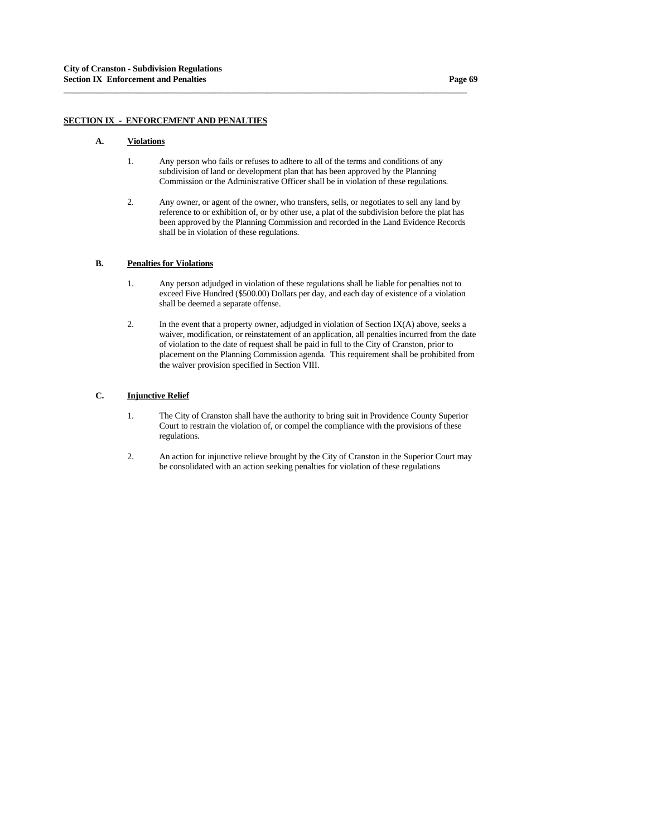## **SECTION IX - ENFORCEMENT AND PENALTIES**

### **A. Violations**

 1. Any person who fails or refuses to adhere to all of the terms and conditions of any subdivision of land or development plan that has been approved by the Planning Commission or the Administrative Officer shall be in violation of these regulations.

**\_\_\_\_\_\_\_\_\_\_\_\_\_\_\_\_\_\_\_\_\_\_\_\_\_\_\_\_\_\_\_\_\_\_\_\_\_\_\_\_\_\_\_\_\_\_\_\_\_\_\_\_\_\_\_\_\_\_\_\_\_\_\_\_\_\_\_\_\_\_\_\_\_\_\_\_\_\_\_\_\_\_\_\_\_\_\_\_\_\_\_\_\_**

 2. Any owner, or agent of the owner, who transfers, sells, or negotiates to sell any land by reference to or exhibition of, or by other use, a plat of the subdivision before the plat has been approved by the Planning Commission and recorded in the Land Evidence Records shall be in violation of these regulations.

## **B. Penalties for Violations**

- 1. Any person adjudged in violation of these regulations shall be liable for penalties not to exceed Five Hundred (\$500.00) Dollars per day, and each day of existence of a violation shall be deemed a separate offense.
- 2. In the event that a property owner, adjudged in violation of Section IX(A) above, seeks a waiver, modification, or reinstatement of an application, all penalties incurred from the date of violation to the date of request shall be paid in full to the City of Cranston, prior to placement on the Planning Commission agenda. This requirement shall be prohibited from the waiver provision specified in Section VIII.

# **C. Injunctive Relief**

- 1. The City of Cranston shall have the authority to bring suit in Providence County Superior Court to restrain the violation of, or compel the compliance with the provisions of these regulations.
- 2. An action for injunctive relieve brought by the City of Cranston in the Superior Court may be consolidated with an action seeking penalties for violation of these regulations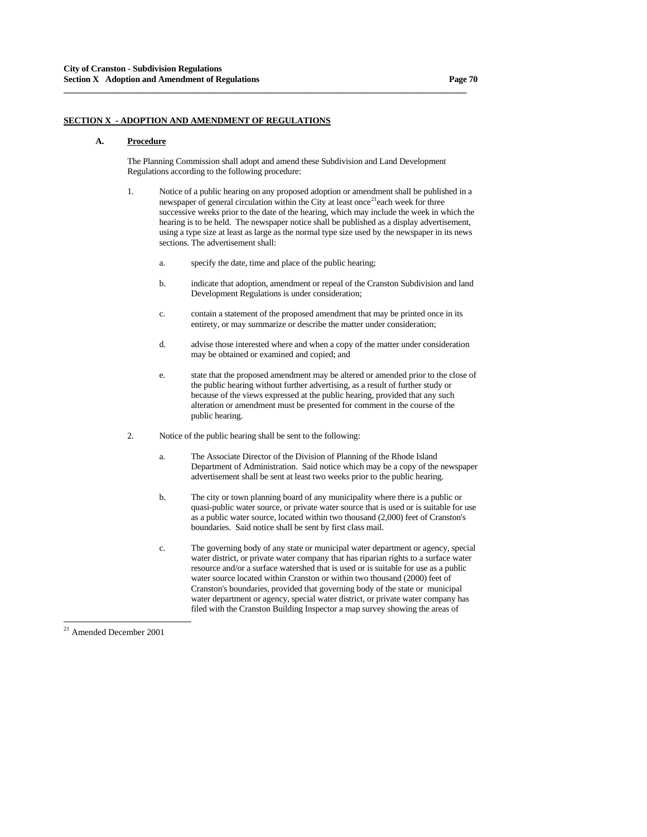## **SECTION X - ADOPTION AND AMENDMENT OF REGULATIONS**

#### **A. Procedure**

 The Planning Commission shall adopt and amend these Subdivision and Land Development Regulations according to the following procedure:

**\_\_\_\_\_\_\_\_\_\_\_\_\_\_\_\_\_\_\_\_\_\_\_\_\_\_\_\_\_\_\_\_\_\_\_\_\_\_\_\_\_\_\_\_\_\_\_\_\_\_\_\_\_\_\_\_\_\_\_\_\_\_\_\_\_\_\_\_\_\_\_\_\_\_\_\_\_\_\_\_\_\_\_\_\_\_\_\_\_\_\_\_\_**

- 1. Notice of a public hearing on any proposed adoption or amendment shall be published in a newspaper of general circulation within the City at least once<sup>[21](#page-69-0)</sup>each week for three successive weeks prior to the date of the hearing, which may include the week in which the hearing is to be held. The newspaper notice shall be published as a display advertisement, using a type size at least as large as the normal type size used by the newspaper in its news sections. The advertisement shall:
	- a. specify the date, time and place of the public hearing;
	- b. indicate that adoption, amendment or repeal of the Cranston Subdivision and land Development Regulations is under consideration;
	- c. contain a statement of the proposed amendment that may be printed once in its entirety, or may summarize or describe the matter under consideration;
	- d. advise those interested where and when a copy of the matter under consideration may be obtained or examined and copied; and
	- e. state that the proposed amendment may be altered or amended prior to the close of the public hearing without further advertising, as a result of further study or because of the views expressed at the public hearing, provided that any such alteration or amendment must be presented for comment in the course of the public hearing.
- 2. Notice of the public hearing shall be sent to the following:
	- a. The Associate Director of the Division of Planning of the Rhode Island Department of Administration. Said notice which may be a copy of the newspaper advertisement shall be sent at least two weeks prior to the public hearing.
	- b. The city or town planning board of any municipality where there is a public or quasi-public water source, or private water source that is used or is suitable for use as a public water source, located within two thousand (2,000) feet of Cranston's boundaries. Said notice shall be sent by first class mail.
	- c. The governing body of any state or municipal water department or agency, special water district, or private water company that has riparian rights to a surface water resource and/or a surface watershed that is used or is suitable for use as a public water source located within Cranston or within two thousand (2000) feet of Cranston's boundaries, provided that governing body of the state or municipal water department or agency, special water district, or private water company has filed with the Cranston Building Inspector a map survey showing the areas of

<span id="page-69-0"></span>21 Amended December 2001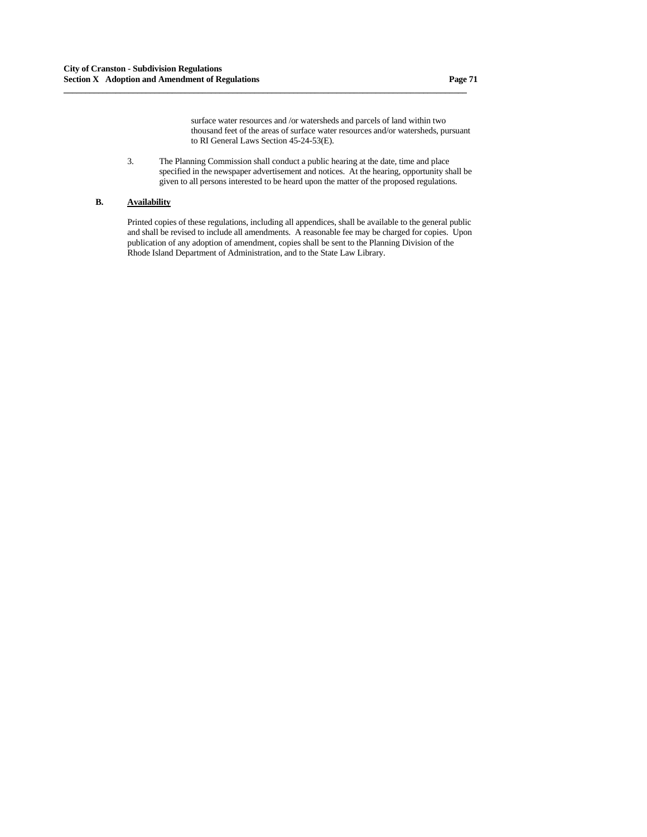surface water resources and /or watersheds and parcels of land within two thousand feet of the areas of surface water resources and/or watersheds, pursuant to RI General Laws Section 45-24-53(E).

 3. The Planning Commission shall conduct a public hearing at the date, time and place specified in the newspaper advertisement and notices. At the hearing, opportunity shall be given to all persons interested to be heard upon the matter of the proposed regulations.

**\_\_\_\_\_\_\_\_\_\_\_\_\_\_\_\_\_\_\_\_\_\_\_\_\_\_\_\_\_\_\_\_\_\_\_\_\_\_\_\_\_\_\_\_\_\_\_\_\_\_\_\_\_\_\_\_\_\_\_\_\_\_\_\_\_\_\_\_\_\_\_\_\_\_\_\_\_\_\_\_\_\_\_\_\_\_\_\_\_\_\_\_\_**

# **B. Availability**

 Printed copies of these regulations, including all appendices, shall be available to the general public and shall be revised to include all amendments. A reasonable fee may be charged for copies. Upon publication of any adoption of amendment, copies shall be sent to the Planning Division of the Rhode Island Department of Administration, and to the State Law Library.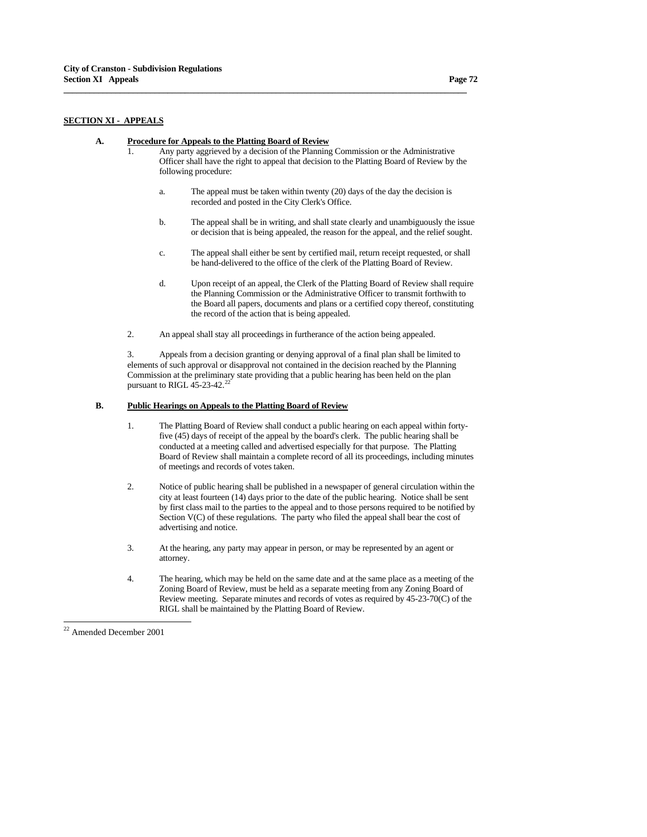## **SECTION XI - APPEALS**

### **A. Procedure for Appeals to the Platting Board of Review**

 1. Any party aggrieved by a decision of the Planning Commission or the Administrative Officer shall have the right to appeal that decision to the Platting Board of Review by the following procedure:

**\_\_\_\_\_\_\_\_\_\_\_\_\_\_\_\_\_\_\_\_\_\_\_\_\_\_\_\_\_\_\_\_\_\_\_\_\_\_\_\_\_\_\_\_\_\_\_\_\_\_\_\_\_\_\_\_\_\_\_\_\_\_\_\_\_\_\_\_\_\_\_\_\_\_\_\_\_\_\_\_\_\_\_\_\_\_\_\_\_\_\_\_\_**

- a. The appeal must be taken within twenty (20) days of the day the decision is recorded and posted in the City Clerk's Office.
- b. The appeal shall be in writing, and shall state clearly and unambiguously the issue or decision that is being appealed, the reason for the appeal, and the relief sought.
- c. The appeal shall either be sent by certified mail, return receipt requested, or shall be hand-delivered to the office of the clerk of the Platting Board of Review.
- d. Upon receipt of an appeal, the Clerk of the Platting Board of Review shall require the Planning Commission or the Administrative Officer to transmit forthwith to the Board all papers, documents and plans or a certified copy thereof, constituting the record of the action that is being appealed.
- 2. An appeal shall stay all proceedings in furtherance of the action being appealed.

3. Appeals from a decision granting or denying approval of a final plan shall be limited to elements of such approval or disapproval not contained in the decision reached by the Planning Commission at the preliminary state providing that a public hearing has been held on the plan pursuant to RIGL  $45-23-42$ .<sup>[22](#page-71-0)</sup>

## **B. Public Hearings on Appeals to the Platting Board of Review**

- 1. The Platting Board of Review shall conduct a public hearing on each appeal within fortyfive (45) days of receipt of the appeal by the board's clerk. The public hearing shall be conducted at a meeting called and advertised especially for that purpose. The Platting Board of Review shall maintain a complete record of all its proceedings, including minutes of meetings and records of votes taken.
- 2. Notice of public hearing shall be published in a newspaper of general circulation within the city at least fourteen (14) days prior to the date of the public hearing. Notice shall be sent by first class mail to the parties to the appeal and to those persons required to be notified by Section V(C) of these regulations. The party who filed the appeal shall bear the cost of advertising and notice.
- 3. At the hearing, any party may appear in person, or may be represented by an agent or attorney.
- 4. The hearing, which may be held on the same date and at the same place as a meeting of the Zoning Board of Review, must be held as a separate meeting from any Zoning Board of Review meeting. Separate minutes and records of votes as required by 45-23-70(C) of the RIGL shall be maintained by the Platting Board of Review.

<span id="page-71-0"></span><sup>22</sup> Amended December 2001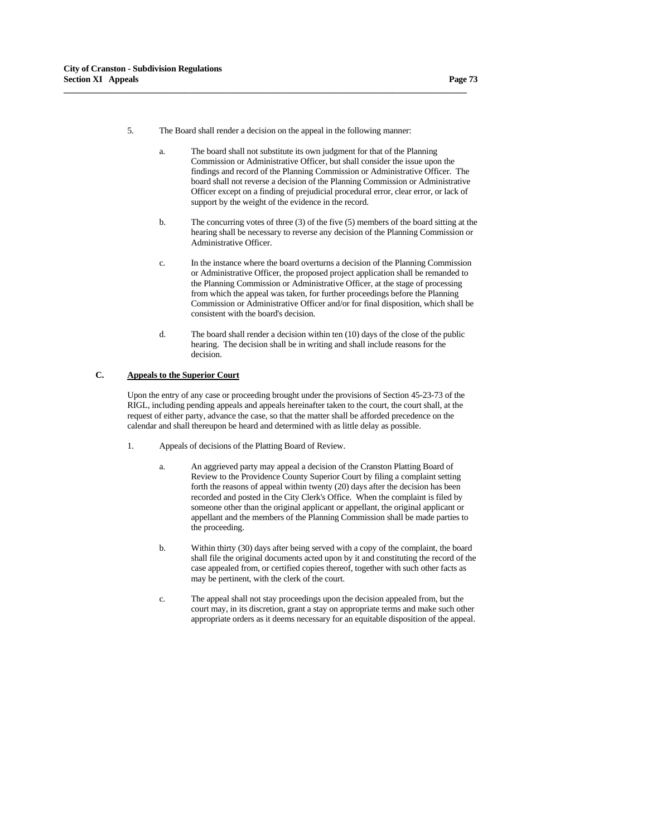5. The Board shall render a decision on the appeal in the following manner:

**\_\_\_\_\_\_\_\_\_\_\_\_\_\_\_\_\_\_\_\_\_\_\_\_\_\_\_\_\_\_\_\_\_\_\_\_\_\_\_\_\_\_\_\_\_\_\_\_\_\_\_\_\_\_\_\_\_\_\_\_\_\_\_\_\_\_\_\_\_\_\_\_\_\_\_\_\_\_\_\_\_\_\_\_\_\_\_\_\_\_\_\_\_**

- a. The board shall not substitute its own judgment for that of the Planning Commission or Administrative Officer, but shall consider the issue upon the findings and record of the Planning Commission or Administrative Officer. The board shall not reverse a decision of the Planning Commission or Administrative Officer except on a finding of prejudicial procedural error, clear error, or lack of support by the weight of the evidence in the record.
- b. The concurring votes of three (3) of the five (5) members of the board sitting at the hearing shall be necessary to reverse any decision of the Planning Commission or Administrative Officer.
- c. In the instance where the board overturns a decision of the Planning Commission or Administrative Officer, the proposed project application shall be remanded to the Planning Commission or Administrative Officer, at the stage of processing from which the appeal was taken, for further proceedings before the Planning Commission or Administrative Officer and/or for final disposition, which shall be consistent with the board's decision.
- d. The board shall render a decision within ten (10) days of the close of the public hearing. The decision shall be in writing and shall include reasons for the decision.

## **C. Appeals to the Superior Court**

 Upon the entry of any case or proceeding brought under the provisions of Section 45-23-73 of the RIGL, including pending appeals and appeals hereinafter taken to the court, the court shall, at the request of either party, advance the case, so that the matter shall be afforded precedence on the calendar and shall thereupon be heard and determined with as little delay as possible.

- 1. Appeals of decisions of the Platting Board of Review.
	- a. An aggrieved party may appeal a decision of the Cranston Platting Board of Review to the Providence County Superior Court by filing a complaint setting forth the reasons of appeal within twenty (20) days after the decision has been recorded and posted in the City Clerk's Office. When the complaint is filed by someone other than the original applicant or appellant, the original applicant or appellant and the members of the Planning Commission shall be made parties to the proceeding.
	- b. Within thirty (30) days after being served with a copy of the complaint, the board shall file the original documents acted upon by it and constituting the record of the case appealed from, or certified copies thereof, together with such other facts as may be pertinent, with the clerk of the court.
	- c. The appeal shall not stay proceedings upon the decision appealed from, but the court may, in its discretion, grant a stay on appropriate terms and make such other appropriate orders as it deems necessary for an equitable disposition of the appeal.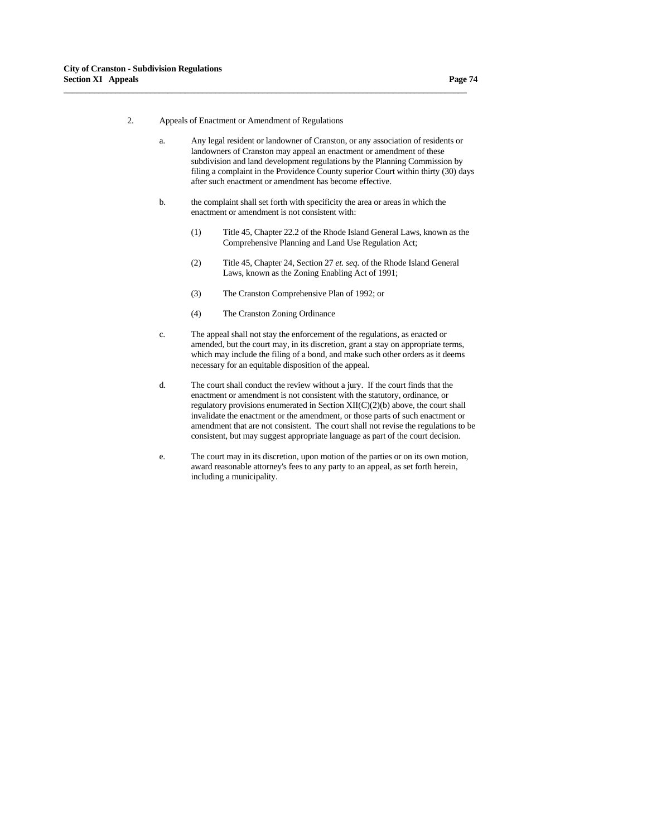2. Appeals of Enactment or Amendment of Regulations

**\_\_\_\_\_\_\_\_\_\_\_\_\_\_\_\_\_\_\_\_\_\_\_\_\_\_\_\_\_\_\_\_\_\_\_\_\_\_\_\_\_\_\_\_\_\_\_\_\_\_\_\_\_\_\_\_\_\_\_\_\_\_\_\_\_\_\_\_\_\_\_\_\_\_\_\_\_\_\_\_\_\_\_\_\_\_\_\_\_\_\_\_\_**

- a. Any legal resident or landowner of Cranston, or any association of residents or landowners of Cranston may appeal an enactment or amendment of these subdivision and land development regulations by the Planning Commission by filing a complaint in the Providence County superior Court within thirty (30) days after such enactment or amendment has become effective.
- b. the complaint shall set forth with specificity the area or areas in which the enactment or amendment is not consistent with:
	- (1) Title 45, Chapter 22.2 of the Rhode Island General Laws, known as the Comprehensive Planning and Land Use Regulation Act;
	- (2) Title 45, Chapter 24, Section 27 *et. seq.* of the Rhode Island General Laws, known as the Zoning Enabling Act of 1991;
	- (3) The Cranston Comprehensive Plan of 1992; or
	- (4) The Cranston Zoning Ordinance
- c. The appeal shall not stay the enforcement of the regulations, as enacted or amended, but the court may, in its discretion, grant a stay on appropriate terms, which may include the filing of a bond, and make such other orders as it deems necessary for an equitable disposition of the appeal.
- d. The court shall conduct the review without a jury. If the court finds that the enactment or amendment is not consistent with the statutory, ordinance, or regulatory provisions enumerated in Section XII(C)(2)(b) above, the court shall invalidate the enactment or the amendment, or those parts of such enactment or amendment that are not consistent. The court shall not revise the regulations to be consistent, but may suggest appropriate language as part of the court decision.
- e. The court may in its discretion, upon motion of the parties or on its own motion, award reasonable attorney's fees to any party to an appeal, as set forth herein, including a municipality.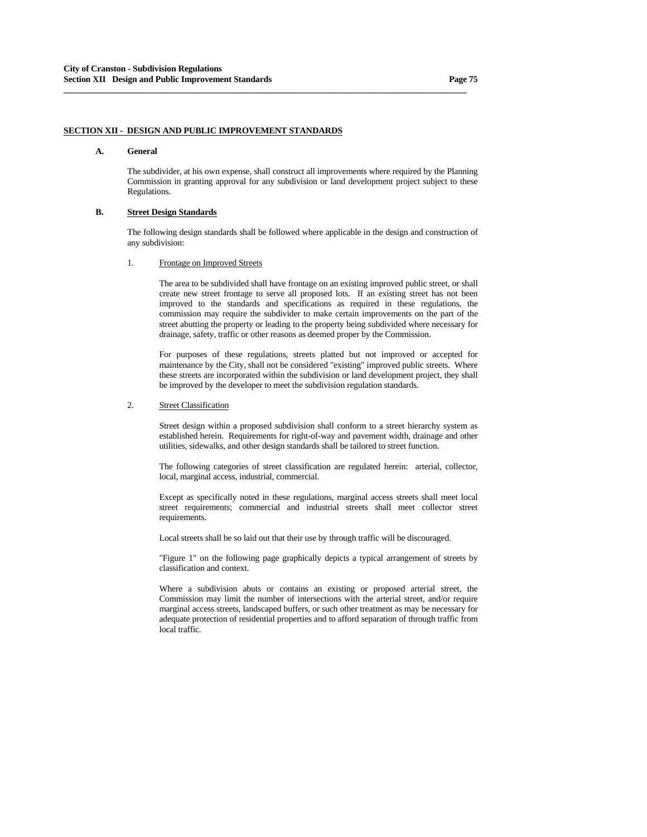# **SECTION XII - DESIGN AND PUBLIC IMPROVEMENT STANDARDS**

### **A. General**

 The subdivider, at his own expense, shall construct all improvements where required by the Planning Commission in granting approval for any subdivision or land development project subject to these Regulations.

### **B. Street Design Standards**

 The following design standards shall be followed where applicable in the design and construction of any subdivision:

#### 1. Frontage on Improved Streets

 The area to be subdivided shall have frontage on an existing improved public street, or shall create new street frontage to serve all proposed lots. If an existing street has not been improved to the standards and specifications as required in these regulations, the commission may require the subdivider to make certain improvements on the part of the street abutting the property or leading to the property being subdivided where necessary for drainage, safety, traffic or other reasons as deemed proper by the Commission.

 For purposes of these regulations, streets platted but not improved or accepted for maintenance by the City, shall not be considered "existing" improved public streets. Where these streets are incorporated within the subdivision or land development project, they shall be improved by the developer to meet the subdivision regulation standards.

#### 2. Street Classification

 Street design within a proposed subdivision shall conform to a street hierarchy system as established herein. Requirements for right-of-way and pavement width, drainage and other utilities, sidewalks, and other design standards shall be tailored to street function.

 The following categories of street classification are regulated herein: arterial, collector, local, marginal access, industrial, commercial.

 Except as specifically noted in these regulations, marginal access streets shall meet local street requirements; commercial and industrial streets shall meet collector street requirements.

Local streets shall be so laid out that their use by through traffic will be discouraged.

 "Figure 1" on the following page graphically depicts a typical arrangement of streets by classification and context.

 Where a subdivision abuts or contains an existing or proposed arterial street, the Commission may limit the number of intersections with the arterial street, and/or require marginal access streets, landscaped buffers, or such other treatment as may be necessary for adequate protection of residential properties and to afford separation of through traffic from local traffic.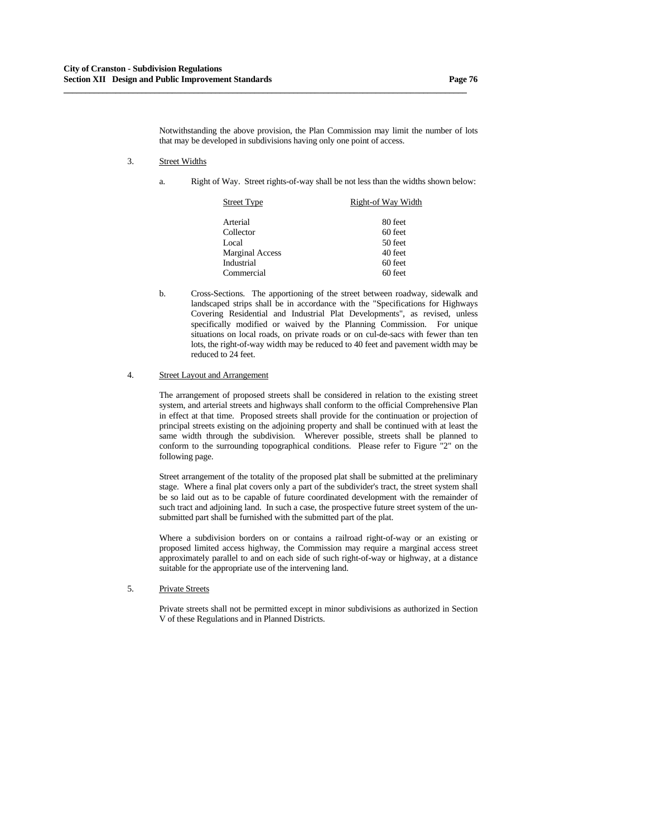Notwithstanding the above provision, the Plan Commission may limit the number of lots that may be developed in subdivisions having only one point of access.

**\_\_\_\_\_\_\_\_\_\_\_\_\_\_\_\_\_\_\_\_\_\_\_\_\_\_\_\_\_\_\_\_\_\_\_\_\_\_\_\_\_\_\_\_\_\_\_\_\_\_\_\_\_\_\_\_\_\_\_\_\_\_\_\_\_\_\_\_\_\_\_\_\_\_\_\_\_\_\_\_\_\_\_\_\_\_\_\_\_\_\_\_\_**

- 3. Street Widths
	- a. Right of Way. Street rights-of-way shall be not less than the widths shown below:

| Street Type            | Right-of Way Width |  |
|------------------------|--------------------|--|
| Arterial               | 80 feet            |  |
| Collector              | 60 feet            |  |
| Local                  | 50 feet            |  |
| <b>Marginal Access</b> | 40 feet            |  |
| Industrial             | 60 feet            |  |
| Commercial             | 60 feet            |  |

 b. Cross-Sections. The apportioning of the street between roadway, sidewalk and landscaped strips shall be in accordance with the "Specifications for Highways Covering Residential and Industrial Plat Developments", as revised, unless specifically modified or waived by the Planning Commission. For unique situations on local roads, on private roads or on cul-de-sacs with fewer than ten lots, the right-of-way width may be reduced to 40 feet and pavement width may be reduced to 24 feet.

#### 4. Street Layout and Arrangement

 The arrangement of proposed streets shall be considered in relation to the existing street system, and arterial streets and highways shall conform to the official Comprehensive Plan in effect at that time. Proposed streets shall provide for the continuation or projection of principal streets existing on the adjoining property and shall be continued with at least the same width through the subdivision. Wherever possible, streets shall be planned to conform to the surrounding topographical conditions. Please refer to Figure "2" on the following page.

 Street arrangement of the totality of the proposed plat shall be submitted at the preliminary stage. Where a final plat covers only a part of the subdivider's tract, the street system shall be so laid out as to be capable of future coordinated development with the remainder of such tract and adjoining land. In such a case, the prospective future street system of the unsubmitted part shall be furnished with the submitted part of the plat.

 Where a subdivision borders on or contains a railroad right-of-way or an existing or proposed limited access highway, the Commission may require a marginal access street approximately parallel to and on each side of such right-of-way or highway, at a distance suitable for the appropriate use of the intervening land.

### 5. Private Streets

 Private streets shall not be permitted except in minor subdivisions as authorized in Section V of these Regulations and in Planned Districts.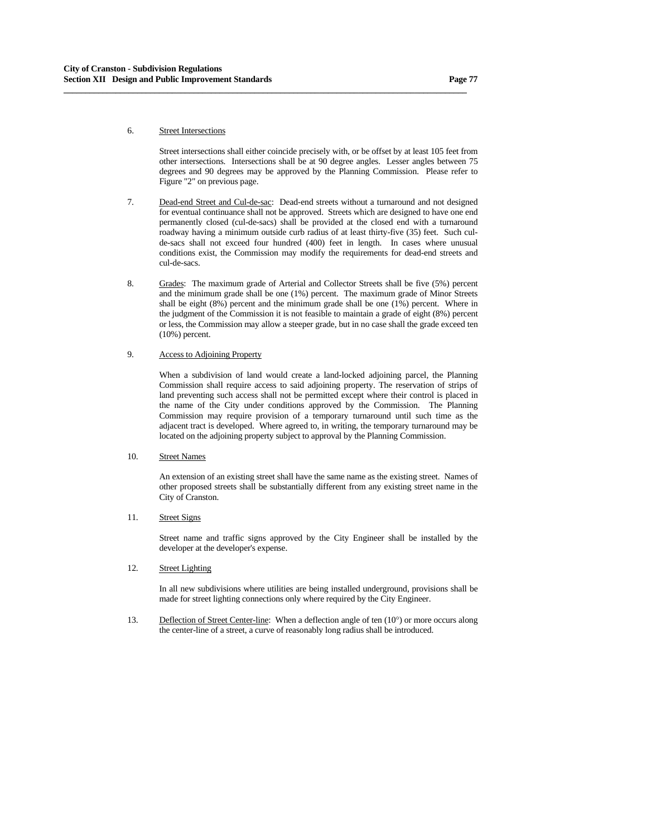### 6. Street Intersections

 Street intersections shall either coincide precisely with, or be offset by at least 105 feet from other intersections. Intersections shall be at 90 degree angles. Lesser angles between 75 degrees and 90 degrees may be approved by the Planning Commission. Please refer to Figure "2" on previous page.

 7. Dead-end Street and Cul-de-sac: Dead-end streets without a turnaround and not designed for eventual continuance shall not be approved. Streets which are designed to have one end permanently closed (cul-de-sacs) shall be provided at the closed end with a turnaround roadway having a minimum outside curb radius of at least thirty-five (35) feet. Such culde-sacs shall not exceed four hundred (400) feet in length. In cases where unusual conditions exist, the Commission may modify the requirements for dead-end streets and cul-de-sacs.

**\_\_\_\_\_\_\_\_\_\_\_\_\_\_\_\_\_\_\_\_\_\_\_\_\_\_\_\_\_\_\_\_\_\_\_\_\_\_\_\_\_\_\_\_\_\_\_\_\_\_\_\_\_\_\_\_\_\_\_\_\_\_\_\_\_\_\_\_\_\_\_\_\_\_\_\_\_\_\_\_\_\_\_\_\_\_\_\_\_\_\_\_\_**

 8. Grades: The maximum grade of Arterial and Collector Streets shall be five (5%) percent and the minimum grade shall be one (1%) percent. The maximum grade of Minor Streets shall be eight (8%) percent and the minimum grade shall be one (1%) percent. Where in the judgment of the Commission it is not feasible to maintain a grade of eight (8%) percent or less, the Commission may allow a steeper grade, but in no case shall the grade exceed ten (10%) percent.

## 9. Access to Adjoining Property

 When a subdivision of land would create a land-locked adjoining parcel, the Planning Commission shall require access to said adjoining property. The reservation of strips of land preventing such access shall not be permitted except where their control is placed in the name of the City under conditions approved by the Commission. The Planning Commission may require provision of a temporary turnaround until such time as the adjacent tract is developed. Where agreed to, in writing, the temporary turnaround may be located on the adjoining property subject to approval by the Planning Commission.

### 10. Street Names

 An extension of an existing street shall have the same name as the existing street. Names of other proposed streets shall be substantially different from any existing street name in the City of Cranston.

## 11. Street Signs

 Street name and traffic signs approved by the City Engineer shall be installed by the developer at the developer's expense.

#### 12. Street Lighting

 In all new subdivisions where utilities are being installed underground, provisions shall be made for street lighting connections only where required by the City Engineer.

13. Deflection of Street Center-line: When a deflection angle of ten (10°) or more occurs along the center-line of a street, a curve of reasonably long radius shall be introduced.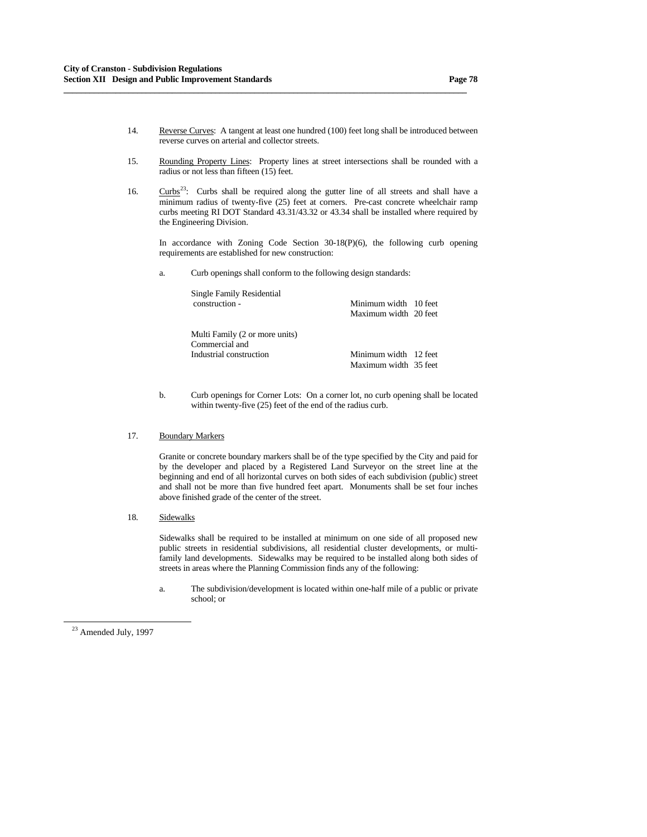14. Reverse Curves: A tangent at least one hundred (100) feet long shall be introduced between reverse curves on arterial and collector streets.

**\_\_\_\_\_\_\_\_\_\_\_\_\_\_\_\_\_\_\_\_\_\_\_\_\_\_\_\_\_\_\_\_\_\_\_\_\_\_\_\_\_\_\_\_\_\_\_\_\_\_\_\_\_\_\_\_\_\_\_\_\_\_\_\_\_\_\_\_\_\_\_\_\_\_\_\_\_\_\_\_\_\_\_\_\_\_\_\_\_\_\_\_\_**

- 15. Rounding Property Lines: Property lines at street intersections shall be rounded with a radius or not less than fifteen (15) feet.
- 16.  $Curbs<sup>23</sup>$  $Curbs<sup>23</sup>$  $Curbs<sup>23</sup>$ : Curbs shall be required along the gutter line of all streets and shall have a minimum radius of twenty-five (25) feet at corners. Pre-cast concrete wheelchair ramp curbs meeting RI DOT Standard 43.31/43.32 or 43.34 shall be installed where required by the Engineering Division.

 In accordance with Zoning Code Section 30-18(P)(6), the following curb opening requirements are established for new construction:

a. Curb openings shall conform to the following design standards:

| Single Family Residential      |                       |  |
|--------------------------------|-----------------------|--|
| construction -                 | Minimum width 10 feet |  |
|                                | Maximum width 20 feet |  |
| Multi Family (2 or more units) |                       |  |
| Commercial and                 |                       |  |
| Industrial construction        | Minimum width 12 feet |  |
|                                | Maximum width 35 feet |  |

 b. Curb openings for Corner Lots: On a corner lot, no curb opening shall be located within twenty-five (25) feet of the end of the radius curb.

### 17. Boundary Markers

 Granite or concrete boundary markers shall be of the type specified by the City and paid for by the developer and placed by a Registered Land Surveyor on the street line at the beginning and end of all horizontal curves on both sides of each subdivision (public) street and shall not be more than five hundred feet apart. Monuments shall be set four inches above finished grade of the center of the street.

18. Sidewalks

 Sidewalks shall be required to be installed at minimum on one side of all proposed new public streets in residential subdivisions, all residential cluster developments, or multifamily land developments. Sidewalks may be required to be installed along both sides of streets in areas where the Planning Commission finds any of the following:

 a. The subdivision/development is located within one-half mile of a public or private school; or

-

<span id="page-77-0"></span><sup>&</sup>lt;sup>23</sup> Amended July, 1997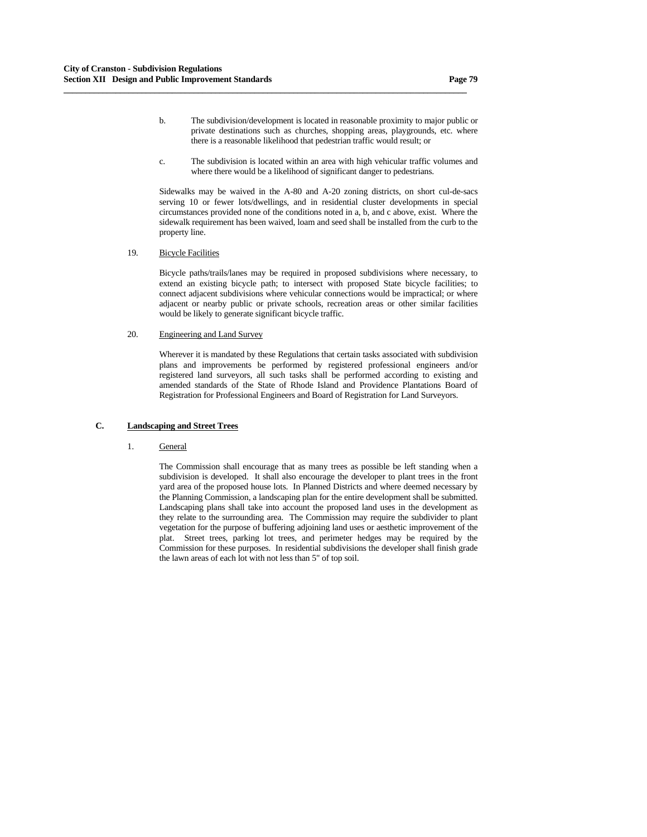b. The subdivision/development is located in reasonable proximity to major public or private destinations such as churches, shopping areas, playgrounds, etc. where there is a reasonable likelihood that pedestrian traffic would result; or

**\_\_\_\_\_\_\_\_\_\_\_\_\_\_\_\_\_\_\_\_\_\_\_\_\_\_\_\_\_\_\_\_\_\_\_\_\_\_\_\_\_\_\_\_\_\_\_\_\_\_\_\_\_\_\_\_\_\_\_\_\_\_\_\_\_\_\_\_\_\_\_\_\_\_\_\_\_\_\_\_\_\_\_\_\_\_\_\_\_\_\_\_\_**

 c. The subdivision is located within an area with high vehicular traffic volumes and where there would be a likelihood of significant danger to pedestrians.

 Sidewalks may be waived in the A-80 and A-20 zoning districts, on short cul-de-sacs serving 10 or fewer lots/dwellings, and in residential cluster developments in special circumstances provided none of the conditions noted in a, b, and c above, exist. Where the sidewalk requirement has been waived, loam and seed shall be installed from the curb to the property line.

19. Bicycle Facilities

 Bicycle paths/trails/lanes may be required in proposed subdivisions where necessary, to extend an existing bicycle path; to intersect with proposed State bicycle facilities; to connect adjacent subdivisions where vehicular connections would be impractical; or where adjacent or nearby public or private schools, recreation areas or other similar facilities would be likely to generate significant bicycle traffic.

### 20. Engineering and Land Survey

 Wherever it is mandated by these Regulations that certain tasks associated with subdivision plans and improvements be performed by registered professional engineers and/or registered land surveyors, all such tasks shall be performed according to existing and amended standards of the State of Rhode Island and Providence Plantations Board of Registration for Professional Engineers and Board of Registration for Land Surveyors.

### **C. Landscaping and Street Trees**

#### 1. General

 The Commission shall encourage that as many trees as possible be left standing when a subdivision is developed. It shall also encourage the developer to plant trees in the front yard area of the proposed house lots. In Planned Districts and where deemed necessary by the Planning Commission, a landscaping plan for the entire development shall be submitted. Landscaping plans shall take into account the proposed land uses in the development as they relate to the surrounding area. The Commission may require the subdivider to plant vegetation for the purpose of buffering adjoining land uses or aesthetic improvement of the plat. Street trees, parking lot trees, and perimeter hedges may be required by the Commission for these purposes. In residential subdivisions the developer shall finish grade the lawn areas of each lot with not less than 5" of top soil.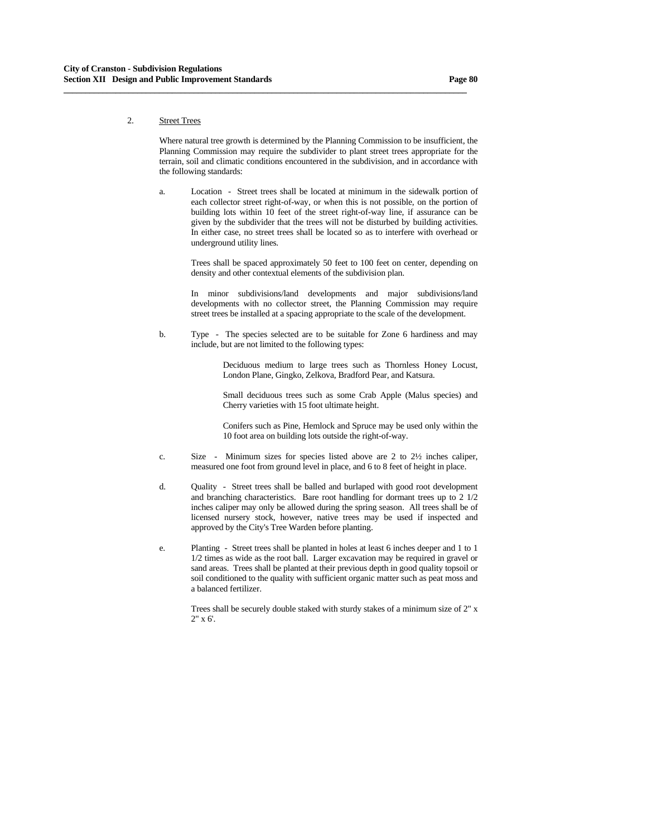# 2. Street Trees

 Where natural tree growth is determined by the Planning Commission to be insufficient, the Planning Commission may require the subdivider to plant street trees appropriate for the terrain, soil and climatic conditions encountered in the subdivision, and in accordance with the following standards:

**\_\_\_\_\_\_\_\_\_\_\_\_\_\_\_\_\_\_\_\_\_\_\_\_\_\_\_\_\_\_\_\_\_\_\_\_\_\_\_\_\_\_\_\_\_\_\_\_\_\_\_\_\_\_\_\_\_\_\_\_\_\_\_\_\_\_\_\_\_\_\_\_\_\_\_\_\_\_\_\_\_\_\_\_\_\_\_\_\_\_\_\_\_**

 a. Location - Street trees shall be located at minimum in the sidewalk portion of each collector street right-of-way, or when this is not possible, on the portion of building lots within 10 feet of the street right-of-way line, if assurance can be given by the subdivider that the trees will not be disturbed by building activities. In either case, no street trees shall be located so as to interfere with overhead or underground utility lines.

> Trees shall be spaced approximately 50 feet to 100 feet on center, depending on density and other contextual elements of the subdivision plan.

> In minor subdivisions/land developments and major subdivisions/land developments with no collector street, the Planning Commission may require street trees be installed at a spacing appropriate to the scale of the development.

 b. Type - The species selected are to be suitable for Zone 6 hardiness and may include, but are not limited to the following types:

> Deciduous medium to large trees such as Thornless Honey Locust, London Plane, Gingko, Zelkova, Bradford Pear, and Katsura.

> Small deciduous trees such as some Crab Apple (Malus species) and Cherry varieties with 15 foot ultimate height.

> Conifers such as Pine, Hemlock and Spruce may be used only within the 10 foot area on building lots outside the right-of-way.

- c. Size Minimum sizes for species listed above are 2 to 2½ inches caliper, measured one foot from ground level in place, and 6 to 8 feet of height in place.
- d. Quality Street trees shall be balled and burlaped with good root development and branching characteristics. Bare root handling for dormant trees up to 2 1/2 inches caliper may only be allowed during the spring season. All trees shall be of licensed nursery stock, however, native trees may be used if inspected and approved by the City's Tree Warden before planting.
- e. Planting Street trees shall be planted in holes at least 6 inches deeper and 1 to 1 1/2 times as wide as the root ball. Larger excavation may be required in gravel or sand areas. Trees shall be planted at their previous depth in good quality topsoil or soil conditioned to the quality with sufficient organic matter such as peat moss and a balanced fertilizer.

 Trees shall be securely double staked with sturdy stakes of a minimum size of 2" x 2" x 6'.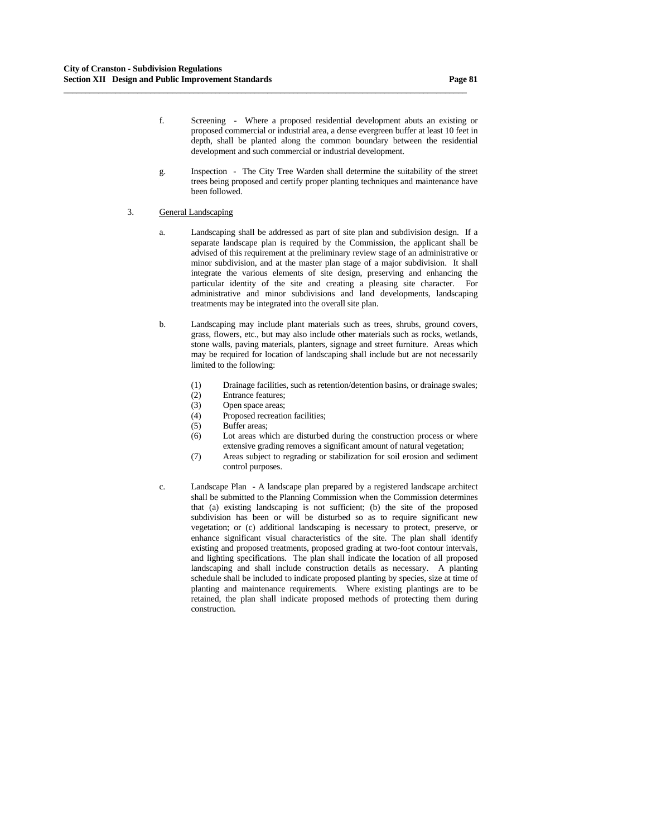f. Screening - Where a proposed residential development abuts an existing or proposed commercial or industrial area, a dense evergreen buffer at least 10 feet in depth, shall be planted along the common boundary between the residential development and such commercial or industrial development.

**\_\_\_\_\_\_\_\_\_\_\_\_\_\_\_\_\_\_\_\_\_\_\_\_\_\_\_\_\_\_\_\_\_\_\_\_\_\_\_\_\_\_\_\_\_\_\_\_\_\_\_\_\_\_\_\_\_\_\_\_\_\_\_\_\_\_\_\_\_\_\_\_\_\_\_\_\_\_\_\_\_\_\_\_\_\_\_\_\_\_\_\_\_**

 g. Inspection - The City Tree Warden shall determine the suitability of the street trees being proposed and certify proper planting techniques and maintenance have been followed.

### 3. General Landscaping

- a. Landscaping shall be addressed as part of site plan and subdivision design. If a separate landscape plan is required by the Commission, the applicant shall be advised of this requirement at the preliminary review stage of an administrative or minor subdivision, and at the master plan stage of a major subdivision. It shall integrate the various elements of site design, preserving and enhancing the particular identity of the site and creating a pleasing site character. For administrative and minor subdivisions and land developments, landscaping treatments may be integrated into the overall site plan.
- b. Landscaping may include plant materials such as trees, shrubs, ground covers, grass, flowers, etc., but may also include other materials such as rocks, wetlands, stone walls, paving materials, planters, signage and street furniture. Areas which may be required for location of landscaping shall include but are not necessarily limited to the following:
	- (1) Drainage facilities, such as retention/detention basins, or drainage swales;
	- (2) Entrance features;
	- (3) Open space areas;
	- (4) Proposed recreation facilities;
	- (5) Buffer areas;
	- (6) Lot areas which are disturbed during the construction process or where extensive grading removes a significant amount of natural vegetation;
	- (7) Areas subject to regrading or stabilization for soil erosion and sediment control purposes.
- c. Landscape Plan A landscape plan prepared by a registered landscape architect shall be submitted to the Planning Commission when the Commission determines that (a) existing landscaping is not sufficient; (b) the site of the proposed subdivision has been or will be disturbed so as to require significant new vegetation; or (c) additional landscaping is necessary to protect, preserve, or enhance significant visual characteristics of the site. The plan shall identify existing and proposed treatments, proposed grading at two-foot contour intervals, and lighting specifications. The plan shall indicate the location of all proposed landscaping and shall include construction details as necessary. A planting schedule shall be included to indicate proposed planting by species, size at time of planting and maintenance requirements. Where existing plantings are to be retained, the plan shall indicate proposed methods of protecting them during construction.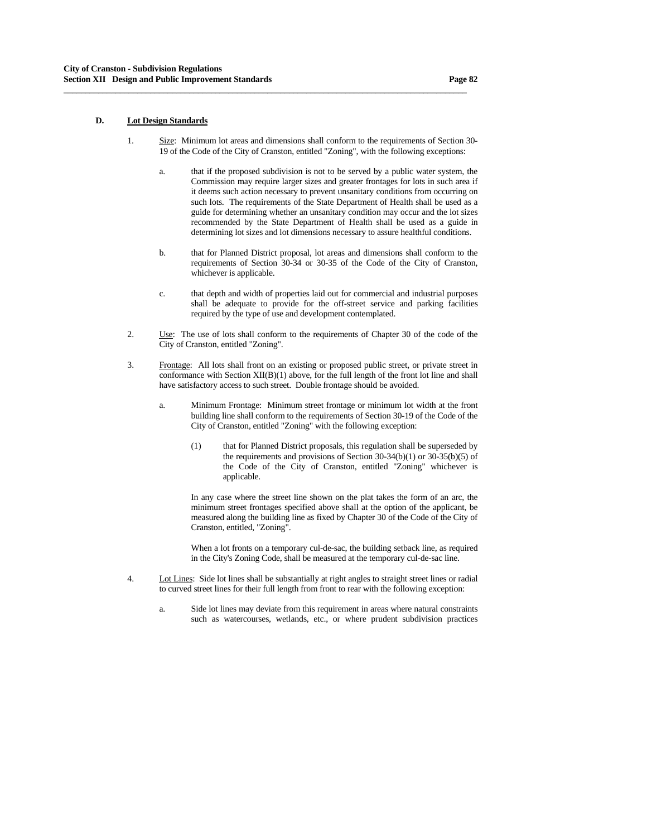### **D. Lot Design Standards**

 1. Size: Minimum lot areas and dimensions shall conform to the requirements of Section 30- 19 of the Code of the City of Cranston, entitled "Zoning", with the following exceptions:

**\_\_\_\_\_\_\_\_\_\_\_\_\_\_\_\_\_\_\_\_\_\_\_\_\_\_\_\_\_\_\_\_\_\_\_\_\_\_\_\_\_\_\_\_\_\_\_\_\_\_\_\_\_\_\_\_\_\_\_\_\_\_\_\_\_\_\_\_\_\_\_\_\_\_\_\_\_\_\_\_\_\_\_\_\_\_\_\_\_\_\_\_\_**

- a. that if the proposed subdivision is not to be served by a public water system, the Commission may require larger sizes and greater frontages for lots in such area if it deems such action necessary to prevent unsanitary conditions from occurring on such lots. The requirements of the State Department of Health shall be used as a guide for determining whether an unsanitary condition may occur and the lot sizes recommended by the State Department of Health shall be used as a guide in determining lot sizes and lot dimensions necessary to assure healthful conditions.
- b. that for Planned District proposal, lot areas and dimensions shall conform to the requirements of Section 30-34 or 30-35 of the Code of the City of Cranston, whichever is applicable.
- c. that depth and width of properties laid out for commercial and industrial purposes shall be adequate to provide for the off-street service and parking facilities required by the type of use and development contemplated.
- 2. Use: The use of lots shall conform to the requirements of Chapter 30 of the code of the City of Cranston, entitled "Zoning".
- 3. Frontage: All lots shall front on an existing or proposed public street, or private street in conformance with Section XII(B)(1) above, for the full length of the front lot line and shall have satisfactory access to such street. Double frontage should be avoided.
	- a. Minimum Frontage: Minimum street frontage or minimum lot width at the front building line shall conform to the requirements of Section 30-19 of the Code of the City of Cranston, entitled "Zoning" with the following exception:
		- (1) that for Planned District proposals, this regulation shall be superseded by the requirements and provisions of Section  $30-34(b)(1)$  or  $30-35(b)(5)$  of the Code of the City of Cranston, entitled "Zoning" whichever is applicable.

 In any case where the street line shown on the plat takes the form of an arc, the minimum street frontages specified above shall at the option of the applicant, be measured along the building line as fixed by Chapter 30 of the Code of the City of Cranston, entitled, "Zoning".

 When a lot fronts on a temporary cul-de-sac, the building setback line, as required in the City's Zoning Code, shall be measured at the temporary cul-de-sac line.

- 4. Lot Lines: Side lot lines shall be substantially at right angles to straight street lines or radial to curved street lines for their full length from front to rear with the following exception:
	- a. Side lot lines may deviate from this requirement in areas where natural constraints such as watercourses, wetlands, etc., or where prudent subdivision practices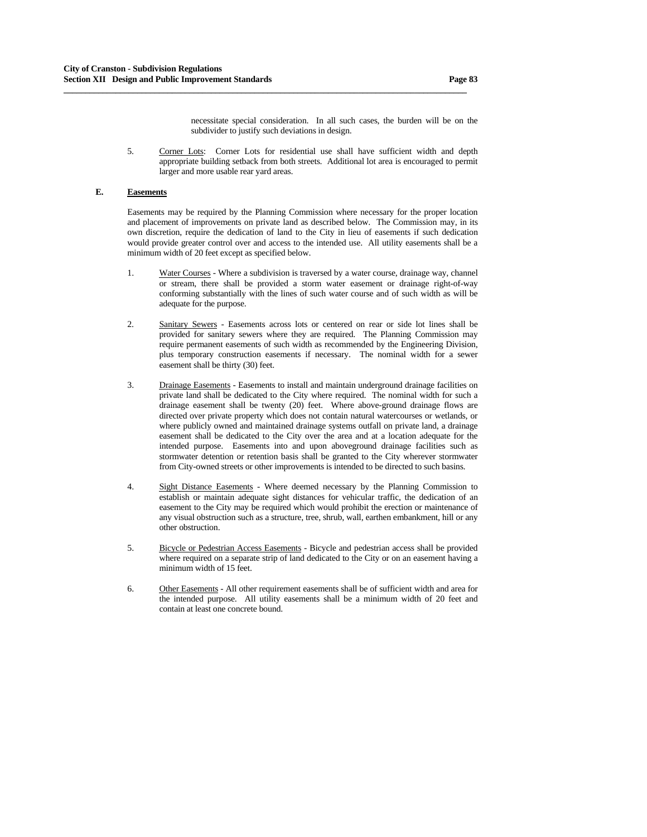necessitate special consideration. In all such cases, the burden will be on the subdivider to justify such deviations in design.

 5. Corner Lots: Corner Lots for residential use shall have sufficient width and depth appropriate building setback from both streets. Additional lot area is encouraged to permit larger and more usable rear yard areas.

**\_\_\_\_\_\_\_\_\_\_\_\_\_\_\_\_\_\_\_\_\_\_\_\_\_\_\_\_\_\_\_\_\_\_\_\_\_\_\_\_\_\_\_\_\_\_\_\_\_\_\_\_\_\_\_\_\_\_\_\_\_\_\_\_\_\_\_\_\_\_\_\_\_\_\_\_\_\_\_\_\_\_\_\_\_\_\_\_\_\_\_\_\_**

# **E. Easements**

Easements may be required by the Planning Commission where necessary for the proper location and placement of improvements on private land as described below. The Commission may, in its own discretion, require the dedication of land to the City in lieu of easements if such dedication would provide greater control over and access to the intended use. All utility easements shall be a minimum width of 20 feet except as specified below.

- 1. Water Courses Where a subdivision is traversed by a water course, drainage way, channel or stream, there shall be provided a storm water easement or drainage right-of-way conforming substantially with the lines of such water course and of such width as will be adequate for the purpose.
- 2. Sanitary Sewers Easements across lots or centered on rear or side lot lines shall be provided for sanitary sewers where they are required. The Planning Commission may require permanent easements of such width as recommended by the Engineering Division, plus temporary construction easements if necessary. The nominal width for a sewer easement shall be thirty (30) feet.
- 3. Drainage Easements Easements to install and maintain underground drainage facilities on private land shall be dedicated to the City where required. The nominal width for such a drainage easement shall be twenty (20) feet. Where above-ground drainage flows are directed over private property which does not contain natural watercourses or wetlands, or where publicly owned and maintained drainage systems outfall on private land, a drainage easement shall be dedicated to the City over the area and at a location adequate for the intended purpose. Easements into and upon aboveground drainage facilities such as stormwater detention or retention basis shall be granted to the City wherever stormwater from City-owned streets or other improvements is intended to be directed to such basins.
- 4. Sight Distance Easements Where deemed necessary by the Planning Commission to establish or maintain adequate sight distances for vehicular traffic, the dedication of an easement to the City may be required which would prohibit the erection or maintenance of any visual obstruction such as a structure, tree, shrub, wall, earthen embankment, hill or any other obstruction.
- 5. Bicycle or Pedestrian Access Easements Bicycle and pedestrian access shall be provided where required on a separate strip of land dedicated to the City or on an easement having a minimum width of 15 feet.
- 6. Other Easements All other requirement easements shall be of sufficient width and area for the intended purpose. All utility easements shall be a minimum width of 20 feet and contain at least one concrete bound.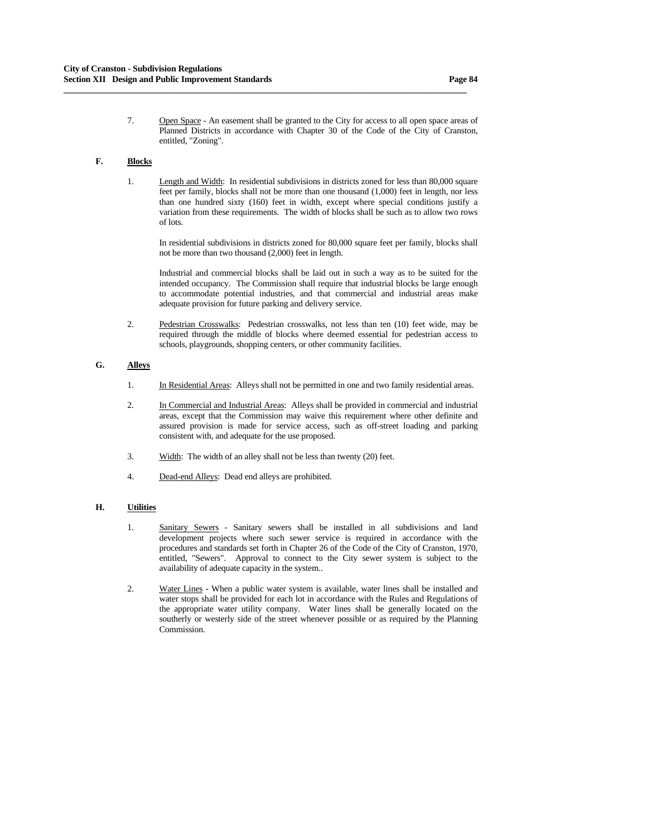7. Open Space - An easement shall be granted to the City for access to all open space areas of Planned Districts in accordance with Chapter 30 of the Code of the City of Cranston, entitled, "Zoning".

**\_\_\_\_\_\_\_\_\_\_\_\_\_\_\_\_\_\_\_\_\_\_\_\_\_\_\_\_\_\_\_\_\_\_\_\_\_\_\_\_\_\_\_\_\_\_\_\_\_\_\_\_\_\_\_\_\_\_\_\_\_\_\_\_\_\_\_\_\_\_\_\_\_\_\_\_\_\_\_\_\_\_\_\_\_\_\_\_\_\_\_\_\_**

# **F. Blocks**

 1. Length and Width: In residential subdivisions in districts zoned for less than 80,000 square feet per family, blocks shall not be more than one thousand (1,000) feet in length, nor less than one hundred sixty (160) feet in width, except where special conditions justify a variation from these requirements. The width of blocks shall be such as to allow two rows of lots.

 In residential subdivisions in districts zoned for 80,000 square feet per family, blocks shall not be more than two thousand (2,000) feet in length.

 Industrial and commercial blocks shall be laid out in such a way as to be suited for the intended occupancy. The Commission shall require that industrial blocks be large enough to accommodate potential industries, and that commercial and industrial areas make adequate provision for future parking and delivery service.

 2. Pedestrian Crosswalks: Pedestrian crosswalks, not less than ten (10) feet wide, may be required through the middle of blocks where deemed essential for pedestrian access to schools, playgrounds, shopping centers, or other community facilities.

# **G. Alleys**

- 1. In Residential Areas: Alleys shall not be permitted in one and two family residential areas.
- 2. In Commercial and Industrial Areas: Alleys shall be provided in commercial and industrial areas, except that the Commission may waive this requirement where other definite and assured provision is made for service access, such as off-street loading and parking consistent with, and adequate for the use proposed.
- 3. Width: The width of an alley shall not be less than twenty (20) feet.
- 4. Dead-end Alleys: Dead end alleys are prohibited.

#### **H. Utilities**

- 1. Sanitary Sewers Sanitary sewers shall be installed in all subdivisions and land development projects where such sewer service is required in accordance with the procedures and standards set forth in Chapter 26 of the Code of the City of Cranston, 1970, entitled, "Sewers". Approval to connect to the City sewer system is subject to the availability of adequate capacity in the system..
- 2. Water Lines When a public water system is available, water lines shall be installed and water stops shall be provided for each lot in accordance with the Rules and Regulations of the appropriate water utility company. Water lines shall be generally located on the southerly or westerly side of the street whenever possible or as required by the Planning Commission.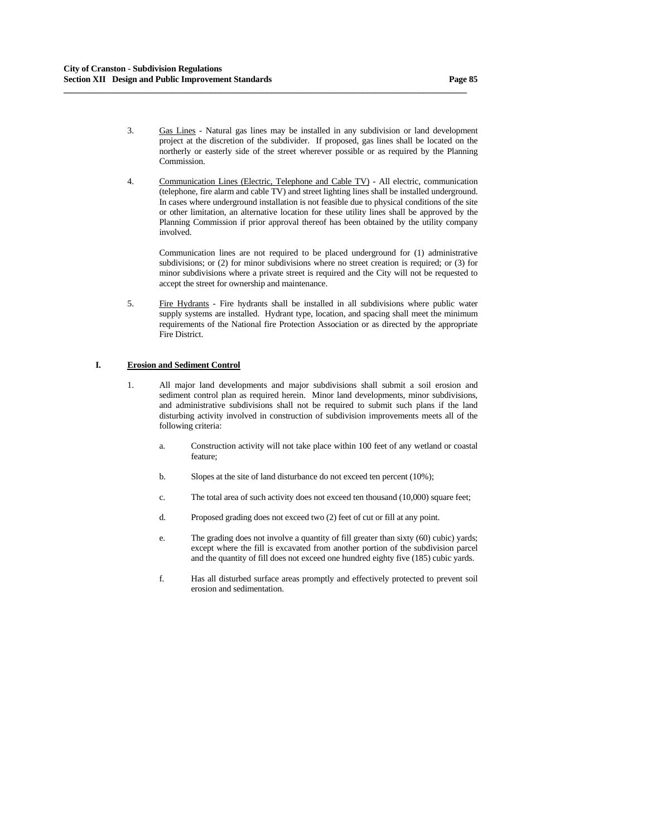Commission.

 4. Communication Lines (Electric, Telephone and Cable TV) - All electric, communication (telephone, fire alarm and cable TV) and street lighting lines shall be installed underground. In cases where underground installation is not feasible due to physical conditions of the site or other limitation, an alternative location for these utility lines shall be approved by the Planning Commission if prior approval thereof has been obtained by the utility company involved.

**\_\_\_\_\_\_\_\_\_\_\_\_\_\_\_\_\_\_\_\_\_\_\_\_\_\_\_\_\_\_\_\_\_\_\_\_\_\_\_\_\_\_\_\_\_\_\_\_\_\_\_\_\_\_\_\_\_\_\_\_\_\_\_\_\_\_\_\_\_\_\_\_\_\_\_\_\_\_\_\_\_\_\_\_\_\_\_\_\_\_\_\_\_**

 Communication lines are not required to be placed underground for (1) administrative subdivisions; or (2) for minor subdivisions where no street creation is required; or (3) for minor subdivisions where a private street is required and the City will not be requested to accept the street for ownership and maintenance.

 5. Fire Hydrants - Fire hydrants shall be installed in all subdivisions where public water supply systems are installed. Hydrant type, location, and spacing shall meet the minimum requirements of the National fire Protection Association or as directed by the appropriate Fire District.

## **I. Erosion and Sediment Control**

- 1. All major land developments and major subdivisions shall submit a soil erosion and sediment control plan as required herein. Minor land developments, minor subdivisions, and administrative subdivisions shall not be required to submit such plans if the land disturbing activity involved in construction of subdivision improvements meets all of the following criteria:
	- a. Construction activity will not take place within 100 feet of any wetland or coastal feature;
	- b. Slopes at the site of land disturbance do not exceed ten percent (10%);
	- c. The total area of such activity does not exceed ten thousand (10,000) square feet;
	- d. Proposed grading does not exceed two (2) feet of cut or fill at any point.
	- e. The grading does not involve a quantity of fill greater than sixty (60) cubic) yards; except where the fill is excavated from another portion of the subdivision parcel and the quantity of fill does not exceed one hundred eighty five (185) cubic yards.
	- f. Has all disturbed surface areas promptly and effectively protected to prevent soil erosion and sedimentation.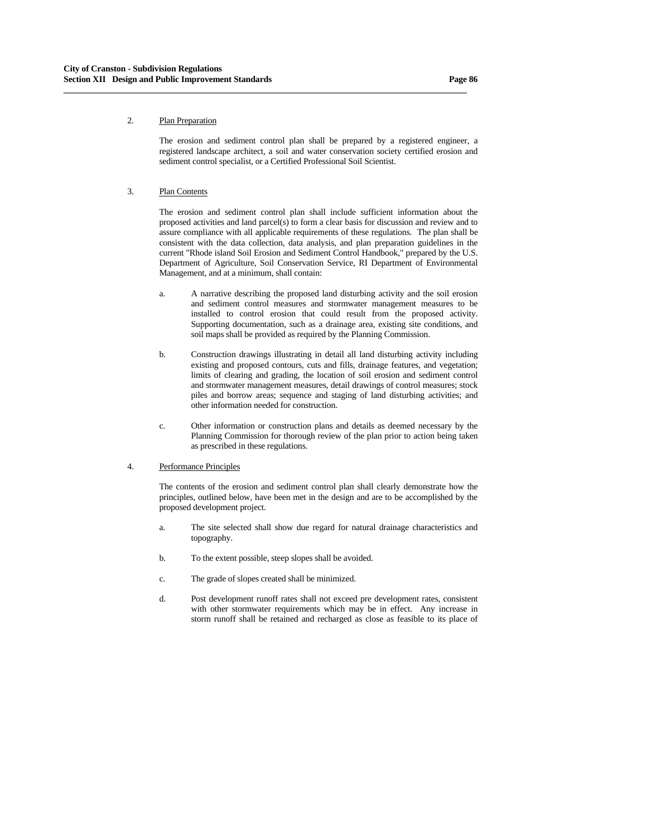## 2. Plan Preparation

 The erosion and sediment control plan shall be prepared by a registered engineer, a registered landscape architect, a soil and water conservation society certified erosion and sediment control specialist, or a Certified Professional Soil Scientist.

**\_\_\_\_\_\_\_\_\_\_\_\_\_\_\_\_\_\_\_\_\_\_\_\_\_\_\_\_\_\_\_\_\_\_\_\_\_\_\_\_\_\_\_\_\_\_\_\_\_\_\_\_\_\_\_\_\_\_\_\_\_\_\_\_\_\_\_\_\_\_\_\_\_\_\_\_\_\_\_\_\_\_\_\_\_\_\_\_\_\_\_\_\_**

### 3. Plan Contents

 The erosion and sediment control plan shall include sufficient information about the proposed activities and land parcel(s) to form a clear basis for discussion and review and to assure compliance with all applicable requirements of these regulations. The plan shall be consistent with the data collection, data analysis, and plan preparation guidelines in the current "Rhode island Soil Erosion and Sediment Control Handbook," prepared by the U.S. Department of Agriculture, Soil Conservation Service, RI Department of Environmental Management, and at a minimum, shall contain:

- a. A narrative describing the proposed land disturbing activity and the soil erosion and sediment control measures and stormwater management measures to be installed to control erosion that could result from the proposed activity. Supporting documentation, such as a drainage area, existing site conditions, and soil maps shall be provided as required by the Planning Commission.
- b. Construction drawings illustrating in detail all land disturbing activity including existing and proposed contours, cuts and fills, drainage features, and vegetation; limits of clearing and grading, the location of soil erosion and sediment control and stormwater management measures, detail drawings of control measures; stock piles and borrow areas; sequence and staging of land disturbing activities; and other information needed for construction.
- c. Other information or construction plans and details as deemed necessary by the Planning Commission for thorough review of the plan prior to action being taken as prescribed in these regulations.

### 4. Performance Principles

 The contents of the erosion and sediment control plan shall clearly demonstrate how the principles, outlined below, have been met in the design and are to be accomplished by the proposed development project.

- a. The site selected shall show due regard for natural drainage characteristics and topography.
- b. To the extent possible, steep slopes shall be avoided.
- c. The grade of slopes created shall be minimized.
- d. Post development runoff rates shall not exceed pre development rates, consistent with other stormwater requirements which may be in effect. Any increase in storm runoff shall be retained and recharged as close as feasible to its place of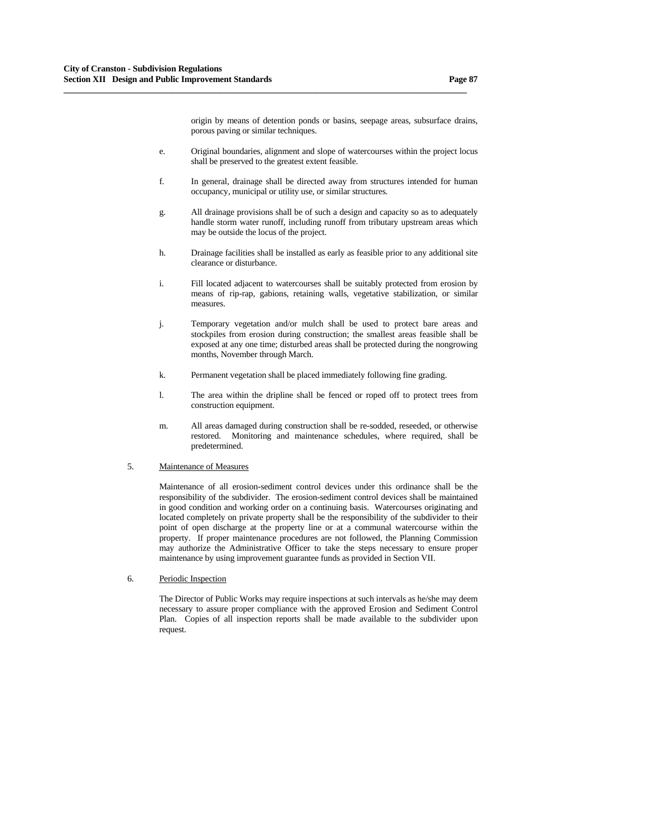origin by means of detention ponds or basins, seepage areas, subsurface drains, porous paving or similar techniques.

 e. Original boundaries, alignment and slope of watercourses within the project locus shall be preserved to the greatest extent feasible.

**\_\_\_\_\_\_\_\_\_\_\_\_\_\_\_\_\_\_\_\_\_\_\_\_\_\_\_\_\_\_\_\_\_\_\_\_\_\_\_\_\_\_\_\_\_\_\_\_\_\_\_\_\_\_\_\_\_\_\_\_\_\_\_\_\_\_\_\_\_\_\_\_\_\_\_\_\_\_\_\_\_\_\_\_\_\_\_\_\_\_\_\_\_**

- f. In general, drainage shall be directed away from structures intended for human occupancy, municipal or utility use, or similar structures.
- g. All drainage provisions shall be of such a design and capacity so as to adequately handle storm water runoff, including runoff from tributary upstream areas which may be outside the locus of the project.
- h. Drainage facilities shall be installed as early as feasible prior to any additional site clearance or disturbance.
- i. Fill located adjacent to watercourses shall be suitably protected from erosion by means of rip-rap, gabions, retaining walls, vegetative stabilization, or similar measures.
- j. Temporary vegetation and/or mulch shall be used to protect bare areas and stockpiles from erosion during construction; the smallest areas feasible shall be exposed at any one time; disturbed areas shall be protected during the nongrowing months, November through March.
- k. Permanent vegetation shall be placed immediately following fine grading.
- l. The area within the dripline shall be fenced or roped off to protect trees from construction equipment.
- m. All areas damaged during construction shall be re-sodded, reseeded, or otherwise restored. Monitoring and maintenance schedules, where required, shall be predetermined.

#### 5. Maintenance of Measures

 Maintenance of all erosion-sediment control devices under this ordinance shall be the responsibility of the subdivider. The erosion-sediment control devices shall be maintained in good condition and working order on a continuing basis. Watercourses originating and located completely on private property shall be the responsibility of the subdivider to their point of open discharge at the property line or at a communal watercourse within the property. If proper maintenance procedures are not followed, the Planning Commission may authorize the Administrative Officer to take the steps necessary to ensure proper maintenance by using improvement guarantee funds as provided in Section VII.

6. Periodic Inspection

 The Director of Public Works may require inspections at such intervals as he/she may deem necessary to assure proper compliance with the approved Erosion and Sediment Control Plan. Copies of all inspection reports shall be made available to the subdivider upon request.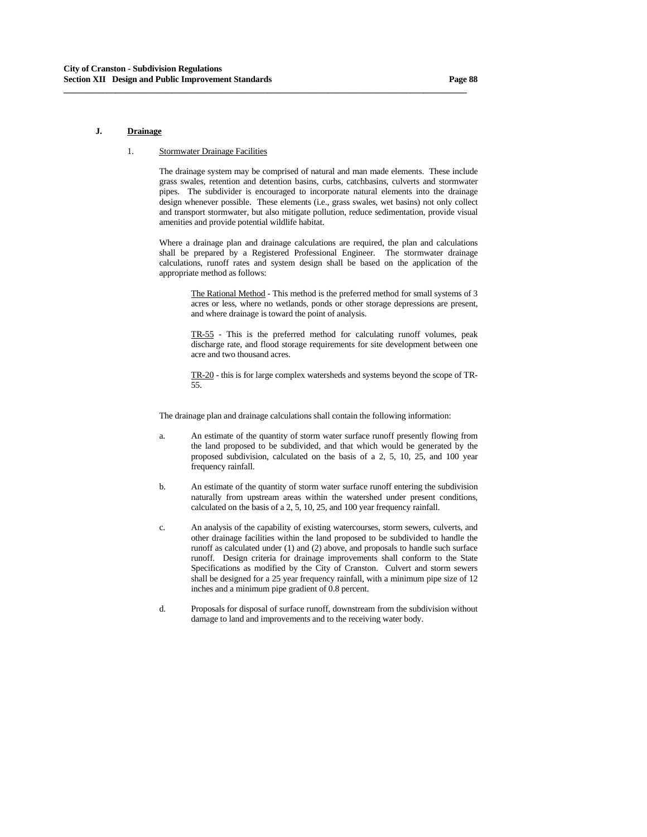#### **J. Drainage**

#### 1. Stormwater Drainage Facilities

 The drainage system may be comprised of natural and man made elements. These include grass swales, retention and detention basins, curbs, catchbasins, culverts and stormwater pipes. The subdivider is encouraged to incorporate natural elements into the drainage design whenever possible. These elements (i.e., grass swales, wet basins) not only collect and transport stormwater, but also mitigate pollution, reduce sedimentation, provide visual amenities and provide potential wildlife habitat.

**\_\_\_\_\_\_\_\_\_\_\_\_\_\_\_\_\_\_\_\_\_\_\_\_\_\_\_\_\_\_\_\_\_\_\_\_\_\_\_\_\_\_\_\_\_\_\_\_\_\_\_\_\_\_\_\_\_\_\_\_\_\_\_\_\_\_\_\_\_\_\_\_\_\_\_\_\_\_\_\_\_\_\_\_\_\_\_\_\_\_\_\_\_**

 Where a drainage plan and drainage calculations are required, the plan and calculations shall be prepared by a Registered Professional Engineer. The stormwater drainage calculations, runoff rates and system design shall be based on the application of the appropriate method as follows:

 The Rational Method - This method is the preferred method for small systems of 3 acres or less, where no wetlands, ponds or other storage depressions are present, and where drainage is toward the point of analysis.

 TR-55 - This is the preferred method for calculating runoff volumes, peak discharge rate, and flood storage requirements for site development between one acre and two thousand acres.

 TR-20 - this is for large complex watersheds and systems beyond the scope of TR-55.

The drainage plan and drainage calculations shall contain the following information:

- a. An estimate of the quantity of storm water surface runoff presently flowing from the land proposed to be subdivided, and that which would be generated by the proposed subdivision, calculated on the basis of a 2, 5, 10, 25, and 100 year frequency rainfall.
- b. An estimate of the quantity of storm water surface runoff entering the subdivision naturally from upstream areas within the watershed under present conditions, calculated on the basis of a 2, 5, 10, 25, and 100 year frequency rainfall.
- c. An analysis of the capability of existing watercourses, storm sewers, culverts, and other drainage facilities within the land proposed to be subdivided to handle the runoff as calculated under (1) and (2) above, and proposals to handle such surface runoff. Design criteria for drainage improvements shall conform to the State Specifications as modified by the City of Cranston. Culvert and storm sewers shall be designed for a 25 year frequency rainfall, with a minimum pipe size of 12 inches and a minimum pipe gradient of 0.8 percent.
- d. Proposals for disposal of surface runoff, downstream from the subdivision without damage to land and improvements and to the receiving water body.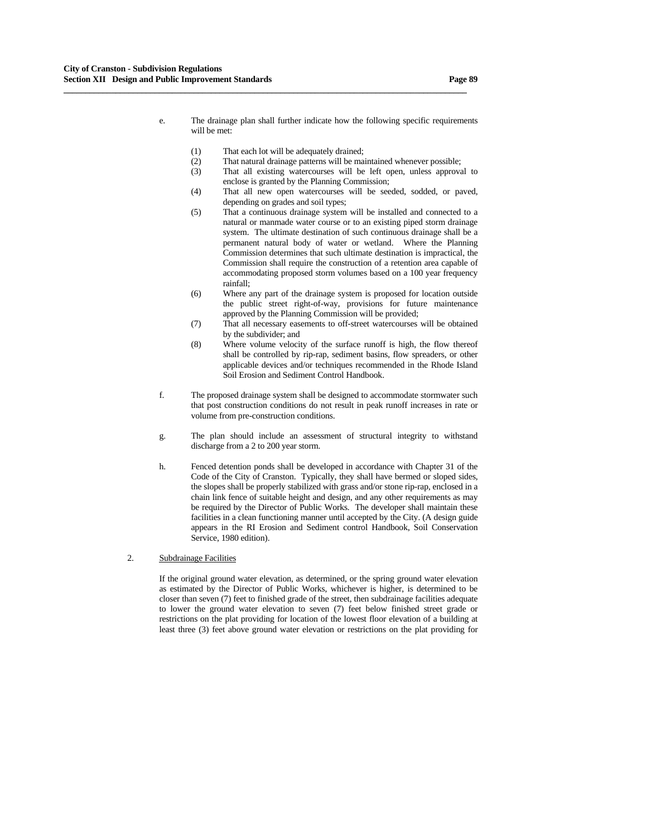(1) That each lot will be adequately drained;

**\_\_\_\_\_\_\_\_\_\_\_\_\_\_\_\_\_\_\_\_\_\_\_\_\_\_\_\_\_\_\_\_\_\_\_\_\_\_\_\_\_\_\_\_\_\_\_\_\_\_\_\_\_\_\_\_\_\_\_\_\_\_\_\_\_\_\_\_\_\_\_\_\_\_\_\_\_\_\_\_\_\_\_\_\_\_\_\_\_\_\_\_\_**

- (2) That natural drainage patterns will be maintained whenever possible;
- (3) That all existing watercourses will be left open, unless approval to enclose is granted by the Planning Commission;
- (4) That all new open watercourses will be seeded, sodded, or paved, depending on grades and soil types;
- (5) That a continuous drainage system will be installed and connected to a natural or manmade water course or to an existing piped storm drainage system. The ultimate destination of such continuous drainage shall be a permanent natural body of water or wetland. Where the Planning Commission determines that such ultimate destination is impractical, the Commission shall require the construction of a retention area capable of accommodating proposed storm volumes based on a 100 year frequency rainfall;
- (6) Where any part of the drainage system is proposed for location outside the public street right-of-way, provisions for future maintenance approved by the Planning Commission will be provided;
- (7) That all necessary easements to off-street watercourses will be obtained by the subdivider; and
- (8) Where volume velocity of the surface runoff is high, the flow thereof shall be controlled by rip-rap, sediment basins, flow spreaders, or other applicable devices and/or techniques recommended in the Rhode Island Soil Erosion and Sediment Control Handbook.
- f. The proposed drainage system shall be designed to accommodate stormwater such that post construction conditions do not result in peak runoff increases in rate or volume from pre-construction conditions.
- g. The plan should include an assessment of structural integrity to withstand discharge from a 2 to 200 year storm.
- h. Fenced detention ponds shall be developed in accordance with Chapter 31 of the Code of the City of Cranston. Typically, they shall have bermed or sloped sides, the slopes shall be properly stabilized with grass and/or stone rip-rap, enclosed in a chain link fence of suitable height and design, and any other requirements as may be required by the Director of Public Works. The developer shall maintain these facilities in a clean functioning manner until accepted by the City. (A design guide appears in the RI Erosion and Sediment control Handbook, Soil Conservation Service, 1980 edition).

### 2. Subdrainage Facilities

 If the original ground water elevation, as determined, or the spring ground water elevation as estimated by the Director of Public Works, whichever is higher, is determined to be closer than seven (7) feet to finished grade of the street, then subdrainage facilities adequate to lower the ground water elevation to seven (7) feet below finished street grade or restrictions on the plat providing for location of the lowest floor elevation of a building at least three (3) feet above ground water elevation or restrictions on the plat providing for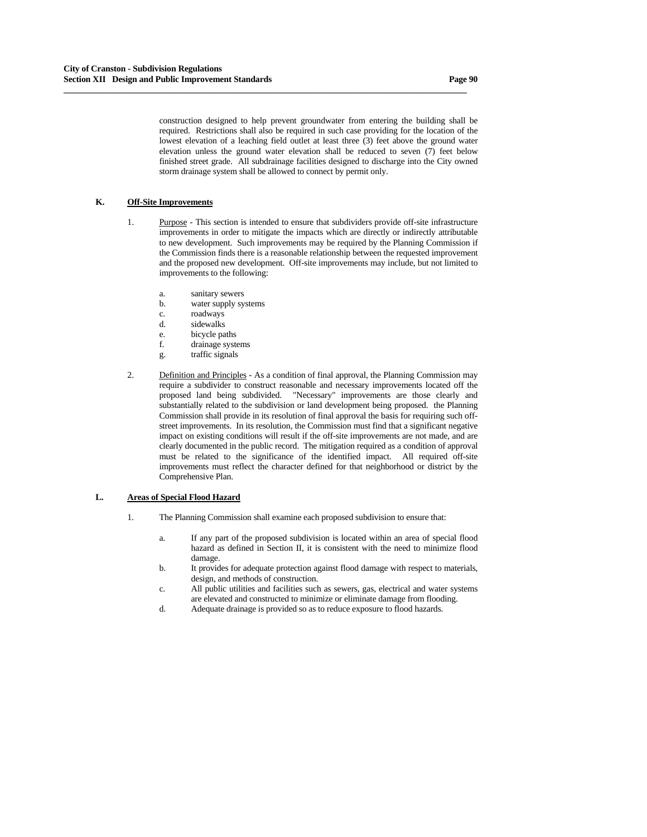construction designed to help prevent groundwater from entering the building shall be required. Restrictions shall also be required in such case providing for the location of the lowest elevation of a leaching field outlet at least three (3) feet above the ground water elevation unless the ground water elevation shall be reduced to seven (7) feet below finished street grade. All subdrainage facilities designed to discharge into the City owned storm drainage system shall be allowed to connect by permit only.

**\_\_\_\_\_\_\_\_\_\_\_\_\_\_\_\_\_\_\_\_\_\_\_\_\_\_\_\_\_\_\_\_\_\_\_\_\_\_\_\_\_\_\_\_\_\_\_\_\_\_\_\_\_\_\_\_\_\_\_\_\_\_\_\_\_\_\_\_\_\_\_\_\_\_\_\_\_\_\_\_\_\_\_\_\_\_\_\_\_\_\_\_\_**

## **K. Off-Site Improvements**

- 1. Purpose This section is intended to ensure that subdividers provide off-site infrastructure improvements in order to mitigate the impacts which are directly or indirectly attributable to new development. Such improvements may be required by the Planning Commission if the Commission finds there is a reasonable relationship between the requested improvement and the proposed new development. Off-site improvements may include, but not limited to improvements to the following:
	- a. sanitary sewers
	- b. water supply systems
	- c. roadways
	- d. sidewalks
	- e. bicycle paths
	- f. drainage systems
	- g. traffic signals
- 2. Definition and Principles As a condition of final approval, the Planning Commission may require a subdivider to construct reasonable and necessary improvements located off the proposed land being subdivided. "Necessary" improvements are those clearly and substantially related to the subdivision or land development being proposed. the Planning Commission shall provide in its resolution of final approval the basis for requiring such offstreet improvements. In its resolution, the Commission must find that a significant negative impact on existing conditions will result if the off-site improvements are not made, and are clearly documented in the public record. The mitigation required as a condition of approval must be related to the significance of the identified impact. All required off-site improvements must reflect the character defined for that neighborhood or district by the Comprehensive Plan.

### **L. Areas of Special Flood Hazard**

- 1. The Planning Commission shall examine each proposed subdivision to ensure that:
	- a. If any part of the proposed subdivision is located within an area of special flood hazard as defined in Section II, it is consistent with the need to minimize flood damage.
	- b. It provides for adequate protection against flood damage with respect to materials, design, and methods of construction.
	- c. All public utilities and facilities such as sewers, gas, electrical and water systems are elevated and constructed to minimize or eliminate damage from flooding.
	- d. Adequate drainage is provided so as to reduce exposure to flood hazards.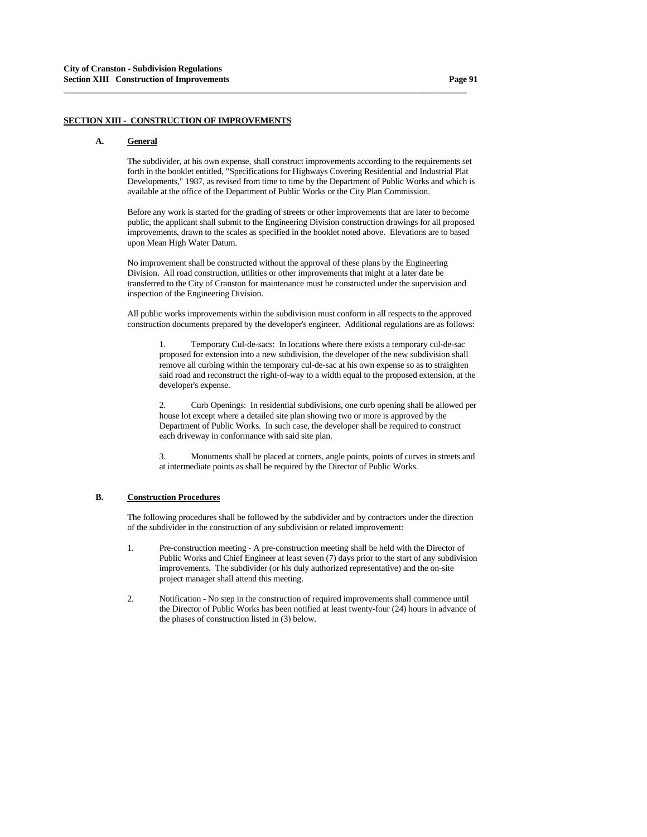# **SECTION XIII - CONSTRUCTION OF IMPROVEMENTS**

#### **A. General**

 The subdivider, at his own expense, shall construct improvements according to the requirements set forth in the booklet entitled, "Specifications for Highways Covering Residential and Industrial Plat Developments," 1987, as revised from time to time by the Department of Public Works and which is available at the office of the Department of Public Works or the City Plan Commission.

**\_\_\_\_\_\_\_\_\_\_\_\_\_\_\_\_\_\_\_\_\_\_\_\_\_\_\_\_\_\_\_\_\_\_\_\_\_\_\_\_\_\_\_\_\_\_\_\_\_\_\_\_\_\_\_\_\_\_\_\_\_\_\_\_\_\_\_\_\_\_\_\_\_\_\_\_\_\_\_\_\_\_\_\_\_\_\_\_\_\_\_\_\_**

 Before any work is started for the grading of streets or other improvements that are later to become public, the applicant shall submit to the Engineering Division construction drawings for all proposed improvements, drawn to the scales as specified in the booklet noted above. Elevations are to based upon Mean High Water Datum.

 No improvement shall be constructed without the approval of these plans by the Engineering Division. All road construction, utilities or other improvements that might at a later date be transferred to the City of Cranston for maintenance must be constructed under the supervision and inspection of the Engineering Division.

 All public works improvements within the subdivision must conform in all respects to the approved construction documents prepared by the developer's engineer. Additional regulations are as follows:

 1. Temporary Cul-de-sacs: In locations where there exists a temporary cul-de-sac proposed for extension into a new subdivision, the developer of the new subdivision shall remove all curbing within the temporary cul-de-sac at his own expense so as to straighten said road and reconstruct the right-of-way to a width equal to the proposed extension, at the developer's expense.

 2. Curb Openings: In residential subdivisions, one curb opening shall be allowed per house lot except where a detailed site plan showing two or more is approved by the Department of Public Works. In such case, the developer shall be required to construct each driveway in conformance with said site plan.

 3. Monuments shall be placed at corners, angle points, points of curves in streets and at intermediate points as shall be required by the Director of Public Works.

## **B. Construction Procedures**

 The following procedures shall be followed by the subdivider and by contractors under the direction of the subdivider in the construction of any subdivision or related improvement:

- 1. Pre-construction meeting A pre-construction meeting shall be held with the Director of Public Works and Chief Engineer at least seven (7) days prior to the start of any subdivision improvements. The subdivider (or his duly authorized representative) and the on-site project manager shall attend this meeting.
- 2. Notification No step in the construction of required improvements shall commence until the Director of Public Works has been notified at least twenty-four (24) hours in advance of the phases of construction listed in (3) below.